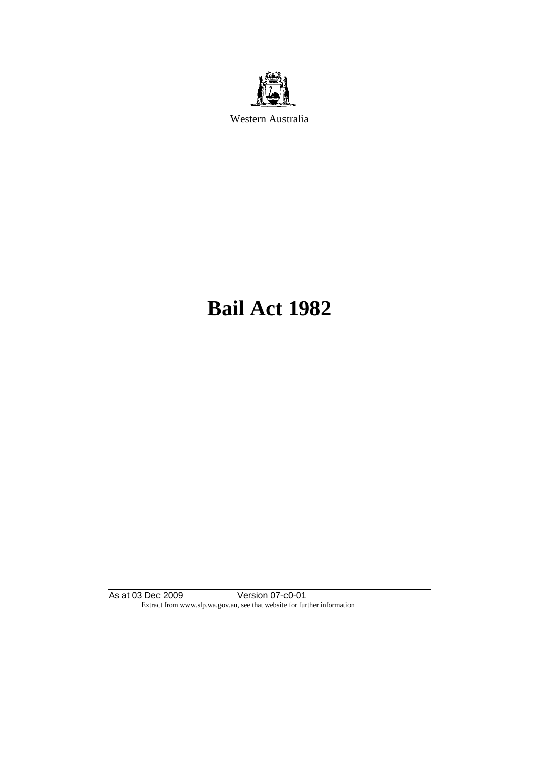

Western Australia

# **Bail Act 1982**

As at 03 Dec 2009 Version 07-c0-01 Extract from www.slp.wa.gov.au, see that website for further information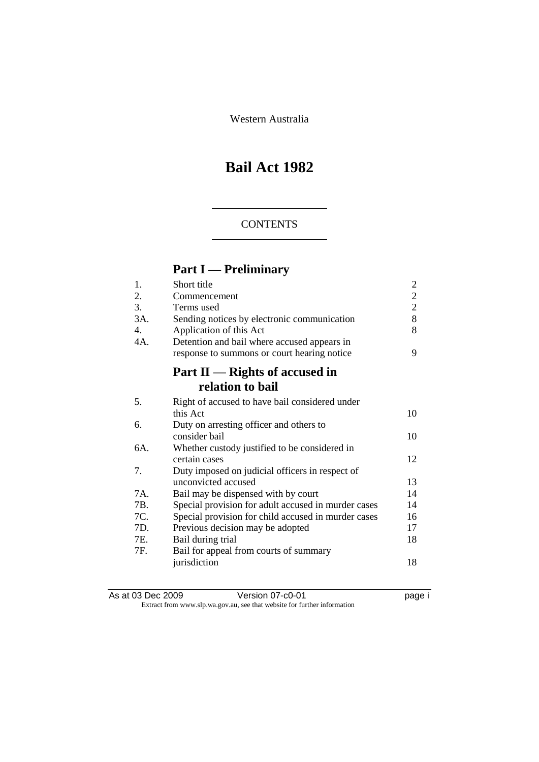Western Australia

# **Bail Act 1982**

### **CONTENTS**

# **Part I — Preliminary**

| Short title                                     | $\overline{c}$                                                                                                                                                                                        |
|-------------------------------------------------|-------------------------------------------------------------------------------------------------------------------------------------------------------------------------------------------------------|
| Commencement                                    | $\overline{2}$                                                                                                                                                                                        |
| Terms used                                      | $\overline{2}$                                                                                                                                                                                        |
| Sending notices by electronic communication     | 8                                                                                                                                                                                                     |
| Application of this Act                         | 8                                                                                                                                                                                                     |
| Detention and bail where accused appears in     |                                                                                                                                                                                                       |
| response to summons or court hearing notice     | 9                                                                                                                                                                                                     |
| Part $II$ — Rights of accused in                |                                                                                                                                                                                                       |
| relation to bail                                |                                                                                                                                                                                                       |
| Right of accused to have bail considered under  |                                                                                                                                                                                                       |
| this Act                                        | 10                                                                                                                                                                                                    |
| Duty on arresting officer and others to         |                                                                                                                                                                                                       |
| consider bail                                   | 10                                                                                                                                                                                                    |
| Whether custody justified to be considered in   |                                                                                                                                                                                                       |
| certain cases                                   | 12                                                                                                                                                                                                    |
| Duty imposed on judicial officers in respect of |                                                                                                                                                                                                       |
| unconvicted accused                             | 13                                                                                                                                                                                                    |
|                                                 | 14                                                                                                                                                                                                    |
|                                                 | 14                                                                                                                                                                                                    |
|                                                 | 16                                                                                                                                                                                                    |
|                                                 | 17                                                                                                                                                                                                    |
| Bail during trial                               | 18                                                                                                                                                                                                    |
| Bail for appeal from courts of summary          |                                                                                                                                                                                                       |
|                                                 | 18                                                                                                                                                                                                    |
|                                                 | Bail may be dispensed with by court<br>Special provision for adult accused in murder cases<br>Special provision for child accused in murder cases<br>Previous decision may be adopted<br>jurisdiction |

| As at 03 Dec 2009 | Version 07-c0-01                                                         | page i |
|-------------------|--------------------------------------------------------------------------|--------|
|                   | Extract from www.slp.wa.gov.au, see that website for further information |        |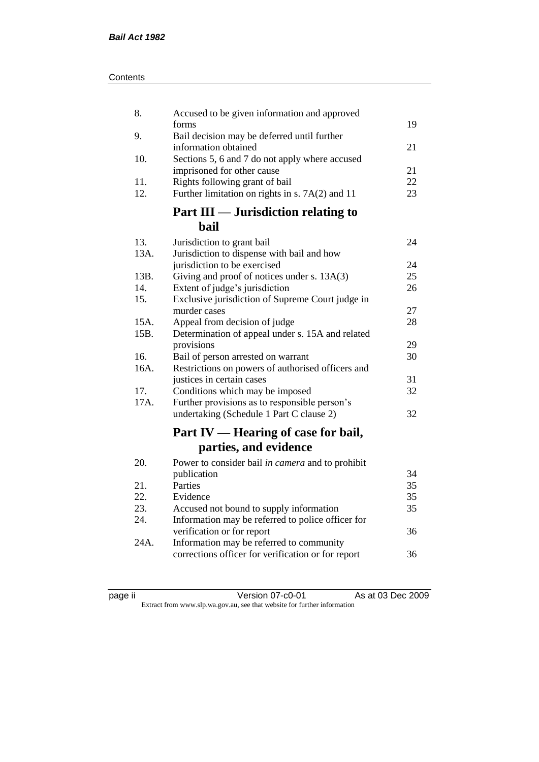| Contents |
|----------|
|----------|

| 8.   | Accused to be given information and approved                                                   |          |
|------|------------------------------------------------------------------------------------------------|----------|
| 9.   | forms<br>Bail decision may be deferred until further                                           | 19       |
|      | information obtained                                                                           | 21       |
| 10.  | Sections 5, 6 and 7 do not apply where accused                                                 |          |
|      | imprisoned for other cause                                                                     | 21       |
| 11.  | Rights following grant of bail                                                                 | 22       |
| 12.  | Further limitation on rights in s. $7A(2)$ and 11                                              | 23       |
|      | Part III — Jurisdiction relating to                                                            |          |
|      | <b>bail</b>                                                                                    |          |
| 13.  | Jurisdiction to grant bail                                                                     | 24       |
| 13A. | Jurisdiction to dispense with bail and how                                                     |          |
|      | jurisdiction to be exercised                                                                   | 24       |
| 13B. | Giving and proof of notices under s. 13A(3)                                                    | 25       |
| 14.  | Extent of judge's jurisdiction                                                                 | 26       |
| 15.  | Exclusive jurisdiction of Supreme Court judge in                                               |          |
|      | murder cases                                                                                   | 27       |
| 15A. | Appeal from decision of judge                                                                  | 28       |
| 15B. | Determination of appeal under s. 15A and related                                               |          |
| 16.  | provisions                                                                                     | 29<br>30 |
| 16A. | Bail of person arrested on warrant<br>Restrictions on powers of authorised officers and        |          |
|      | justices in certain cases                                                                      | 31       |
| 17.  | Conditions which may be imposed                                                                | 32       |
| 17A. | Further provisions as to responsible person's                                                  |          |
|      | undertaking (Schedule 1 Part C clause 2)                                                       | 32       |
|      |                                                                                                |          |
|      | Part IV — Hearing of case for bail,                                                            |          |
|      | parties, and evidence                                                                          |          |
| 20.  | Power to consider bail in camera and to prohibit                                               |          |
|      | publication                                                                                    | 34       |
| 21.  | Parties                                                                                        | 35       |
| 22.  | Evidence                                                                                       | 35       |
| 23.  | Accused not bound to supply information                                                        | 35       |
| 24.  | Information may be referred to police officer for                                              |          |
|      | verification or for report                                                                     | 36       |
| 24A. | Information may be referred to community<br>corrections officer for verification or for report | 36       |
|      |                                                                                                |          |
|      |                                                                                                |          |

| ıC<br>ı<br>и |  |
|--------------|--|
|              |  |

page ii Version 07-c0-01 As at 03 Dec 2009 Extract from www.slp.wa.gov.au, see that website for further information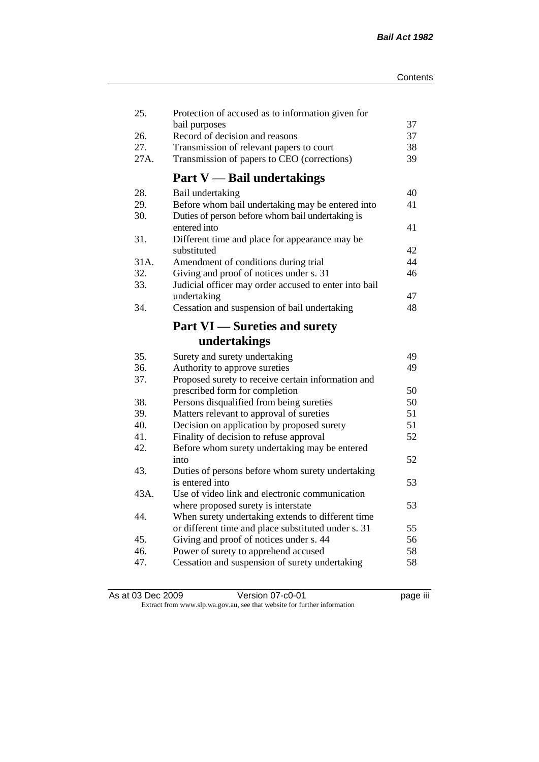| 25.         | Protection of accused as to information given for                                                    | 37       |
|-------------|------------------------------------------------------------------------------------------------------|----------|
| 26.         | bail purposes<br>Record of decision and reasons                                                      | 37       |
| 27.         | Transmission of relevant papers to court                                                             | 38       |
| 27A.        | Transmission of papers to CEO (corrections)                                                          | 39       |
|             | <b>Part V</b> - Bail undertakings                                                                    |          |
|             |                                                                                                      |          |
| 28.         | Bail undertaking                                                                                     | 40       |
| 29.<br>30.  | Before whom bail undertaking may be entered into<br>Duties of person before whom bail undertaking is | 41       |
|             | entered into                                                                                         | 41       |
| 31.         | Different time and place for appearance may be                                                       |          |
|             | substituted                                                                                          | 42       |
| 31A.<br>32. | Amendment of conditions during trial                                                                 | 44<br>46 |
|             | Giving and proof of notices under s. 31                                                              |          |
| 33.         | Judicial officer may order accused to enter into bail                                                |          |
| 34.         | undertaking                                                                                          | 47<br>48 |
|             | Cessation and suspension of bail undertaking                                                         |          |
|             | <b>Part VI</b> — Sureties and surety                                                                 |          |
|             | undertakings                                                                                         |          |
| 35.         | Surety and surety undertaking                                                                        | 49       |
| 36.         | Authority to approve sureties                                                                        | 49       |
| 37.         | Proposed surety to receive certain information and                                                   |          |
|             | prescribed form for completion                                                                       | 50       |
| 38.         | Persons disqualified from being sureties                                                             | 50       |
| 39.         | Matters relevant to approval of sureties                                                             | 51       |
| 40.         | Decision on application by proposed surety                                                           | 51       |
| 41.         | Finality of decision to refuse approval                                                              | 52       |
| 42.         | Before whom surety undertaking may be entered                                                        |          |
|             | into                                                                                                 | 52       |
| 43.         | Duties of persons before whom surety undertaking                                                     |          |
|             | is entered into                                                                                      | 53       |
| 43A.        | Use of video link and electronic communication                                                       |          |
|             | where proposed surety is interstate                                                                  | 53       |
| 44.         | When surety undertaking extends to different time                                                    |          |
|             | or different time and place substituted under s. 31                                                  | 55       |
| 45.         | Giving and proof of notices under s. 44                                                              | 56       |
| 46.         | Power of surety to apprehend accused                                                                 | 58       |
| 47.         | Cessation and suspension of surety undertaking                                                       | 58       |
|             |                                                                                                      |          |

| As at 03 Dec 2009 | Version 07-c0-01                                                         | <br>page III |
|-------------------|--------------------------------------------------------------------------|--------------|
|                   | Extract from www.slp.wa.gov.au, see that website for further information |              |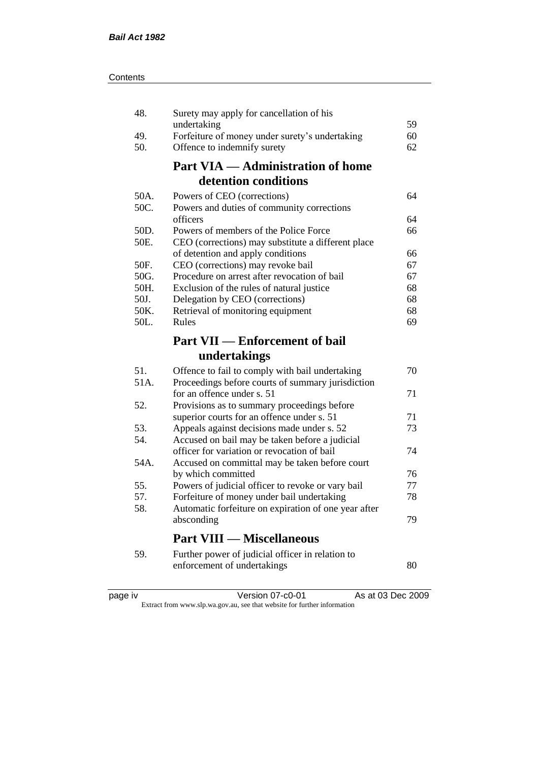| 48.  | Surety may apply for cancellation of his                                                     |    |
|------|----------------------------------------------------------------------------------------------|----|
|      | undertaking                                                                                  | 59 |
| 49.  | Forfeiture of money under surety's undertaking                                               | 60 |
| 50.  | Offence to indemnify surety                                                                  | 62 |
|      | <b>Part VIA — Administration of home</b>                                                     |    |
|      | detention conditions                                                                         |    |
| 50A. | Powers of CEO (corrections)                                                                  | 64 |
| 50C. | Powers and duties of community corrections                                                   |    |
|      | officers                                                                                     | 64 |
| 50D. | Powers of members of the Police Force                                                        | 66 |
| 50E. | CEO (corrections) may substitute a different place                                           |    |
|      | of detention and apply conditions                                                            | 66 |
| 50F. | CEO (corrections) may revoke bail                                                            | 67 |
| 50G. | Procedure on arrest after revocation of bail                                                 | 67 |
| 50H. | Exclusion of the rules of natural justice                                                    | 68 |
| 50J. | Delegation by CEO (corrections)                                                              | 68 |
| 50K. | Retrieval of monitoring equipment                                                            | 68 |
| 50L. | Rules                                                                                        | 69 |
|      | <b>Part VII — Enforcement of bail</b>                                                        |    |
|      | undertakings                                                                                 |    |
|      |                                                                                              |    |
|      |                                                                                              |    |
| 51.  | Offence to fail to comply with bail undertaking                                              | 70 |
| 51A. | Proceedings before courts of summary jurisdiction                                            |    |
| 52.  | for an offence under s. 51                                                                   | 71 |
|      | Provisions as to summary proceedings before                                                  | 71 |
| 53.  | superior courts for an offence under s. 51                                                   | 73 |
| 54.  | Appeals against decisions made under s. 52<br>Accused on bail may be taken before a judicial |    |
|      | officer for variation or revocation of bail                                                  | 74 |
| 54A. | Accused on committal may be taken before court                                               |    |
|      | by which committed                                                                           | 76 |
| 55.  | Powers of judicial officer to revoke or vary bail                                            | 77 |
| 57.  | Forfeiture of money under bail undertaking                                                   | 78 |
| 58.  | Automatic forfeiture on expiration of one year after                                         |    |
|      | absconding                                                                                   | 79 |
|      | <b>Part VIII — Miscellaneous</b>                                                             |    |
| 59.  |                                                                                              |    |
|      | Further power of judicial officer in relation to<br>enforcement of undertakings              | 80 |

| د،    |  |
|-------|--|
| ); 10 |  |
|       |  |
|       |  |
|       |  |

page iv Version 07-c0-01 As at 03 Dec 2009 Extract from www.slp.wa.gov.au, see that website for further information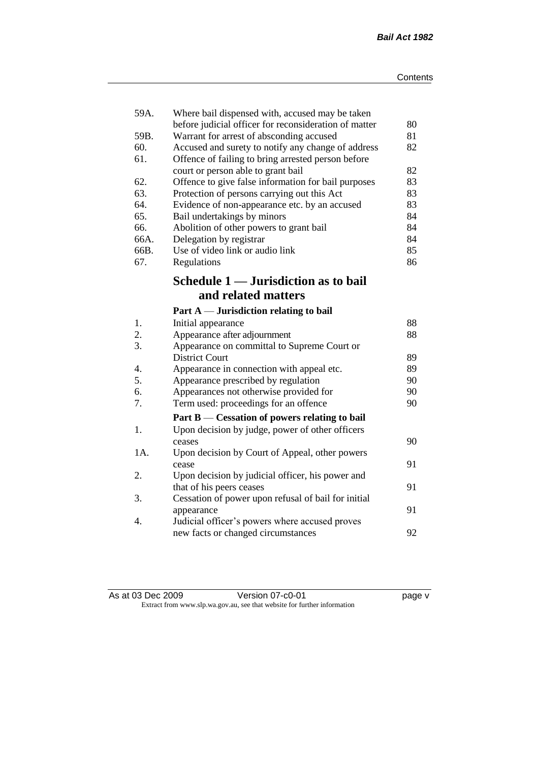| 59A. | Where bail dispensed with, accused may be taken       |    |
|------|-------------------------------------------------------|----|
|      | before judicial officer for reconsideration of matter | 80 |
| 59B. | Warrant for arrest of absconding accused              | 81 |
| 60.  | Accused and surety to notify any change of address    | 82 |
| 61.  | Offence of failing to bring arrested person before    |    |
|      | court or person able to grant bail                    | 82 |
| 62.  | Offence to give false information for bail purposes   | 83 |
| 63.  | Protection of persons carrying out this Act           | 83 |
| 64.  | Evidence of non-appearance etc. by an accused         | 83 |
| 65.  | Bail undertakings by minors                           | 84 |
| 66.  | Abolition of other powers to grant bail               | 84 |
| 66A. | Delegation by registrar                               | 84 |
| 66B. | Use of video link or audio link                       | 85 |
| 67.  | Regulations                                           | 86 |
|      | Schedule 1 — Jurisdiction as to bail                  |    |
|      | and related matters                                   |    |
|      | Part $A$ — Jurisdiction relating to bail              |    |
| 1.   | Initial appearance                                    | 88 |
| 2.   | Appearance after adjournment                          | 88 |
| 3.   | Appearance on committal to Supreme Court or           |    |
|      | <b>District Court</b>                                 | 89 |
| 4.   | Appearance in connection with appeal etc.             | 89 |
| 5.   | Appearance prescribed by regulation                   | 90 |
| 6.   | Appearances not otherwise provided for                | 90 |
| 7.   | Term used: proceedings for an offence                 | 90 |
|      | Part B — Cessation of powers relating to bail         |    |
| 1.   | Upon decision by judge, power of other officers       |    |
|      | ceases                                                | 90 |
| 1A.  | Upon decision by Court of Appeal, other powers        |    |
|      | cease                                                 | 91 |
| 2.   | Upon decision by judicial officer, his power and      |    |
|      | that of his peers ceases                              | 91 |
| 3.   | Cessation of power upon refusal of bail for initial   |    |
|      | appearance                                            | 91 |
| 4.   | Judicial officer's powers where accused proves        |    |
|      | new facts or changed circumstances                    | 92 |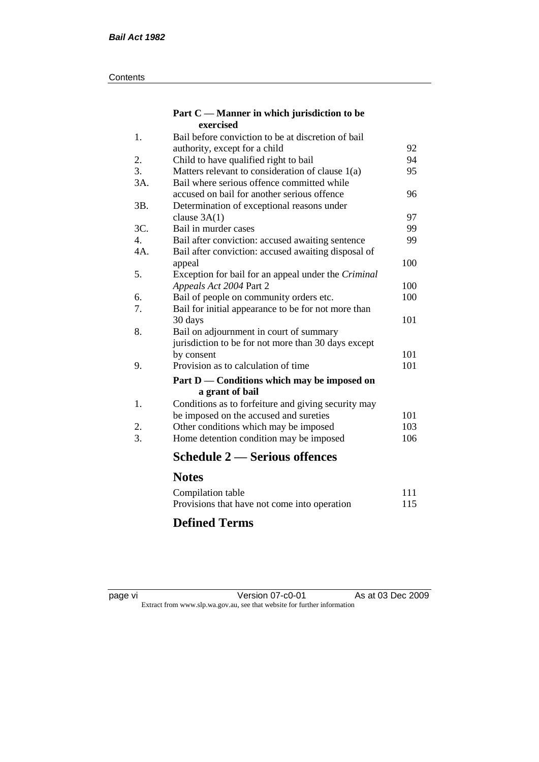#### **Contents**

#### **Part C — Manner in which jurisdiction to be exercised**

| 1.  | Bail before conviction to be at discretion of bail         |     |
|-----|------------------------------------------------------------|-----|
|     | authority, except for a child                              | 92  |
| 2.  | Child to have qualified right to bail                      | 94  |
| 3.  | Matters relevant to consideration of clause 1(a)           | 95  |
| 3A. | Bail where serious offence committed while                 |     |
|     | accused on bail for another serious offence                | 96  |
| 3B. | Determination of exceptional reasons under                 |     |
|     | clause $3A(1)$                                             | 97  |
| 3C. | Bail in murder cases                                       | 99  |
| 4.  | Bail after conviction: accused awaiting sentence           | 99  |
| 4A. | Bail after conviction: accused awaiting disposal of        |     |
|     | appeal                                                     | 100 |
| 5.  | Exception for bail for an appeal under the <i>Criminal</i> |     |
|     | Appeals Act 2004 Part 2                                    | 100 |
| 6.  | Bail of people on community orders etc.                    | 100 |
| 7.  | Bail for initial appearance to be for not more than        |     |
|     | 30 days                                                    | 101 |
| 8.  | Bail on adjournment in court of summary                    |     |
|     | jurisdiction to be for not more than 30 days except        |     |
|     | by consent                                                 | 101 |
| 9.  | Provision as to calculation of time                        | 101 |
|     | Part D — Conditions which may be imposed on                |     |
|     | a grant of bail                                            |     |
| 1.  | Conditions as to forfeiture and giving security may        |     |
|     | be imposed on the accused and sureties                     | 101 |
| 2.  | Other conditions which may be imposed                      | 103 |
| 3.  | Home detention condition may be imposed                    | 106 |
|     | <b>Schedule 2 — Serious offences</b>                       |     |
|     | <b>Notes</b>                                               |     |
|     | Compilation table                                          | 111 |

### Compilation table 111 Provisions that have not come into operation 115

# **Defined Terms**

page vi Version 07-c0-01 As at 03 Dec 2009 Extract from www.slp.wa.gov.au, see that website for further information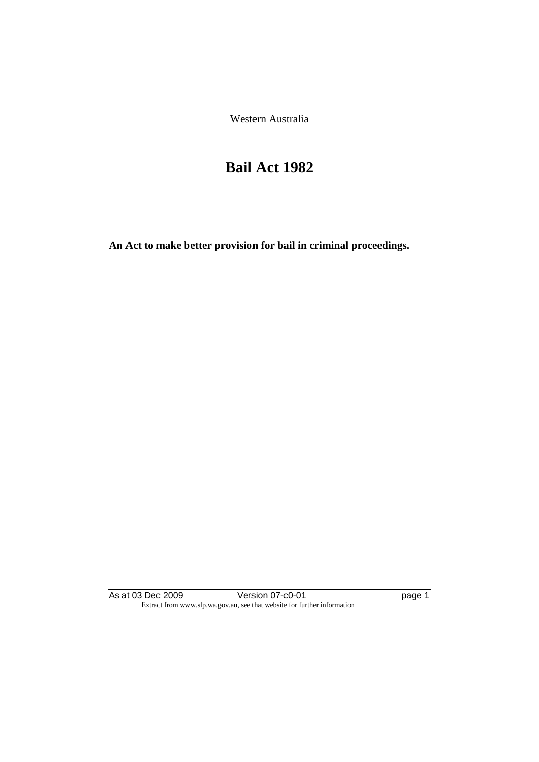Western Australia

# **Bail Act 1982**

**An Act to make better provision for bail in criminal proceedings.** 

As at 03 Dec 2009 **Version 07-c0-01 Page 1 page 1** Extract from www.slp.wa.gov.au, see that website for further information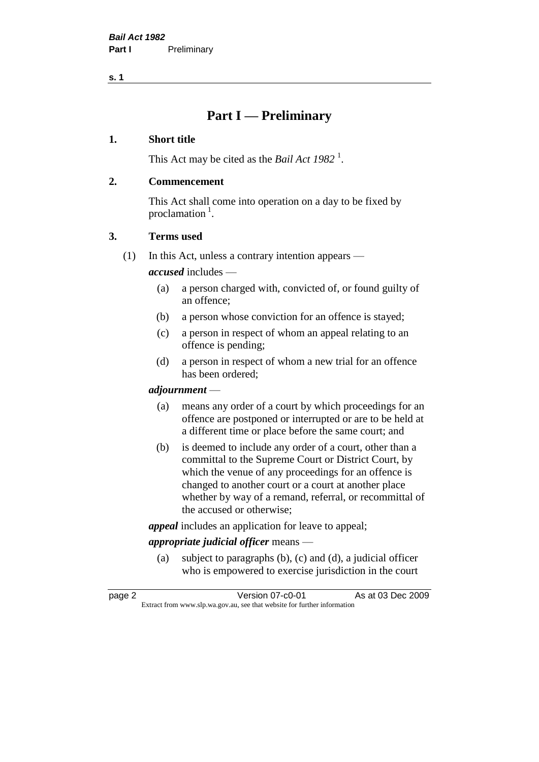### **Part I — Preliminary**

#### **1. Short title**

This Act may be cited as the *Bail Act* 1982<sup>1</sup>.

#### **2. Commencement**

This Act shall come into operation on a day to be fixed by proclamation  $<sup>1</sup>$ .</sup>

#### **3. Terms used**

(1) In this Act, unless a contrary intention appears —

*accused* includes —

- (a) a person charged with, convicted of, or found guilty of an offence;
- (b) a person whose conviction for an offence is stayed;
- (c) a person in respect of whom an appeal relating to an offence is pending;
- (d) a person in respect of whom a new trial for an offence has been ordered;

#### *adjournment* —

- (a) means any order of a court by which proceedings for an offence are postponed or interrupted or are to be held at a different time or place before the same court; and
- (b) is deemed to include any order of a court, other than a committal to the Supreme Court or District Court, by which the venue of any proceedings for an offence is changed to another court or a court at another place whether by way of a remand, referral, or recommittal of the accused or otherwise;

*appeal* includes an application for leave to appeal;

#### *appropriate judicial officer* means —

(a) subject to paragraphs (b), (c) and (d), a judicial officer who is empowered to exercise jurisdiction in the court

| page 2 | Version 07-c0-01                                                         | As at 03 Dec 2009 |
|--------|--------------------------------------------------------------------------|-------------------|
|        | Extract from www.slp.wa.gov.au, see that website for further information |                   |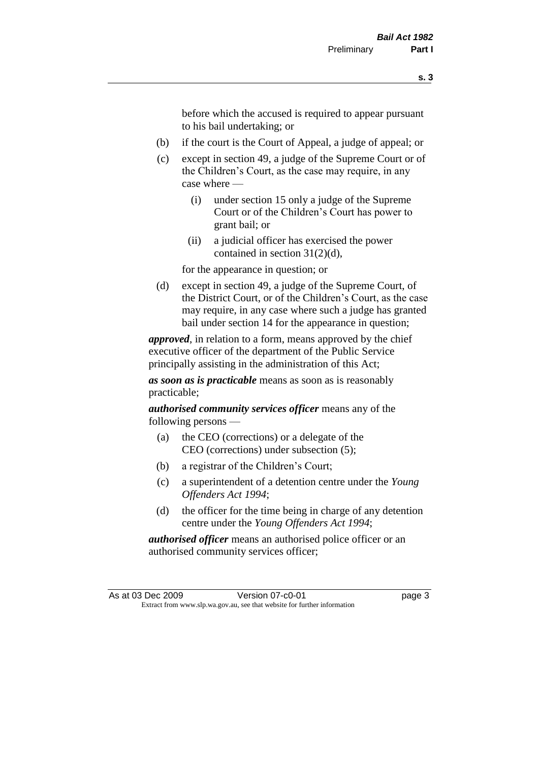before which the accused is required to appear pursuant to his bail undertaking; or

- (b) if the court is the Court of Appeal, a judge of appeal; or
- (c) except in section 49, a judge of the Supreme Court or of the Children's Court, as the case may require, in any case where —
	- (i) under section 15 only a judge of the Supreme Court or of the Children's Court has power to grant bail; or
	- (ii) a judicial officer has exercised the power contained in section 31(2)(d),

for the appearance in question; or

(d) except in section 49, a judge of the Supreme Court, of the District Court, or of the Children's Court, as the case may require, in any case where such a judge has granted bail under section 14 for the appearance in question;

*approved*, in relation to a form, means approved by the chief executive officer of the department of the Public Service principally assisting in the administration of this Act;

*as soon as is practicable* means as soon as is reasonably practicable;

*authorised community services officer* means any of the following persons —

- (a) the CEO (corrections) or a delegate of the CEO (corrections) under subsection (5);
- (b) a registrar of the Children's Court;
- (c) a superintendent of a detention centre under the *Young Offenders Act 1994*;
- (d) the officer for the time being in charge of any detention centre under the *Young Offenders Act 1994*;

*authorised officer* means an authorised police officer or an authorised community services officer;

As at 03 Dec 2009 Version 07-c0-01 page 3 Extract from www.slp.wa.gov.au, see that website for further information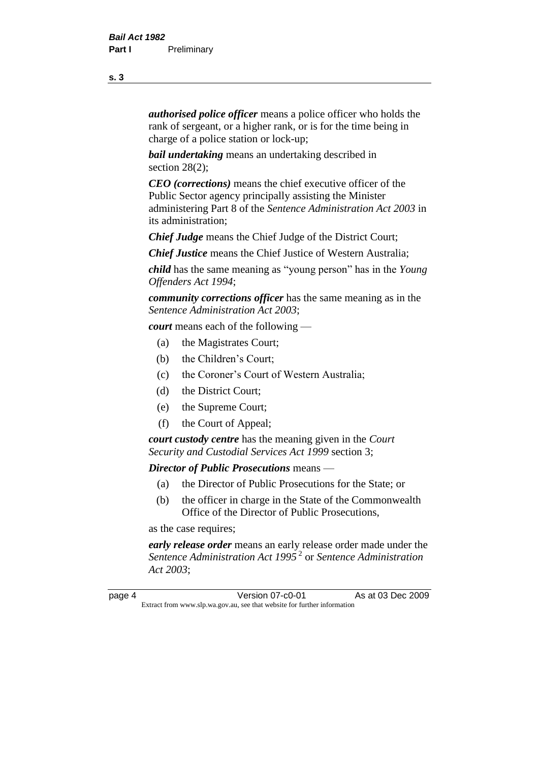*authorised police officer* means a police officer who holds the rank of sergeant, or a higher rank, or is for the time being in charge of a police station or lock-up;

*bail undertaking* means an undertaking described in section 28(2):

*CEO (corrections)* means the chief executive officer of the Public Sector agency principally assisting the Minister administering Part 8 of the *Sentence Administration Act 2003* in its administration;

*Chief Judge* means the Chief Judge of the District Court;

*Chief Justice* means the Chief Justice of Western Australia;

*child* has the same meaning as "young person" has in the *Young Offenders Act 1994*;

*community corrections officer* has the same meaning as in the *Sentence Administration Act 2003*;

*court* means each of the following —

- (a) the Magistrates Court;
- (b) the Children's Court;
- (c) the Coroner's Court of Western Australia;
- (d) the District Court;
- (e) the Supreme Court;
- (f) the Court of Appeal;

*court custody centre* has the meaning given in the *Court Security and Custodial Services Act 1999* section 3;

*Director of Public Prosecutions* means —

- (a) the Director of Public Prosecutions for the State; or
- (b) the officer in charge in the State of the Commonwealth Office of the Director of Public Prosecutions,

as the case requires;

*early release order* means an early release order made under the *Sentence Administration Act 1995* <sup>2</sup> or *Sentence Administration Act 2003*;

page 4 **Version 07-c0-01** As at 03 Dec 2009 Extract from www.slp.wa.gov.au, see that website for further information

**s. 3**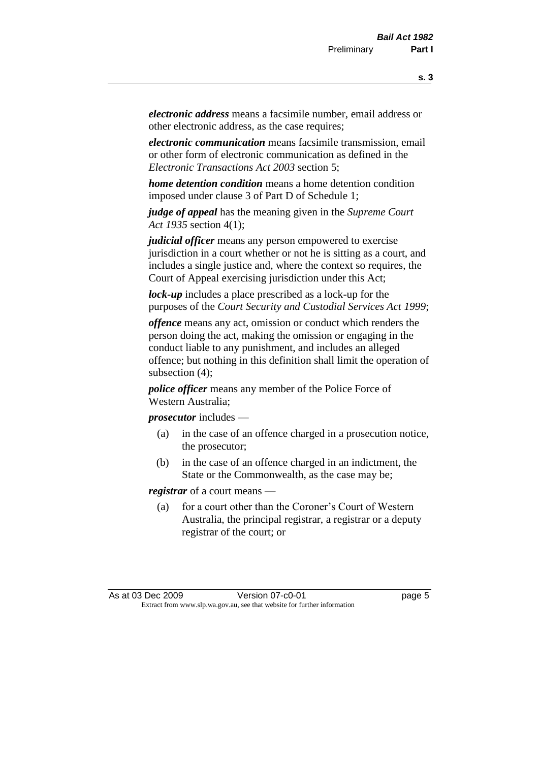*electronic address* means a facsimile number, email address or other electronic address, as the case requires;

*electronic communication* means facsimile transmission, email or other form of electronic communication as defined in the *Electronic Transactions Act 2003* section 5;

*home detention condition* means a home detention condition imposed under clause 3 of Part D of Schedule 1;

*judge of appeal* has the meaning given in the *Supreme Court Act 1935* section 4(1);

*judicial officer* means any person empowered to exercise jurisdiction in a court whether or not he is sitting as a court, and includes a single justice and, where the context so requires, the Court of Appeal exercising jurisdiction under this Act;

*lock-up* includes a place prescribed as a lock-up for the purposes of the *Court Security and Custodial Services Act 1999*;

*offence* means any act, omission or conduct which renders the person doing the act, making the omission or engaging in the conduct liable to any punishment, and includes an alleged offence; but nothing in this definition shall limit the operation of subsection (4);

*police officer* means any member of the Police Force of Western Australia;

*prosecutor* includes —

- (a) in the case of an offence charged in a prosecution notice, the prosecutor;
- (b) in the case of an offence charged in an indictment, the State or the Commonwealth, as the case may be;

*registrar* of a court means —

(a) for a court other than the Coroner's Court of Western Australia, the principal registrar, a registrar or a deputy registrar of the court; or

As at 03 Dec 2009 Version 07-c0-01 Page 5 Extract from www.slp.wa.gov.au, see that website for further information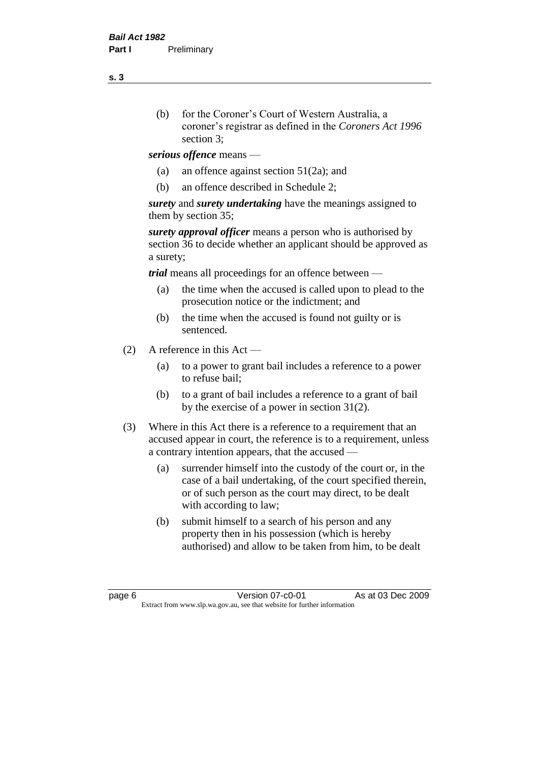- (b) for the Coroner's Court of Western Australia, a coroner's registrar as defined in the *Coroners Act 1996* section 3;
- *serious offence* means
	- (a) an offence against section 51(2a); and
	- (b) an offence described in Schedule 2;

*surety* and *surety undertaking* have the meanings assigned to them by section 35;

*surety approval officer* means a person who is authorised by section 36 to decide whether an applicant should be approved as a surety;

*trial* means all proceedings for an offence between —

- (a) the time when the accused is called upon to plead to the prosecution notice or the indictment; and
- (b) the time when the accused is found not guilty or is sentenced.
- (2) A reference in this Act
	- (a) to a power to grant bail includes a reference to a power to refuse bail;
	- (b) to a grant of bail includes a reference to a grant of bail by the exercise of a power in section 31(2).
- (3) Where in this Act there is a reference to a requirement that an accused appear in court, the reference is to a requirement, unless a contrary intention appears, that the accused —
	- (a) surrender himself into the custody of the court or, in the case of a bail undertaking, of the court specified therein, or of such person as the court may direct, to be dealt with according to law;
	- (b) submit himself to a search of his person and any property then in his possession (which is hereby authorised) and allow to be taken from him, to be dealt

page 6 **Version 07-c0-01** As at 03 Dec 2009 Extract from www.slp.wa.gov.au, see that website for further information

**s. 3**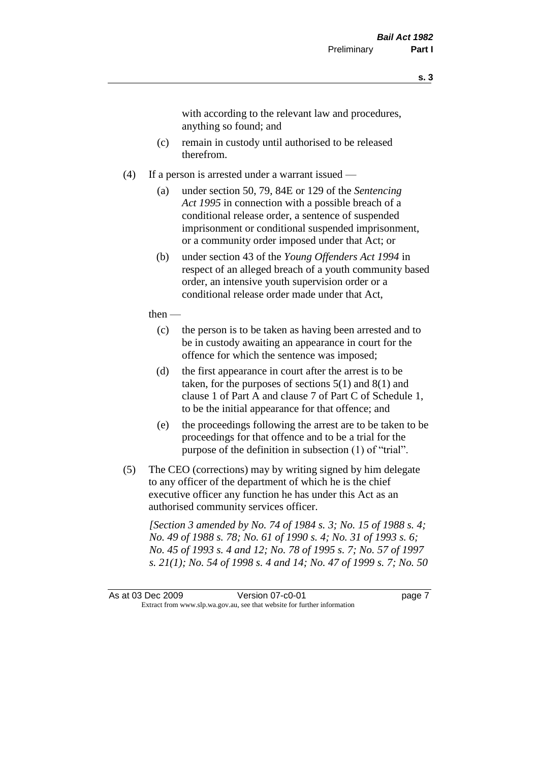with according to the relevant law and procedures, anything so found; and

- (c) remain in custody until authorised to be released therefrom.
- (4) If a person is arrested under a warrant issued
	- (a) under section 50, 79, 84E or 129 of the *Sentencing Act 1995* in connection with a possible breach of a conditional release order, a sentence of suspended imprisonment or conditional suspended imprisonment, or a community order imposed under that Act; or
	- (b) under section 43 of the *Young Offenders Act 1994* in respect of an alleged breach of a youth community based order, an intensive youth supervision order or a conditional release order made under that Act,
	- then
		- (c) the person is to be taken as having been arrested and to be in custody awaiting an appearance in court for the offence for which the sentence was imposed;
		- (d) the first appearance in court after the arrest is to be taken, for the purposes of sections  $5(1)$  and  $8(1)$  and clause 1 of Part A and clause 7 of Part C of Schedule 1, to be the initial appearance for that offence; and
		- (e) the proceedings following the arrest are to be taken to be proceedings for that offence and to be a trial for the purpose of the definition in subsection (1) of "trial".
- (5) The CEO (corrections) may by writing signed by him delegate to any officer of the department of which he is the chief executive officer any function he has under this Act as an authorised community services officer.

*[Section 3 amended by No. 74 of 1984 s. 3; No. 15 of 1988 s. 4; No. 49 of 1988 s. 78; No. 61 of 1990 s. 4; No. 31 of 1993 s. 6; No. 45 of 1993 s. 4 and 12; No. 78 of 1995 s. 7; No. 57 of 1997 s. 21(1); No. 54 of 1998 s. 4 and 14; No. 47 of 1999 s. 7; No. 50* 

As at 03 Dec 2009 Version 07-c0-01 page 7 Extract from www.slp.wa.gov.au, see that website for further information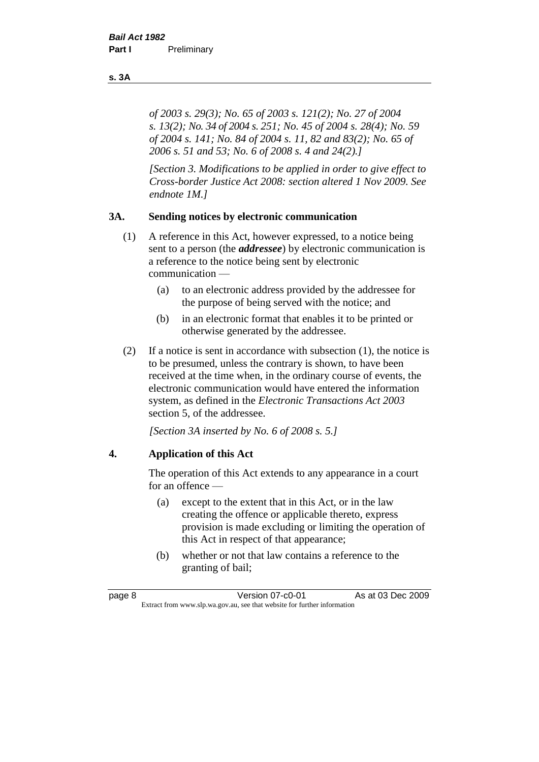*of 2003 s. 29(3); No. 65 of 2003 s. 121(2); No. 27 of 2004 s. 13(2); No. 34 of 2004 s. 251; No. 45 of 2004 s. 28(4); No. 59 of 2004 s. 141; No. 84 of 2004 s. 11, 82 and 83(2); No. 65 of 2006 s. 51 and 53; No. 6 of 2008 s. 4 and 24(2).]* 

*[Section 3. Modifications to be applied in order to give effect to Cross-border Justice Act 2008: section altered 1 Nov 2009. See endnote 1M.]*

#### **3A. Sending notices by electronic communication**

- (1) A reference in this Act, however expressed, to a notice being sent to a person (the *addressee*) by electronic communication is a reference to the notice being sent by electronic communication —
	- (a) to an electronic address provided by the addressee for the purpose of being served with the notice; and
	- (b) in an electronic format that enables it to be printed or otherwise generated by the addressee.
- (2) If a notice is sent in accordance with subsection (1), the notice is to be presumed, unless the contrary is shown, to have been received at the time when, in the ordinary course of events, the electronic communication would have entered the information system, as defined in the *Electronic Transactions Act 2003* section 5, of the addressee.

*[Section 3A inserted by No. 6 of 2008 s. 5.]*

#### **4. Application of this Act**

The operation of this Act extends to any appearance in a court for an offence —

- (a) except to the extent that in this Act, or in the law creating the offence or applicable thereto, express provision is made excluding or limiting the operation of this Act in respect of that appearance;
- (b) whether or not that law contains a reference to the granting of bail;

#### **s. 3A**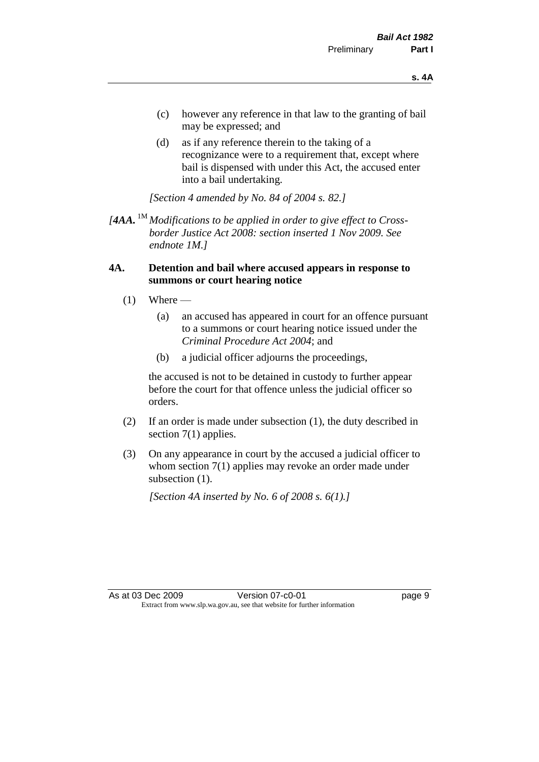- (c) however any reference in that law to the granting of bail may be expressed; and
- (d) as if any reference therein to the taking of a recognizance were to a requirement that, except where bail is dispensed with under this Act, the accused enter into a bail undertaking.

*[Section 4 amended by No. 84 of 2004 s. 82.]*

 $[4AA$ . <sup>1M</sup> *Modifications to be applied in order to give effect to Crossborder Justice Act 2008: section inserted 1 Nov 2009. See endnote 1M.]*

#### **4A. Detention and bail where accused appears in response to summons or court hearing notice**

- $(1)$  Where
	- (a) an accused has appeared in court for an offence pursuant to a summons or court hearing notice issued under the *Criminal Procedure Act 2004*; and
	- (b) a judicial officer adjourns the proceedings,

the accused is not to be detained in custody to further appear before the court for that offence unless the judicial officer so orders.

- (2) If an order is made under subsection (1), the duty described in section 7(1) applies.
- (3) On any appearance in court by the accused a judicial officer to whom section 7(1) applies may revoke an order made under subsection  $(1)$ .

*[Section 4A inserted by No. 6 of 2008 s. 6(1).]*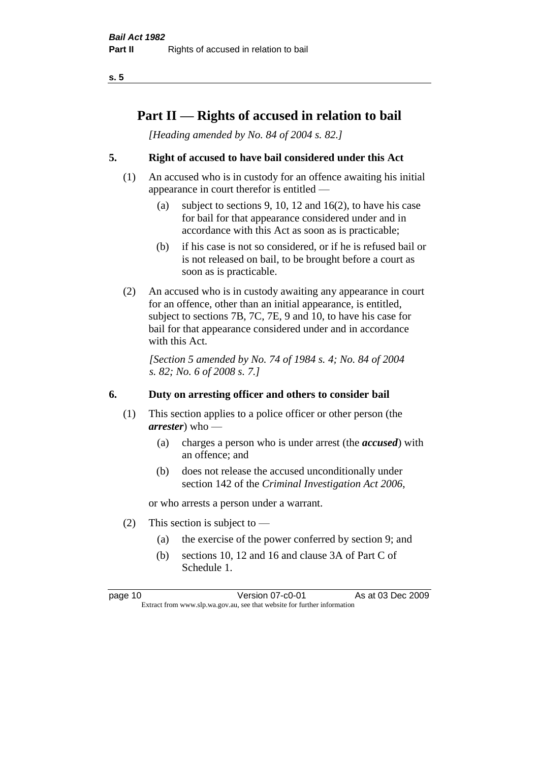## **Part II — Rights of accused in relation to bail**

*[Heading amended by No. 84 of 2004 s. 82.]* 

#### **5. Right of accused to have bail considered under this Act**

- (1) An accused who is in custody for an offence awaiting his initial appearance in court therefor is entitled —
	- (a) subject to sections 9, 10, 12 and 16(2), to have his case for bail for that appearance considered under and in accordance with this Act as soon as is practicable;
	- (b) if his case is not so considered, or if he is refused bail or is not released on bail, to be brought before a court as soon as is practicable.
- (2) An accused who is in custody awaiting any appearance in court for an offence, other than an initial appearance, is entitled, subject to sections 7B, 7C, 7E, 9 and 10, to have his case for bail for that appearance considered under and in accordance with this Act.

*[Section 5 amended by No. 74 of 1984 s. 4; No. 84 of 2004 s. 82; No. 6 of 2008 s. 7.]* 

#### **6. Duty on arresting officer and others to consider bail**

- (1) This section applies to a police officer or other person (the *arrester*) who —
	- (a) charges a person who is under arrest (the *accused*) with an offence; and
	- (b) does not release the accused unconditionally under section 142 of the *Criminal Investigation Act 2006*,

or who arrests a person under a warrant.

- (2) This section is subject to  $-$ 
	- (a) the exercise of the power conferred by section 9; and
	- (b) sections 10, 12 and 16 and clause 3A of Part C of Schedule 1.

page 10 **Version 07-c0-01** As at 03 Dec 2009 Extract from www.slp.wa.gov.au, see that website for further information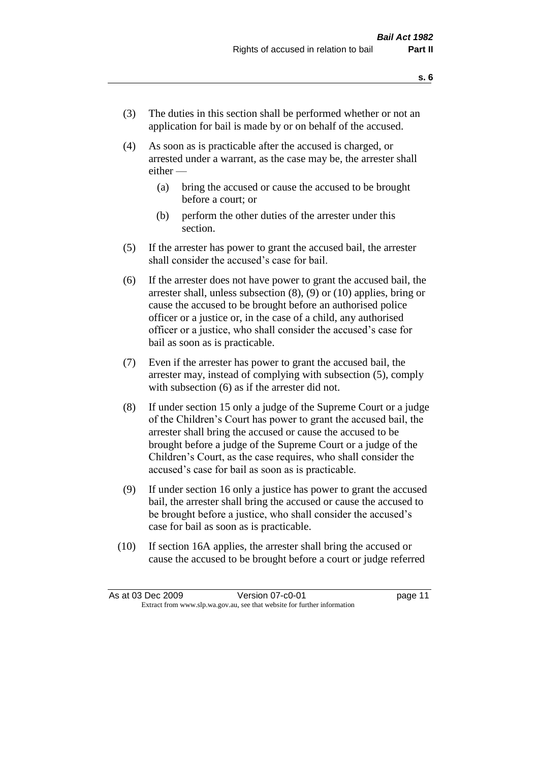- (3) The duties in this section shall be performed whether or not an application for bail is made by or on behalf of the accused.
- (4) As soon as is practicable after the accused is charged, or arrested under a warrant, as the case may be, the arrester shall either —
	- (a) bring the accused or cause the accused to be brought before a court; or
	- (b) perform the other duties of the arrester under this section.
- (5) If the arrester has power to grant the accused bail, the arrester shall consider the accused's case for bail.
- (6) If the arrester does not have power to grant the accused bail, the arrester shall, unless subsection (8), (9) or (10) applies, bring or cause the accused to be brought before an authorised police officer or a justice or, in the case of a child, any authorised officer or a justice, who shall consider the accused's case for bail as soon as is practicable.
- (7) Even if the arrester has power to grant the accused bail, the arrester may, instead of complying with subsection (5), comply with subsection (6) as if the arrester did not.
- (8) If under section 15 only a judge of the Supreme Court or a judge of the Children's Court has power to grant the accused bail, the arrester shall bring the accused or cause the accused to be brought before a judge of the Supreme Court or a judge of the Children's Court, as the case requires, who shall consider the accused's case for bail as soon as is practicable.
- (9) If under section 16 only a justice has power to grant the accused bail, the arrester shall bring the accused or cause the accused to be brought before a justice, who shall consider the accused's case for bail as soon as is practicable.
- (10) If section 16A applies, the arrester shall bring the accused or cause the accused to be brought before a court or judge referred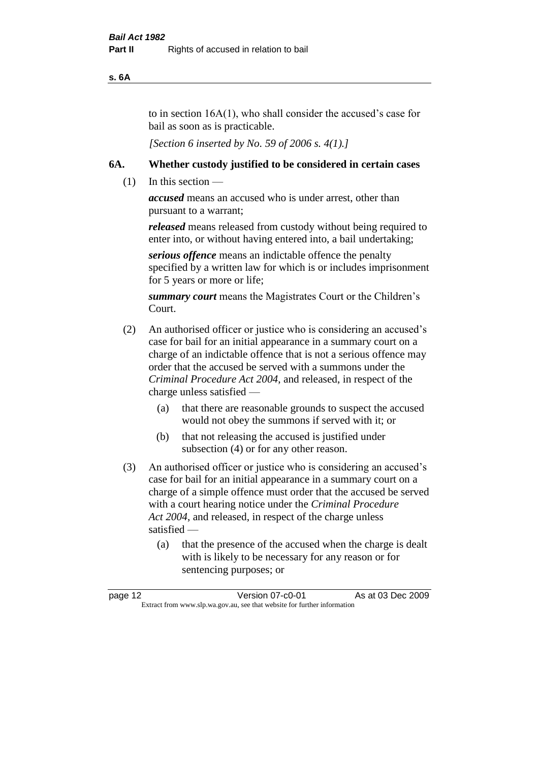#### **s. 6A**

to in section 16A(1), who shall consider the accused's case for bail as soon as is practicable.

*[Section 6 inserted by No. 59 of 2006 s. 4(1).]* 

#### **6A. Whether custody justified to be considered in certain cases**

(1) In this section —

*accused* means an accused who is under arrest, other than pursuant to a warrant;

*released* means released from custody without being required to enter into, or without having entered into, a bail undertaking;

*serious offence* means an indictable offence the penalty specified by a written law for which is or includes imprisonment for 5 years or more or life;

*summary court* means the Magistrates Court or the Children's Court.

- (2) An authorised officer or justice who is considering an accused's case for bail for an initial appearance in a summary court on a charge of an indictable offence that is not a serious offence may order that the accused be served with a summons under the *Criminal Procedure Act 2004*, and released, in respect of the charge unless satisfied —
	- (a) that there are reasonable grounds to suspect the accused would not obey the summons if served with it; or
	- (b) that not releasing the accused is justified under subsection (4) or for any other reason.
- (3) An authorised officer or justice who is considering an accused's case for bail for an initial appearance in a summary court on a charge of a simple offence must order that the accused be served with a court hearing notice under the *Criminal Procedure Act 2004*, and released, in respect of the charge unless satisfied —
	- (a) that the presence of the accused when the charge is dealt with is likely to be necessary for any reason or for sentencing purposes; or

| page 12 | Version 07-c0-01                                                         | As at 03 Dec 2009 |
|---------|--------------------------------------------------------------------------|-------------------|
|         | Extract from www.slp.wa.gov.au, see that website for further information |                   |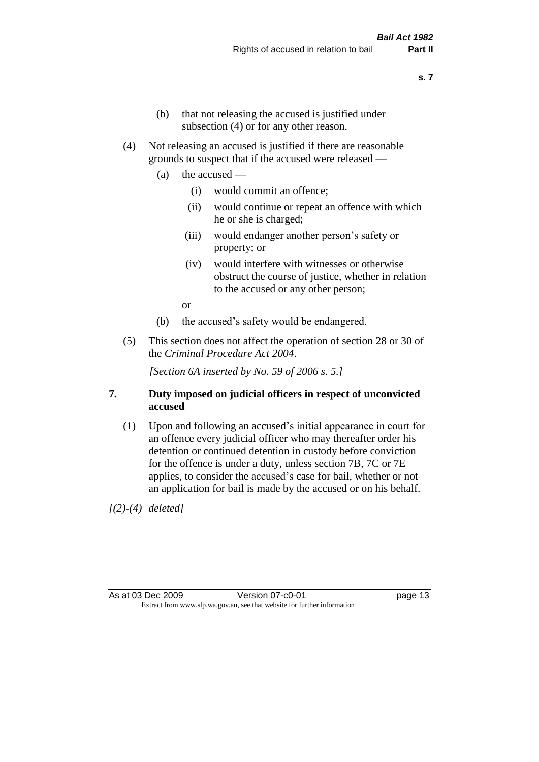- (b) that not releasing the accused is justified under subsection (4) or for any other reason.
- (4) Not releasing an accused is justified if there are reasonable grounds to suspect that if the accused were released —
	- (a) the accused
		- (i) would commit an offence;
		- (ii) would continue or repeat an offence with which he or she is charged;
		- (iii) would endanger another person's safety or property; or
		- (iv) would interfere with witnesses or otherwise obstruct the course of justice, whether in relation to the accused or any other person;

or

- (b) the accused's safety would be endangered.
- (5) This section does not affect the operation of section 28 or 30 of the *Criminal Procedure Act 2004*.

*[Section 6A inserted by No. 59 of 2006 s. 5.]* 

#### **7. Duty imposed on judicial officers in respect of unconvicted accused**

(1) Upon and following an accused's initial appearance in court for an offence every judicial officer who may thereafter order his detention or continued detention in custody before conviction for the offence is under a duty, unless section 7B, 7C or 7E applies, to consider the accused's case for bail, whether or not an application for bail is made by the accused or on his behalf.

*[(2)-(4) deleted]*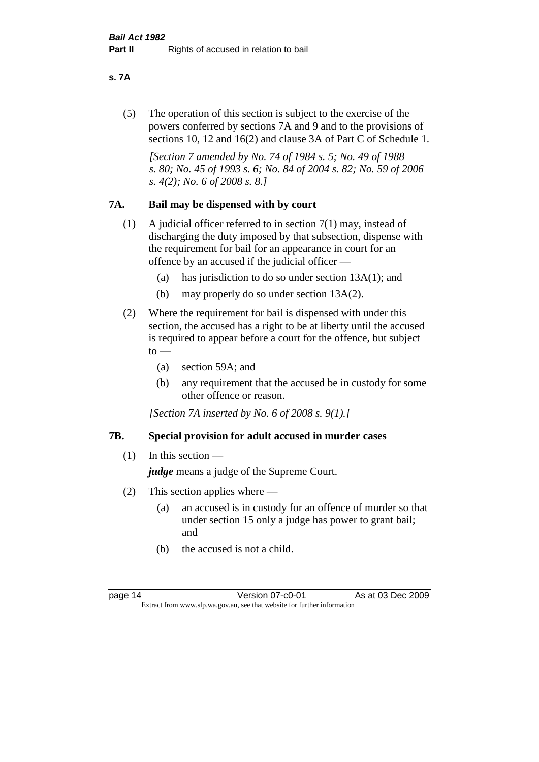#### **s. 7A**

(5) The operation of this section is subject to the exercise of the powers conferred by sections 7A and 9 and to the provisions of sections 10, 12 and 16(2) and clause 3A of Part C of Schedule 1.

*[Section 7 amended by No. 74 of 1984 s. 5; No. 49 of 1988 s. 80; No. 45 of 1993 s. 6; No. 84 of 2004 s. 82; No. 59 of 2006 s. 4(2); No. 6 of 2008 s. 8.]* 

#### **7A. Bail may be dispensed with by court**

- (1) A judicial officer referred to in section 7(1) may, instead of discharging the duty imposed by that subsection, dispense with the requirement for bail for an appearance in court for an offence by an accused if the judicial officer —
	- (a) has jurisdiction to do so under section 13A(1); and
	- (b) may properly do so under section 13A(2).
- (2) Where the requirement for bail is dispensed with under this section, the accused has a right to be at liberty until the accused is required to appear before a court for the offence, but subject  $\mathrm{to}$  —
	- (a) section 59A; and
	- (b) any requirement that the accused be in custody for some other offence or reason.

*[Section 7A inserted by No. 6 of 2008 s. 9(1).]*

#### **7B. Special provision for adult accused in murder cases**

 $(1)$  In this section —

*judge* means a judge of the Supreme Court.

- (2) This section applies where
	- (a) an accused is in custody for an offence of murder so that under section 15 only a judge has power to grant bail; and
	- (b) the accused is not a child.

page 14 **Version 07-c0-01** As at 03 Dec 2009 Extract from www.slp.wa.gov.au, see that website for further information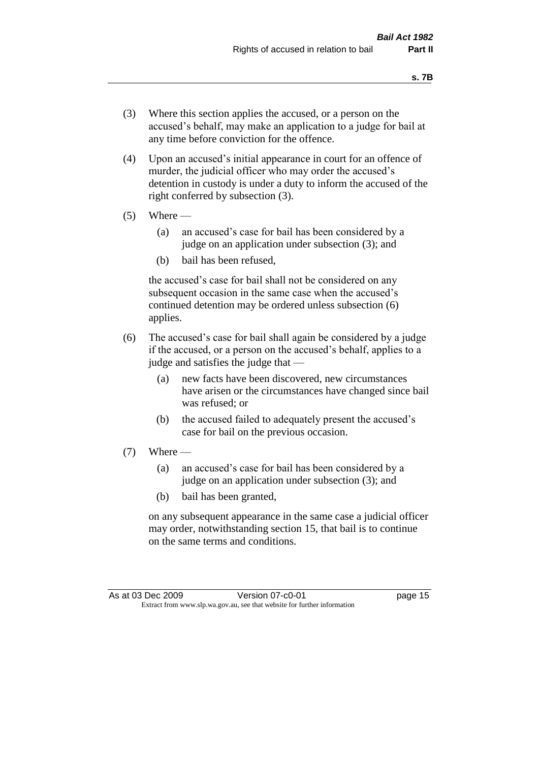- (3) Where this section applies the accused, or a person on the accused's behalf, may make an application to a judge for bail at any time before conviction for the offence.
- (4) Upon an accused's initial appearance in court for an offence of murder, the judicial officer who may order the accused's detention in custody is under a duty to inform the accused of the right conferred by subsection (3).
- $(5)$  Where
	- (a) an accused's case for bail has been considered by a judge on an application under subsection (3); and
	- (b) bail has been refused,

the accused's case for bail shall not be considered on any subsequent occasion in the same case when the accused's continued detention may be ordered unless subsection (6) applies.

- (6) The accused's case for bail shall again be considered by a judge if the accused, or a person on the accused's behalf, applies to a judge and satisfies the judge that —
	- (a) new facts have been discovered, new circumstances have arisen or the circumstances have changed since bail was refused; or
	- (b) the accused failed to adequately present the accused's case for bail on the previous occasion.
- $(7)$  Where
	- (a) an accused's case for bail has been considered by a judge on an application under subsection (3); and
	- (b) bail has been granted,

on any subsequent appearance in the same case a judicial officer may order, notwithstanding section 15, that bail is to continue on the same terms and conditions.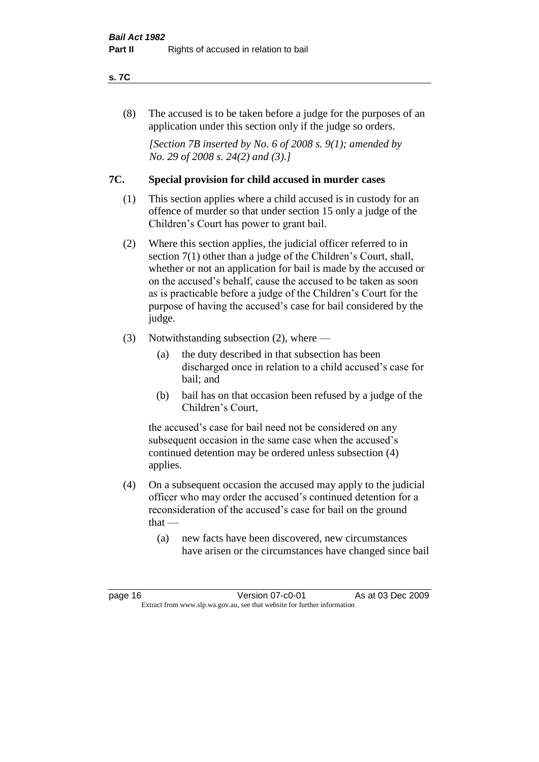#### **s. 7C**

(8) The accused is to be taken before a judge for the purposes of an application under this section only if the judge so orders.

*[Section 7B inserted by No. 6 of 2008 s. 9(1); amended by No. 29 of 2008 s. 24(2) and (3).]*

#### **7C. Special provision for child accused in murder cases**

- (1) This section applies where a child accused is in custody for an offence of murder so that under section 15 only a judge of the Children's Court has power to grant bail.
- (2) Where this section applies, the judicial officer referred to in section 7(1) other than a judge of the Children's Court, shall, whether or not an application for bail is made by the accused or on the accused's behalf, cause the accused to be taken as soon as is practicable before a judge of the Children's Court for the purpose of having the accused's case for bail considered by the judge.
- (3) Notwithstanding subsection (2), where
	- (a) the duty described in that subsection has been discharged once in relation to a child accused's case for bail; and
	- (b) bail has on that occasion been refused by a judge of the Children's Court,

the accused's case for bail need not be considered on any subsequent occasion in the same case when the accused's continued detention may be ordered unless subsection (4) applies.

- (4) On a subsequent occasion the accused may apply to the judicial officer who may order the accused's continued detention for a reconsideration of the accused's case for bail on the ground  $that -$ 
	- (a) new facts have been discovered, new circumstances have arisen or the circumstances have changed since bail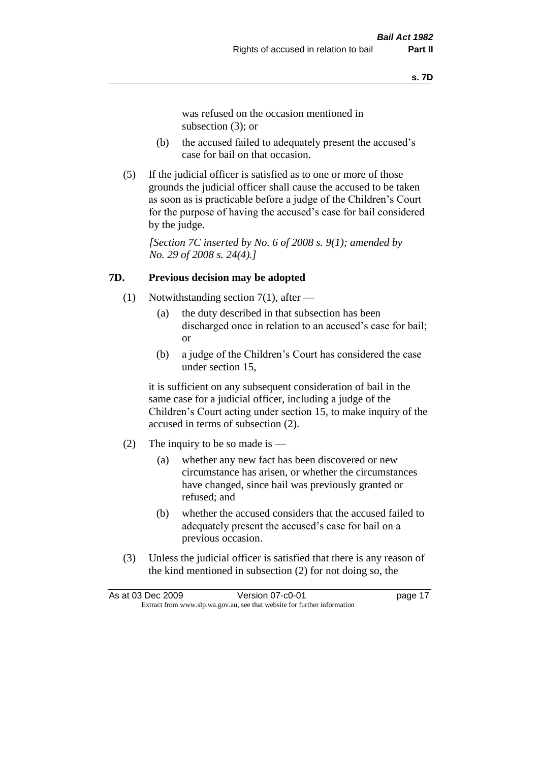was refused on the occasion mentioned in subsection (3); or

- (b) the accused failed to adequately present the accused's case for bail on that occasion.
- (5) If the judicial officer is satisfied as to one or more of those grounds the judicial officer shall cause the accused to be taken as soon as is practicable before a judge of the Children's Court for the purpose of having the accused's case for bail considered by the judge.

*[Section 7C inserted by No. 6 of 2008 s. 9(1); amended by No. 29 of 2008 s. 24(4).]*

#### **7D. Previous decision may be adopted**

- (1) Notwithstanding section 7(1), after
	- (a) the duty described in that subsection has been discharged once in relation to an accused's case for bail; or
	- (b) a judge of the Children's Court has considered the case under section 15,

it is sufficient on any subsequent consideration of bail in the same case for a judicial officer, including a judge of the Children's Court acting under section 15, to make inquiry of the accused in terms of subsection (2).

- (2) The inquiry to be so made is  $-$ 
	- (a) whether any new fact has been discovered or new circumstance has arisen, or whether the circumstances have changed, since bail was previously granted or refused; and
	- (b) whether the accused considers that the accused failed to adequately present the accused's case for bail on a previous occasion.
- (3) Unless the judicial officer is satisfied that there is any reason of the kind mentioned in subsection (2) for not doing so, the

| As at 03 Dec 2009 |                                                                          | Version 07-c0-01 | page 17 |
|-------------------|--------------------------------------------------------------------------|------------------|---------|
|                   | Extract from www.slp.wa.gov.au, see that website for further information |                  |         |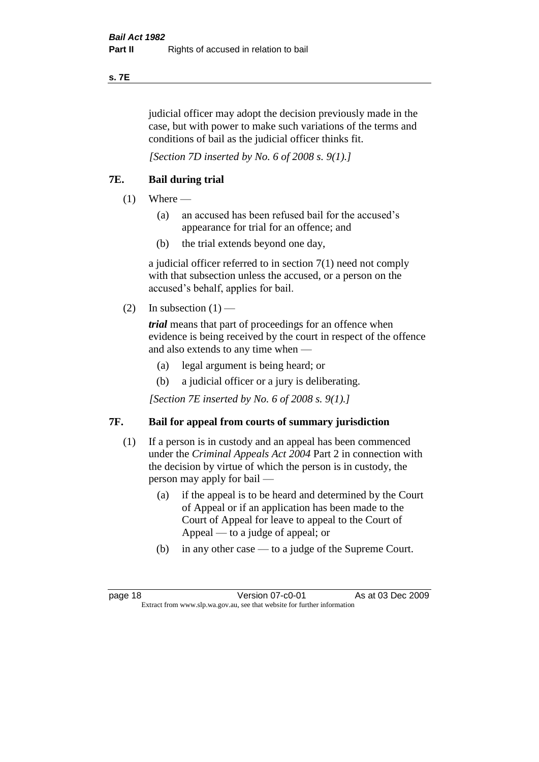#### **s. 7E**

judicial officer may adopt the decision previously made in the case, but with power to make such variations of the terms and conditions of bail as the judicial officer thinks fit.

*[Section 7D inserted by No. 6 of 2008 s. 9(1).]*

#### **7E. Bail during trial**

- $(1)$  Where
	- (a) an accused has been refused bail for the accused's appearance for trial for an offence; and
	- (b) the trial extends beyond one day,

a judicial officer referred to in section 7(1) need not comply with that subsection unless the accused, or a person on the accused's behalf, applies for bail.

(2) In subsection  $(1)$  —

*trial* means that part of proceedings for an offence when evidence is being received by the court in respect of the offence and also extends to any time when —

- (a) legal argument is being heard; or
- (b) a judicial officer or a jury is deliberating.

*[Section 7E inserted by No. 6 of 2008 s. 9(1).]*

#### **7F. Bail for appeal from courts of summary jurisdiction**

- (1) If a person is in custody and an appeal has been commenced under the *Criminal Appeals Act 2004* Part 2 in connection with the decision by virtue of which the person is in custody, the person may apply for bail —
	- (a) if the appeal is to be heard and determined by the Court of Appeal or if an application has been made to the Court of Appeal for leave to appeal to the Court of Appeal — to a judge of appeal; or
	- (b) in any other case to a judge of the Supreme Court.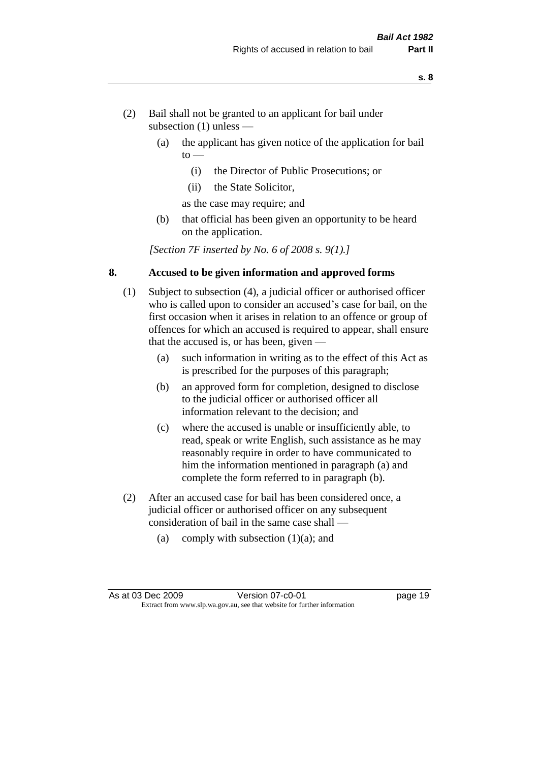- (2) Bail shall not be granted to an applicant for bail under subsection (1) unless —
	- (a) the applicant has given notice of the application for bail  $to -$ 
		- (i) the Director of Public Prosecutions; or
		- (ii) the State Solicitor,
		- as the case may require; and
	- (b) that official has been given an opportunity to be heard on the application.

*[Section 7F inserted by No. 6 of 2008 s. 9(1).]*

#### **8. Accused to be given information and approved forms**

- (1) Subject to subsection (4), a judicial officer or authorised officer who is called upon to consider an accused's case for bail, on the first occasion when it arises in relation to an offence or group of offences for which an accused is required to appear, shall ensure that the accused is, or has been, given —
	- (a) such information in writing as to the effect of this Act as is prescribed for the purposes of this paragraph;
	- (b) an approved form for completion, designed to disclose to the judicial officer or authorised officer all information relevant to the decision; and
	- (c) where the accused is unable or insufficiently able, to read, speak or write English, such assistance as he may reasonably require in order to have communicated to him the information mentioned in paragraph (a) and complete the form referred to in paragraph (b).
- (2) After an accused case for bail has been considered once, a judicial officer or authorised officer on any subsequent consideration of bail in the same case shall —
	- (a) comply with subsection  $(1)(a)$ ; and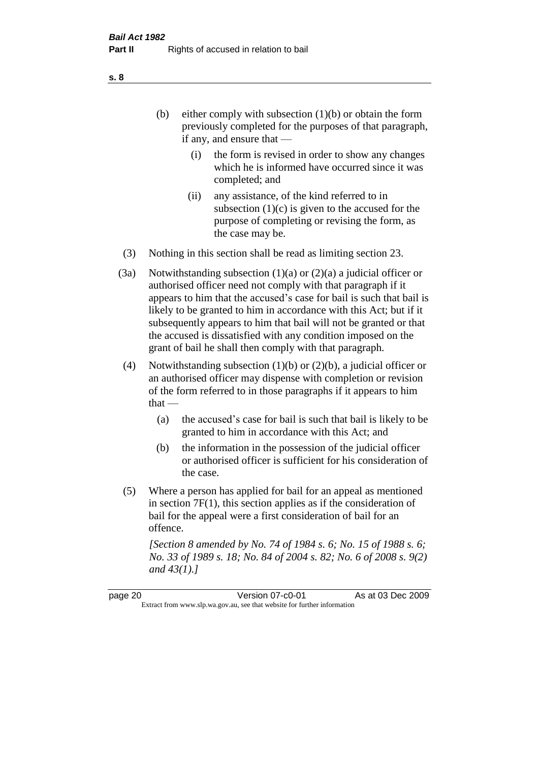- (b) either comply with subsection  $(1)(b)$  or obtain the form previously completed for the purposes of that paragraph, if any, and ensure that —
	- (i) the form is revised in order to show any changes which he is informed have occurred since it was completed; and
	- (ii) any assistance, of the kind referred to in subsection  $(1)(c)$  is given to the accused for the purpose of completing or revising the form, as the case may be.
- (3) Nothing in this section shall be read as limiting section 23.
- (3a) Notwithstanding subsection  $(1)(a)$  or  $(2)(a)$  a judicial officer or authorised officer need not comply with that paragraph if it appears to him that the accused's case for bail is such that bail is likely to be granted to him in accordance with this Act; but if it subsequently appears to him that bail will not be granted or that the accused is dissatisfied with any condition imposed on the grant of bail he shall then comply with that paragraph.
- (4) Notwithstanding subsection (1)(b) or (2)(b), a judicial officer or an authorised officer may dispense with completion or revision of the form referred to in those paragraphs if it appears to him  $that -$ 
	- (a) the accused's case for bail is such that bail is likely to be granted to him in accordance with this Act; and
	- (b) the information in the possession of the judicial officer or authorised officer is sufficient for his consideration of the case.
- (5) Where a person has applied for bail for an appeal as mentioned in section 7F(1), this section applies as if the consideration of bail for the appeal were a first consideration of bail for an offence.

*[Section 8 amended by No. 74 of 1984 s. 6; No. 15 of 1988 s. 6; No. 33 of 1989 s. 18; No. 84 of 2004 s. 82; No. 6 of 2008 s. 9(2) and 43(1).]* 

page 20 **Version 07-c0-01** As at 03 Dec 2009 Extract from www.slp.wa.gov.au, see that website for further information

**s. 8**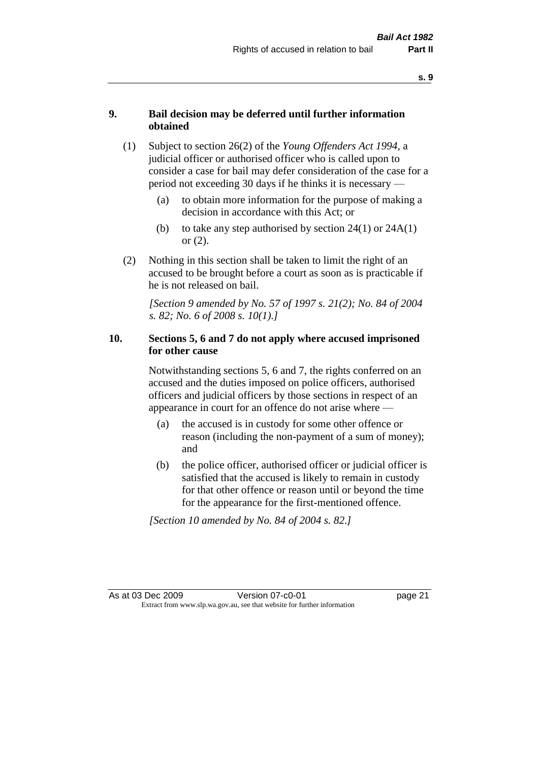#### **9. Bail decision may be deferred until further information obtained**

- (1) Subject to section 26(2) of the *Young Offenders Act 1994*, a judicial officer or authorised officer who is called upon to consider a case for bail may defer consideration of the case for a period not exceeding 30 days if he thinks it is necessary —
	- (a) to obtain more information for the purpose of making a decision in accordance with this Act; or
	- (b) to take any step authorised by section  $24(1)$  or  $24A(1)$ or (2).
- (2) Nothing in this section shall be taken to limit the right of an accused to be brought before a court as soon as is practicable if he is not released on bail.

*[Section 9 amended by No. 57 of 1997 s. 21(2); No. 84 of 2004 s. 82; No. 6 of 2008 s. 10(1).]*

#### **10. Sections 5, 6 and 7 do not apply where accused imprisoned for other cause**

Notwithstanding sections 5, 6 and 7, the rights conferred on an accused and the duties imposed on police officers, authorised officers and judicial officers by those sections in respect of an appearance in court for an offence do not arise where —

- (a) the accused is in custody for some other offence or reason (including the non-payment of a sum of money); and
- (b) the police officer, authorised officer or judicial officer is satisfied that the accused is likely to remain in custody for that other offence or reason until or beyond the time for the appearance for the first-mentioned offence.

*[Section 10 amended by No. 84 of 2004 s. 82.]*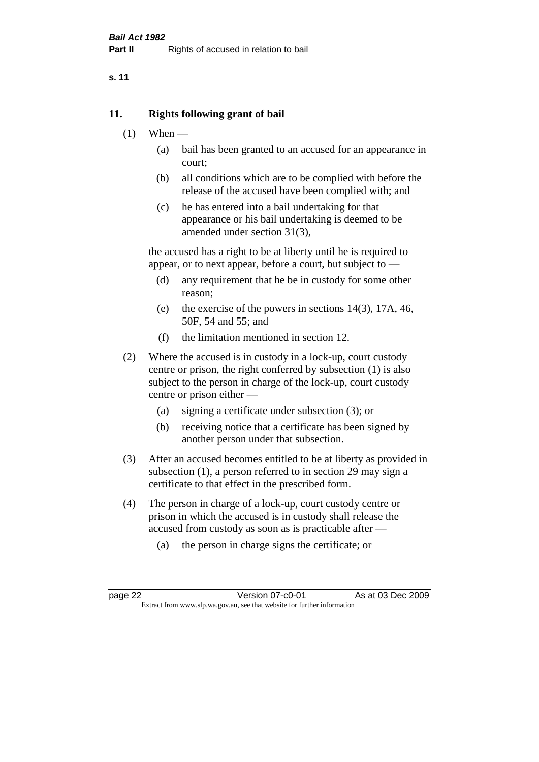#### **11. Rights following grant of bail**

- $(1)$  When
	- (a) bail has been granted to an accused for an appearance in court;
	- (b) all conditions which are to be complied with before the release of the accused have been complied with; and
	- (c) he has entered into a bail undertaking for that appearance or his bail undertaking is deemed to be amended under section 31(3),

the accused has a right to be at liberty until he is required to appear, or to next appear, before a court, but subject to —

- (d) any requirement that he be in custody for some other reason;
- (e) the exercise of the powers in sections 14(3), 17A, 46, 50F, 54 and 55; and
- (f) the limitation mentioned in section 12.
- (2) Where the accused is in custody in a lock-up, court custody centre or prison, the right conferred by subsection (1) is also subject to the person in charge of the lock-up, court custody centre or prison either —
	- (a) signing a certificate under subsection (3); or
	- (b) receiving notice that a certificate has been signed by another person under that subsection.
- (3) After an accused becomes entitled to be at liberty as provided in subsection (1), a person referred to in section 29 may sign a certificate to that effect in the prescribed form.
- (4) The person in charge of a lock-up, court custody centre or prison in which the accused is in custody shall release the accused from custody as soon as is practicable after —
	- (a) the person in charge signs the certificate; or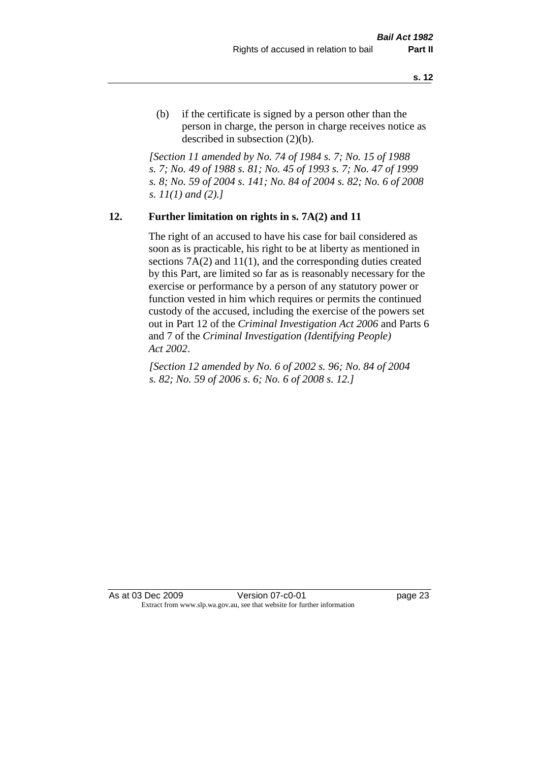(b) if the certificate is signed by a person other than the person in charge, the person in charge receives notice as described in subsection (2)(b).

*[Section 11 amended by No. 74 of 1984 s. 7; No. 15 of 1988 s. 7; No. 49 of 1988 s. 81; No. 45 of 1993 s. 7; No. 47 of 1999 s. 8; No. 59 of 2004 s. 141; No. 84 of 2004 s. 82; No. 6 of 2008 s. 11(1) and (2).]* 

#### **12. Further limitation on rights in s. 7A(2) and 11**

The right of an accused to have his case for bail considered as soon as is practicable, his right to be at liberty as mentioned in sections 7A(2) and 11(1), and the corresponding duties created by this Part, are limited so far as is reasonably necessary for the exercise or performance by a person of any statutory power or function vested in him which requires or permits the continued custody of the accused, including the exercise of the powers set out in Part 12 of the *Criminal Investigation Act 2006* and Parts 6 and 7 of the *Criminal Investigation (Identifying People) Act 2002*.

*[Section 12 amended by No. 6 of 2002 s. 96; No. 84 of 2004 s. 82; No. 59 of 2006 s. 6; No. 6 of 2008 s. 12.]*

As at 03 Dec 2009 Version 07-c0-01 Page 23 Extract from www.slp.wa.gov.au, see that website for further information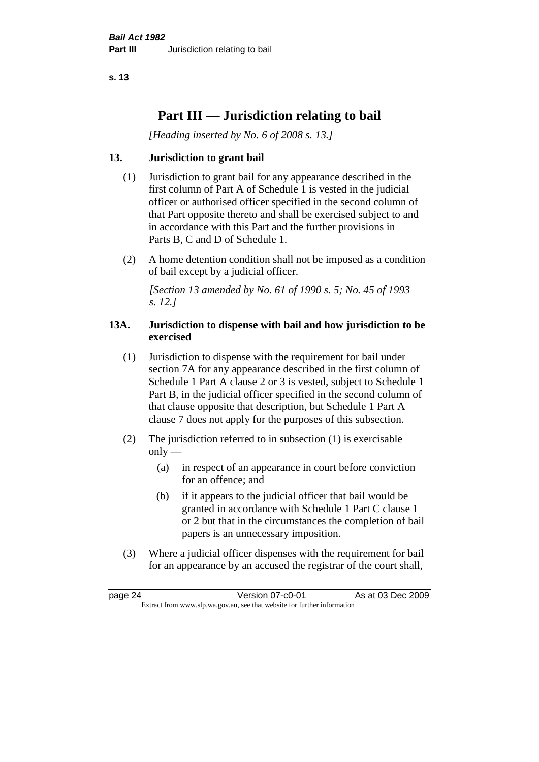# **Part III — Jurisdiction relating to bail**

*[Heading inserted by No. 6 of 2008 s. 13.]*

#### **13. Jurisdiction to grant bail**

- (1) Jurisdiction to grant bail for any appearance described in the first column of Part A of Schedule 1 is vested in the judicial officer or authorised officer specified in the second column of that Part opposite thereto and shall be exercised subject to and in accordance with this Part and the further provisions in Parts B, C and D of Schedule 1.
- (2) A home detention condition shall not be imposed as a condition of bail except by a judicial officer.

*[Section 13 amended by No. 61 of 1990 s. 5; No. 45 of 1993 s. 12.]* 

#### **13A. Jurisdiction to dispense with bail and how jurisdiction to be exercised**

- (1) Jurisdiction to dispense with the requirement for bail under section 7A for any appearance described in the first column of Schedule 1 Part A clause 2 or 3 is vested, subject to Schedule 1 Part B, in the judicial officer specified in the second column of that clause opposite that description, but Schedule 1 Part A clause 7 does not apply for the purposes of this subsection.
- (2) The jurisdiction referred to in subsection (1) is exercisable  $only$ —
	- (a) in respect of an appearance in court before conviction for an offence; and
	- (b) if it appears to the judicial officer that bail would be granted in accordance with Schedule 1 Part C clause 1 or 2 but that in the circumstances the completion of bail papers is an unnecessary imposition.
- (3) Where a judicial officer dispenses with the requirement for bail for an appearance by an accused the registrar of the court shall,

page 24 Version 07-c0-01 As at 03 Dec 2009 Extract from www.slp.wa.gov.au, see that website for further information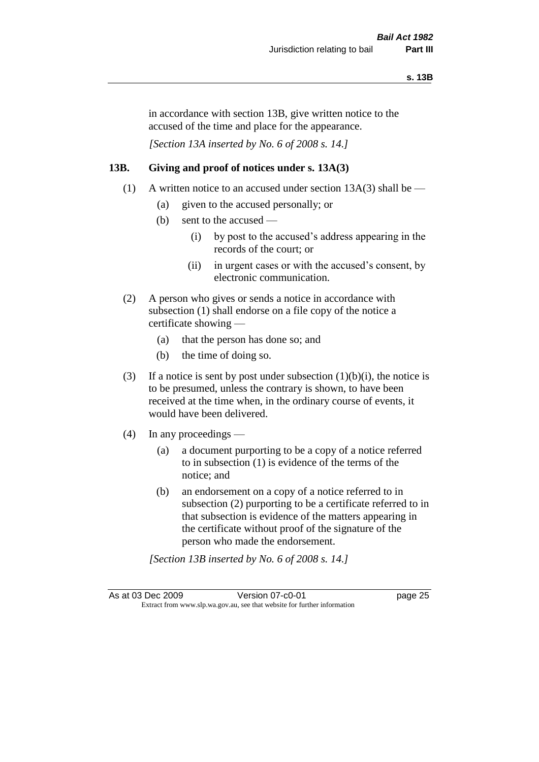in accordance with section 13B, give written notice to the accused of the time and place for the appearance.

*[Section 13A inserted by No. 6 of 2008 s. 14.]*

#### **13B. Giving and proof of notices under s. 13A(3)**

- (1) A written notice to an accused under section 13A(3) shall be
	- (a) given to the accused personally; or
	- (b) sent to the accused
		- (i) by post to the accused's address appearing in the records of the court; or
		- (ii) in urgent cases or with the accused's consent, by electronic communication.
- (2) A person who gives or sends a notice in accordance with subsection (1) shall endorse on a file copy of the notice a certificate showing —
	- (a) that the person has done so; and
	- (b) the time of doing so.
- (3) If a notice is sent by post under subsection  $(1)(b)(i)$ , the notice is to be presumed, unless the contrary is shown, to have been received at the time when, in the ordinary course of events, it would have been delivered.
- (4) In any proceedings
	- (a) a document purporting to be a copy of a notice referred to in subsection (1) is evidence of the terms of the notice; and
	- (b) an endorsement on a copy of a notice referred to in subsection (2) purporting to be a certificate referred to in that subsection is evidence of the matters appearing in the certificate without proof of the signature of the person who made the endorsement.

*[Section 13B inserted by No. 6 of 2008 s. 14.]*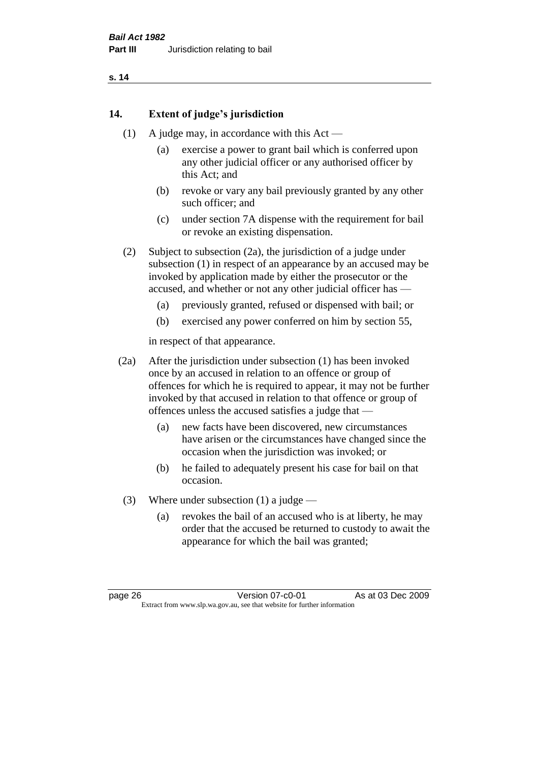#### **14. Extent of judge's jurisdiction**

- (1) A judge may, in accordance with this Act
	- (a) exercise a power to grant bail which is conferred upon any other judicial officer or any authorised officer by this Act; and
	- (b) revoke or vary any bail previously granted by any other such officer; and
	- (c) under section 7A dispense with the requirement for bail or revoke an existing dispensation.

(2) Subject to subsection (2a), the jurisdiction of a judge under subsection (1) in respect of an appearance by an accused may be invoked by application made by either the prosecutor or the accused, and whether or not any other judicial officer has —

- (a) previously granted, refused or dispensed with bail; or
- (b) exercised any power conferred on him by section 55,

in respect of that appearance.

(2a) After the jurisdiction under subsection (1) has been invoked once by an accused in relation to an offence or group of offences for which he is required to appear, it may not be further invoked by that accused in relation to that offence or group of offences unless the accused satisfies a judge that —

- (a) new facts have been discovered, new circumstances have arisen or the circumstances have changed since the occasion when the jurisdiction was invoked; or
- (b) he failed to adequately present his case for bail on that occasion.
- (3) Where under subsection (1) a judge
	- (a) revokes the bail of an accused who is at liberty, he may order that the accused be returned to custody to await the appearance for which the bail was granted;

page 26 Version 07-c0-01 As at 03 Dec 2009 Extract from www.slp.wa.gov.au, see that website for further information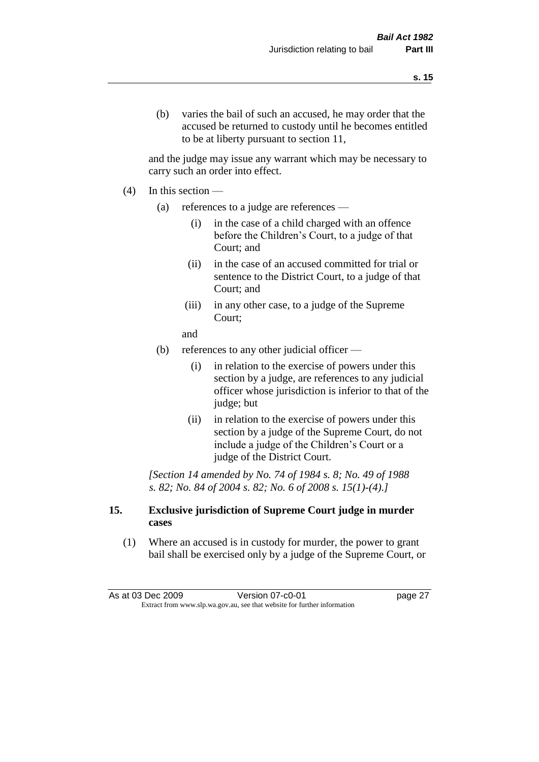(b) varies the bail of such an accused, he may order that the accused be returned to custody until he becomes entitled to be at liberty pursuant to section 11,

and the judge may issue any warrant which may be necessary to carry such an order into effect.

- $(4)$  In this section
	- (a) references to a judge are references
		- (i) in the case of a child charged with an offence before the Children's Court, to a judge of that Court; and
		- (ii) in the case of an accused committed for trial or sentence to the District Court, to a judge of that Court; and
		- (iii) in any other case, to a judge of the Supreme Court;
		- and
	- (b) references to any other judicial officer
		- (i) in relation to the exercise of powers under this section by a judge, are references to any judicial officer whose jurisdiction is inferior to that of the judge; but
		- (ii) in relation to the exercise of powers under this section by a judge of the Supreme Court, do not include a judge of the Children's Court or a judge of the District Court.

*[Section 14 amended by No. 74 of 1984 s. 8; No. 49 of 1988 s. 82; No. 84 of 2004 s. 82; No. 6 of 2008 s. 15(1)-(4).]* 

#### **15. Exclusive jurisdiction of Supreme Court judge in murder cases**

(1) Where an accused is in custody for murder, the power to grant bail shall be exercised only by a judge of the Supreme Court, or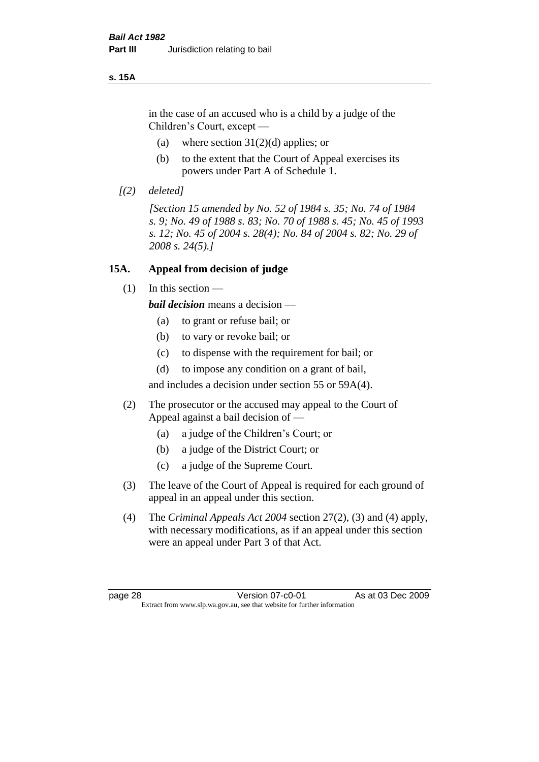#### **s. 15A**

in the case of an accused who is a child by a judge of the Children's Court, except —

- (a) where section  $31(2)(d)$  applies; or
- (b) to the extent that the Court of Appeal exercises its powers under Part A of Schedule 1.
- *[(2) deleted]*

*[Section 15 amended by No. 52 of 1984 s. 35; No. 74 of 1984 s. 9; No. 49 of 1988 s. 83; No. 70 of 1988 s. 45; No. 45 of 1993 s. 12; No. 45 of 2004 s. 28(4); No. 84 of 2004 s. 82; No. 29 of 2008 s. 24(5).]* 

#### **15A. Appeal from decision of judge**

 $(1)$  In this section —

*bail decision* means a decision —

- (a) to grant or refuse bail; or
- (b) to vary or revoke bail; or
- (c) to dispense with the requirement for bail; or
- (d) to impose any condition on a grant of bail,

and includes a decision under section 55 or 59A(4).

- (2) The prosecutor or the accused may appeal to the Court of Appeal against a bail decision of —
	- (a) a judge of the Children's Court; or
	- (b) a judge of the District Court; or
	- (c) a judge of the Supreme Court.
- (3) The leave of the Court of Appeal is required for each ground of appeal in an appeal under this section.
- (4) The *Criminal Appeals Act 2004* section 27(2), (3) and (4) apply, with necessary modifications, as if an appeal under this section were an appeal under Part 3 of that Act.

page 28 **Version 07-c0-01** As at 03 Dec 2009 Extract from www.slp.wa.gov.au, see that website for further information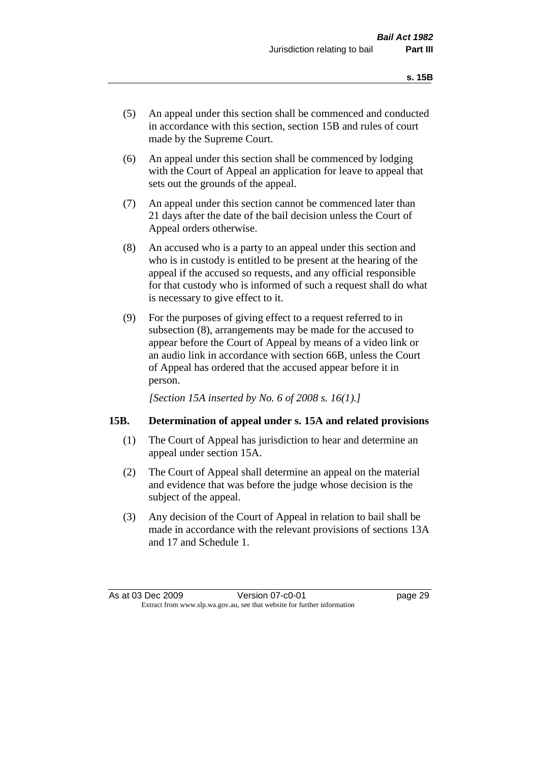- (5) An appeal under this section shall be commenced and conducted in accordance with this section, section 15B and rules of court made by the Supreme Court.
- (6) An appeal under this section shall be commenced by lodging with the Court of Appeal an application for leave to appeal that sets out the grounds of the appeal.
- (7) An appeal under this section cannot be commenced later than 21 days after the date of the bail decision unless the Court of Appeal orders otherwise.
- (8) An accused who is a party to an appeal under this section and who is in custody is entitled to be present at the hearing of the appeal if the accused so requests, and any official responsible for that custody who is informed of such a request shall do what is necessary to give effect to it.
- (9) For the purposes of giving effect to a request referred to in subsection (8), arrangements may be made for the accused to appear before the Court of Appeal by means of a video link or an audio link in accordance with section 66B, unless the Court of Appeal has ordered that the accused appear before it in person.

*[Section 15A inserted by No. 6 of 2008 s. 16(1).]*

## **15B. Determination of appeal under s. 15A and related provisions**

- (1) The Court of Appeal has jurisdiction to hear and determine an appeal under section 15A.
- (2) The Court of Appeal shall determine an appeal on the material and evidence that was before the judge whose decision is the subject of the appeal.
- (3) Any decision of the Court of Appeal in relation to bail shall be made in accordance with the relevant provisions of sections 13A and 17 and Schedule 1.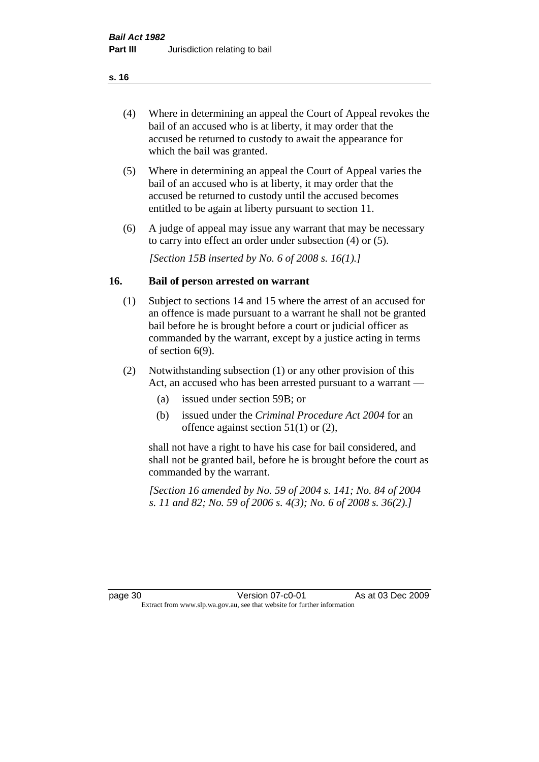- (4) Where in determining an appeal the Court of Appeal revokes the bail of an accused who is at liberty, it may order that the accused be returned to custody to await the appearance for which the bail was granted.
- (5) Where in determining an appeal the Court of Appeal varies the bail of an accused who is at liberty, it may order that the accused be returned to custody until the accused becomes entitled to be again at liberty pursuant to section 11.
- (6) A judge of appeal may issue any warrant that may be necessary to carry into effect an order under subsection (4) or (5).

*[Section 15B inserted by No. 6 of 2008 s. 16(1).]*

#### **16. Bail of person arrested on warrant**

- (1) Subject to sections 14 and 15 where the arrest of an accused for an offence is made pursuant to a warrant he shall not be granted bail before he is brought before a court or judicial officer as commanded by the warrant, except by a justice acting in terms of section 6(9).
- (2) Notwithstanding subsection (1) or any other provision of this Act, an accused who has been arrested pursuant to a warrant —
	- (a) issued under section 59B; or
	- (b) issued under the *Criminal Procedure Act 2004* for an offence against section 51(1) or (2),

shall not have a right to have his case for bail considered, and shall not be granted bail, before he is brought before the court as commanded by the warrant.

*[Section 16 amended by No. 59 of 2004 s. 141; No. 84 of 2004 s. 11 and 82; No. 59 of 2006 s. 4(3); No. 6 of 2008 s. 36(2).]*

page 30 **Version 07-c0-01** As at 03 Dec 2009 Extract from www.slp.wa.gov.au, see that website for further information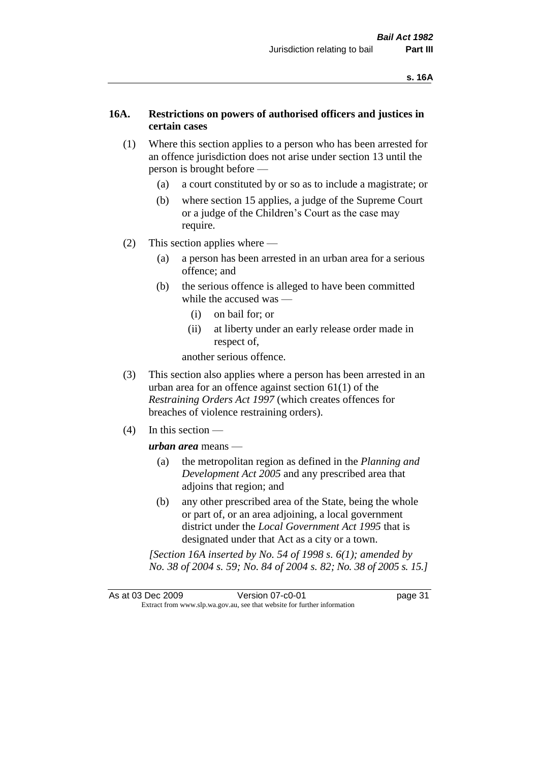#### **16A. Restrictions on powers of authorised officers and justices in certain cases**

- (1) Where this section applies to a person who has been arrested for an offence jurisdiction does not arise under section 13 until the person is brought before —
	- (a) a court constituted by or so as to include a magistrate; or
	- (b) where section 15 applies, a judge of the Supreme Court or a judge of the Children's Court as the case may require.
- (2) This section applies where
	- (a) a person has been arrested in an urban area for a serious offence; and
	- (b) the serious offence is alleged to have been committed while the accused was —
		- (i) on bail for; or
		- (ii) at liberty under an early release order made in respect of,

another serious offence.

- (3) This section also applies where a person has been arrested in an urban area for an offence against section 61(1) of the *Restraining Orders Act 1997* (which creates offences for breaches of violence restraining orders).
- (4) In this section —

*urban area* means —

- (a) the metropolitan region as defined in the *Planning and Development Act 2005* and any prescribed area that adjoins that region; and
- (b) any other prescribed area of the State, being the whole or part of, or an area adjoining, a local government district under the *Local Government Act 1995* that is designated under that Act as a city or a town.

*[Section 16A inserted by No. 54 of 1998 s. 6(1); amended by No. 38 of 2004 s. 59; No. 84 of 2004 s. 82; No. 38 of 2005 s. 15.]*

As at 03 Dec 2009 Version 07-c0-01 Page 31 Extract from www.slp.wa.gov.au, see that website for further information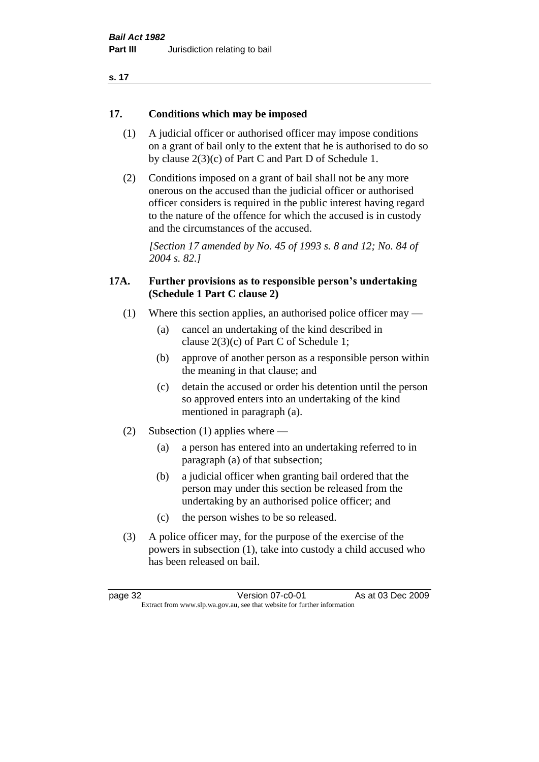#### **17. Conditions which may be imposed**

- (1) A judicial officer or authorised officer may impose conditions on a grant of bail only to the extent that he is authorised to do so by clause 2(3)(c) of Part C and Part D of Schedule 1.
- (2) Conditions imposed on a grant of bail shall not be any more onerous on the accused than the judicial officer or authorised officer considers is required in the public interest having regard to the nature of the offence for which the accused is in custody and the circumstances of the accused.

*[Section 17 amended by No. 45 of 1993 s. 8 and 12; No. 84 of 2004 s. 82.]* 

#### **17A. Further provisions as to responsible person's undertaking (Schedule 1 Part C clause 2)**

- (1) Where this section applies, an authorised police officer may
	- (a) cancel an undertaking of the kind described in clause 2(3)(c) of Part C of Schedule 1;
	- (b) approve of another person as a responsible person within the meaning in that clause; and
	- (c) detain the accused or order his detention until the person so approved enters into an undertaking of the kind mentioned in paragraph (a).
- (2) Subsection (1) applies where
	- (a) a person has entered into an undertaking referred to in paragraph (a) of that subsection;
	- (b) a judicial officer when granting bail ordered that the person may under this section be released from the undertaking by an authorised police officer; and
	- (c) the person wishes to be so released.
- (3) A police officer may, for the purpose of the exercise of the powers in subsection (1), take into custody a child accused who has been released on bail.

page 32 **Version 07-c0-01** As at 03 Dec 2009 Extract from www.slp.wa.gov.au, see that website for further information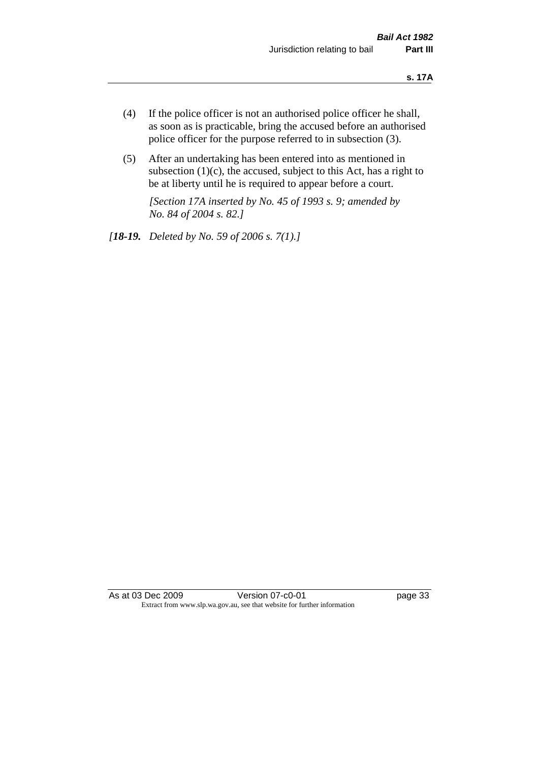- (4) If the police officer is not an authorised police officer he shall, as soon as is practicable, bring the accused before an authorised police officer for the purpose referred to in subsection (3).
- (5) After an undertaking has been entered into as mentioned in subsection  $(1)(c)$ , the accused, subject to this Act, has a right to be at liberty until he is required to appear before a court.

*[Section 17A inserted by No. 45 of 1993 s. 9; amended by No. 84 of 2004 s. 82.]* 

*[18-19. Deleted by No. 59 of 2006 s. 7(1).]*

As at 03 Dec 2009 Version 07-c0-01 Page 33 Extract from www.slp.wa.gov.au, see that website for further information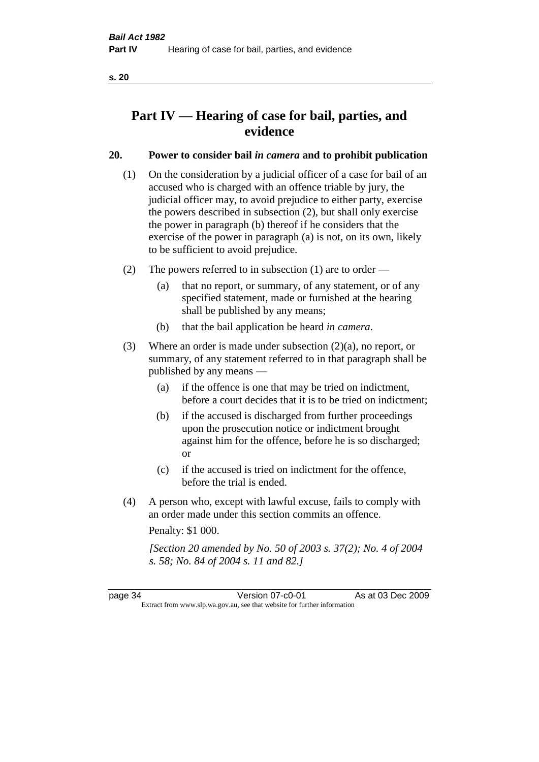# **Part IV — Hearing of case for bail, parties, and evidence**

# **20. Power to consider bail** *in camera* **and to prohibit publication**

- (1) On the consideration by a judicial officer of a case for bail of an accused who is charged with an offence triable by jury, the judicial officer may, to avoid prejudice to either party, exercise the powers described in subsection (2), but shall only exercise the power in paragraph (b) thereof if he considers that the exercise of the power in paragraph (a) is not, on its own, likely to be sufficient to avoid prejudice.
- (2) The powers referred to in subsection (1) are to order
	- (a) that no report, or summary, of any statement, or of any specified statement, made or furnished at the hearing shall be published by any means;
	- (b) that the bail application be heard *in camera*.
- (3) Where an order is made under subsection (2)(a), no report, or summary, of any statement referred to in that paragraph shall be published by any means —
	- (a) if the offence is one that may be tried on indictment, before a court decides that it is to be tried on indictment;
	- (b) if the accused is discharged from further proceedings upon the prosecution notice or indictment brought against him for the offence, before he is so discharged; or
	- (c) if the accused is tried on indictment for the offence, before the trial is ended.
- (4) A person who, except with lawful excuse, fails to comply with an order made under this section commits an offence.

Penalty: \$1 000.

*[Section 20 amended by No. 50 of 2003 s. 37(2); No. 4 of 2004 s. 58; No. 84 of 2004 s. 11 and 82.]*

page 34 Version 07-c0-01 As at 03 Dec 2009 Extract from www.slp.wa.gov.au, see that website for further information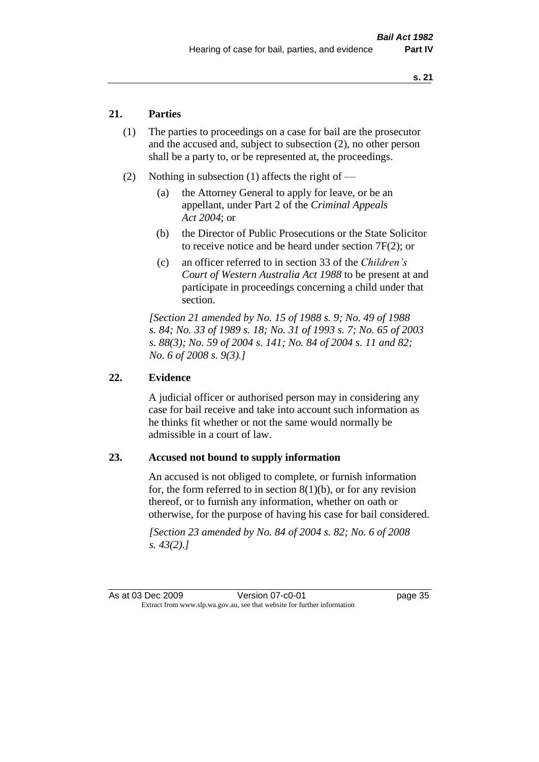# **21. Parties**

- (1) The parties to proceedings on a case for bail are the prosecutor and the accused and, subject to subsection (2), no other person shall be a party to, or be represented at, the proceedings.
- (2) Nothing in subsection (1) affects the right of
	- (a) the Attorney General to apply for leave, or be an appellant, under Part 2 of the *Criminal Appeals Act 2004*; or
	- (b) the Director of Public Prosecutions or the State Solicitor to receive notice and be heard under section 7F(2); or
	- (c) an officer referred to in section 33 of the *Children's Court of Western Australia Act 1988* to be present at and participate in proceedings concerning a child under that section.

*[Section 21 amended by No. 15 of 1988 s. 9; No. 49 of 1988 s. 84; No. 33 of 1989 s. 18; No. 31 of 1993 s. 7; No. 65 of 2003 s. 88(3); No. 59 of 2004 s. 141; No. 84 of 2004 s. 11 and 82; No. 6 of 2008 s. 9(3).]* 

#### **22. Evidence**

A judicial officer or authorised person may in considering any case for bail receive and take into account such information as he thinks fit whether or not the same would normally be admissible in a court of law.

#### **23. Accused not bound to supply information**

An accused is not obliged to complete, or furnish information for, the form referred to in section  $8(1)(b)$ , or for any revision thereof, or to furnish any information, whether on oath or otherwise, for the purpose of having his case for bail considered.

*[Section 23 amended by No. 84 of 2004 s. 82; No. 6 of 2008 s. 43(2).]* 

As at 03 Dec 2009 Version 07-c0-01 Page 35 Extract from www.slp.wa.gov.au, see that website for further information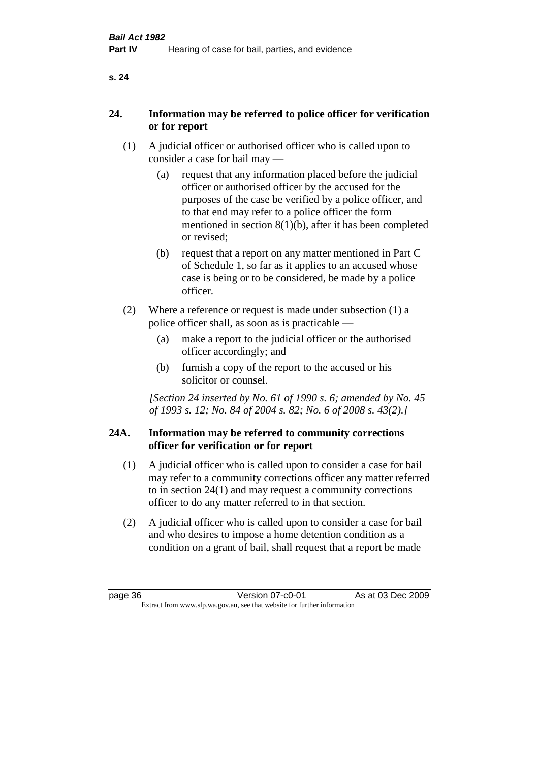| ×<br>×<br>v |
|-------------|
|             |

# **24. Information may be referred to police officer for verification or for report**

- (1) A judicial officer or authorised officer who is called upon to consider a case for bail may —
	- (a) request that any information placed before the judicial officer or authorised officer by the accused for the purposes of the case be verified by a police officer, and to that end may refer to a police officer the form mentioned in section 8(1)(b), after it has been completed or revised;
	- (b) request that a report on any matter mentioned in Part C of Schedule 1, so far as it applies to an accused whose case is being or to be considered, be made by a police officer.
- (2) Where a reference or request is made under subsection (1) a police officer shall, as soon as is practicable —
	- (a) make a report to the judicial officer or the authorised officer accordingly; and
	- (b) furnish a copy of the report to the accused or his solicitor or counsel.

*[Section 24 inserted by No. 61 of 1990 s. 6; amended by No. 45 of 1993 s. 12; No. 84 of 2004 s. 82; No. 6 of 2008 s. 43(2).]* 

#### **24A. Information may be referred to community corrections officer for verification or for report**

- (1) A judicial officer who is called upon to consider a case for bail may refer to a community corrections officer any matter referred to in section 24(1) and may request a community corrections officer to do any matter referred to in that section.
- (2) A judicial officer who is called upon to consider a case for bail and who desires to impose a home detention condition as a condition on a grant of bail, shall request that a report be made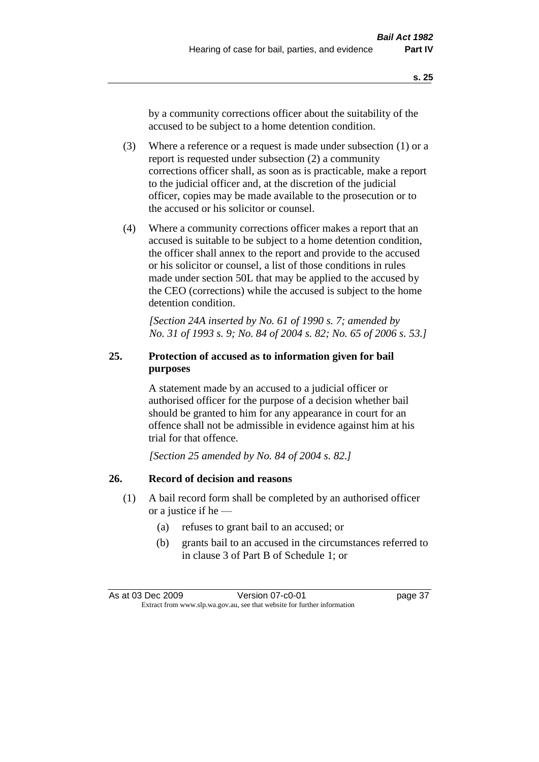by a community corrections officer about the suitability of the accused to be subject to a home detention condition.

- (3) Where a reference or a request is made under subsection (1) or a report is requested under subsection (2) a community corrections officer shall, as soon as is practicable, make a report to the judicial officer and, at the discretion of the judicial officer, copies may be made available to the prosecution or to the accused or his solicitor or counsel.
- (4) Where a community corrections officer makes a report that an accused is suitable to be subject to a home detention condition, the officer shall annex to the report and provide to the accused or his solicitor or counsel, a list of those conditions in rules made under section 50L that may be applied to the accused by the CEO (corrections) while the accused is subject to the home detention condition.

*[Section 24A inserted by No. 61 of 1990 s. 7; amended by No. 31 of 1993 s. 9; No. 84 of 2004 s. 82; No. 65 of 2006 s. 53.]* 

# **25. Protection of accused as to information given for bail purposes**

A statement made by an accused to a judicial officer or authorised officer for the purpose of a decision whether bail should be granted to him for any appearance in court for an offence shall not be admissible in evidence against him at his trial for that offence.

*[Section 25 amended by No. 84 of 2004 s. 82.]* 

# **26. Record of decision and reasons**

- (1) A bail record form shall be completed by an authorised officer or a justice if he —
	- (a) refuses to grant bail to an accused; or
	- (b) grants bail to an accused in the circumstances referred to in clause 3 of Part B of Schedule 1; or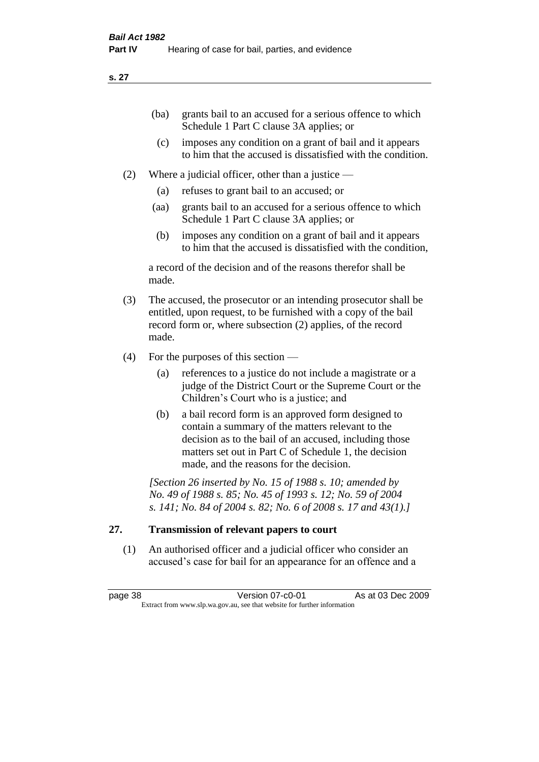| (ba) | grants bail to an accused for a serious offence to which |
|------|----------------------------------------------------------|
|      | Schedule 1 Part C clause 3A applies; or                  |

- (c) imposes any condition on a grant of bail and it appears to him that the accused is dissatisfied with the condition.
- (2) Where a judicial officer, other than a justice
	- (a) refuses to grant bail to an accused; or
	- (aa) grants bail to an accused for a serious offence to which Schedule 1 Part C clause 3A applies; or
	- (b) imposes any condition on a grant of bail and it appears to him that the accused is dissatisfied with the condition,

a record of the decision and of the reasons therefor shall be made.

- (3) The accused, the prosecutor or an intending prosecutor shall be entitled, upon request, to be furnished with a copy of the bail record form or, where subsection (2) applies, of the record made.
- (4) For the purposes of this section
	- (a) references to a justice do not include a magistrate or a judge of the District Court or the Supreme Court or the Children's Court who is a justice; and
	- (b) a bail record form is an approved form designed to contain a summary of the matters relevant to the decision as to the bail of an accused, including those matters set out in Part C of Schedule 1, the decision made, and the reasons for the decision.

*[Section 26 inserted by No. 15 of 1988 s. 10; amended by No. 49 of 1988 s. 85; No. 45 of 1993 s. 12; No. 59 of 2004 s. 141; No. 84 of 2004 s. 82; No. 6 of 2008 s. 17 and 43(1).]* 

# **27. Transmission of relevant papers to court**

(1) An authorised officer and a judicial officer who consider an accused's case for bail for an appearance for an offence and a

page 38 Version 07-c0-01 As at 03 Dec 2009 Extract from www.slp.wa.gov.au, see that website for further information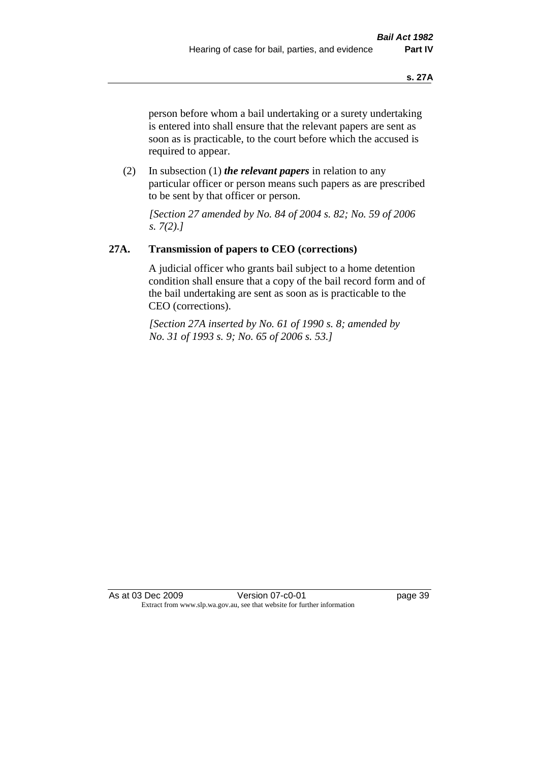person before whom a bail undertaking or a surety undertaking is entered into shall ensure that the relevant papers are sent as soon as is practicable, to the court before which the accused is required to appear.

(2) In subsection (1) *the relevant papers* in relation to any particular officer or person means such papers as are prescribed to be sent by that officer or person.

*[Section 27 amended by No. 84 of 2004 s. 82; No. 59 of 2006 s. 7(2).]* 

# **27A. Transmission of papers to CEO (corrections)**

A judicial officer who grants bail subject to a home detention condition shall ensure that a copy of the bail record form and of the bail undertaking are sent as soon as is practicable to the CEO (corrections).

*[Section 27A inserted by No. 61 of 1990 s. 8; amended by No. 31 of 1993 s. 9; No. 65 of 2006 s. 53.]* 

As at 03 Dec 2009 Version 07-c0-01 Page 39 Extract from www.slp.wa.gov.au, see that website for further information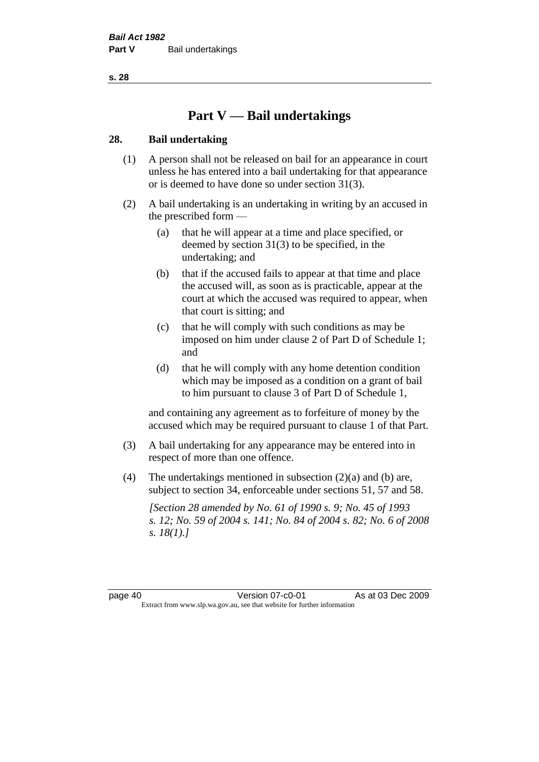# **Part V — Bail undertakings**

#### **28. Bail undertaking**

- (1) A person shall not be released on bail for an appearance in court unless he has entered into a bail undertaking for that appearance or is deemed to have done so under section 31(3).
- (2) A bail undertaking is an undertaking in writing by an accused in the prescribed form —
	- (a) that he will appear at a time and place specified, or deemed by section 31(3) to be specified, in the undertaking; and
	- (b) that if the accused fails to appear at that time and place the accused will, as soon as is practicable, appear at the court at which the accused was required to appear, when that court is sitting; and
	- (c) that he will comply with such conditions as may be imposed on him under clause 2 of Part D of Schedule 1; and
	- (d) that he will comply with any home detention condition which may be imposed as a condition on a grant of bail to him pursuant to clause 3 of Part D of Schedule 1,

and containing any agreement as to forfeiture of money by the accused which may be required pursuant to clause 1 of that Part.

- (3) A bail undertaking for any appearance may be entered into in respect of more than one offence.
- (4) The undertakings mentioned in subsection (2)(a) and (b) are, subject to section 34, enforceable under sections 51, 57 and 58.

*[Section 28 amended by No. 61 of 1990 s. 9; No. 45 of 1993 s. 12; No. 59 of 2004 s. 141; No. 84 of 2004 s. 82; No. 6 of 2008 s. 18(1).]*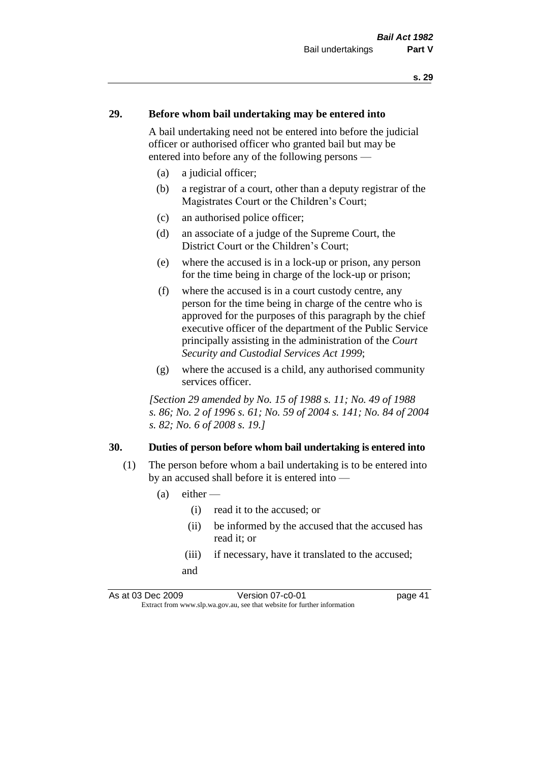#### **29. Before whom bail undertaking may be entered into**

A bail undertaking need not be entered into before the judicial officer or authorised officer who granted bail but may be entered into before any of the following persons —

- (a) a judicial officer;
- (b) a registrar of a court, other than a deputy registrar of the Magistrates Court or the Children's Court;
- (c) an authorised police officer;
- (d) an associate of a judge of the Supreme Court, the District Court or the Children's Court;
- (e) where the accused is in a lock-up or prison, any person for the time being in charge of the lock-up or prison;
- (f) where the accused is in a court custody centre, any person for the time being in charge of the centre who is approved for the purposes of this paragraph by the chief executive officer of the department of the Public Service principally assisting in the administration of the *Court Security and Custodial Services Act 1999*;
- (g) where the accused is a child, any authorised community services officer.

*[Section 29 amended by No. 15 of 1988 s. 11; No. 49 of 1988 s. 86; No. 2 of 1996 s. 61; No. 59 of 2004 s. 141; No. 84 of 2004 s. 82; No. 6 of 2008 s. 19.]* 

#### **30. Duties of person before whom bail undertaking is entered into**

- (1) The person before whom a bail undertaking is to be entered into by an accused shall before it is entered into —
	- $(a)$  either
		- (i) read it to the accused; or
		- (ii) be informed by the accused that the accused has read it; or
		- (iii) if necessary, have it translated to the accused; and

As at 03 Dec 2009 Version 07-c0-01 page 41 Extract from www.slp.wa.gov.au, see that website for further information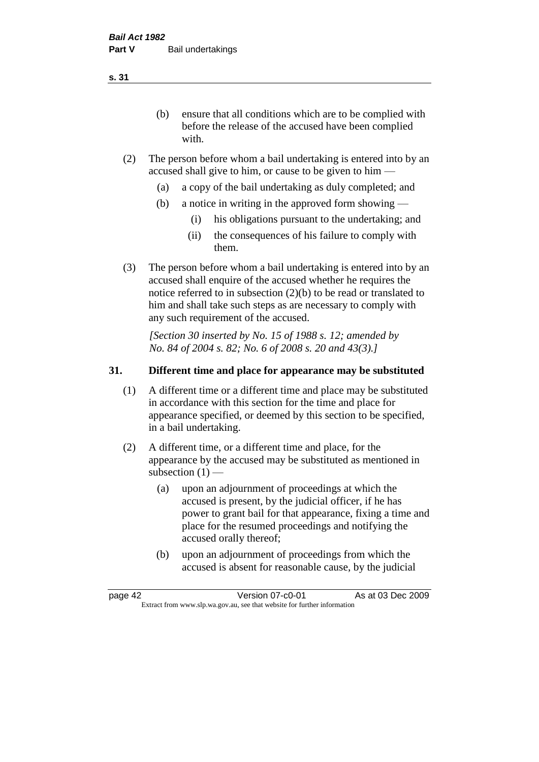(b) ensure that all conditions which are to be complied with before the release of the accused have been complied with.

- (2) The person before whom a bail undertaking is entered into by an accused shall give to him, or cause to be given to him —
	- (a) a copy of the bail undertaking as duly completed; and
	- (b) a notice in writing in the approved form showing
		- (i) his obligations pursuant to the undertaking; and
		- (ii) the consequences of his failure to comply with them.
- (3) The person before whom a bail undertaking is entered into by an accused shall enquire of the accused whether he requires the notice referred to in subsection (2)(b) to be read or translated to him and shall take such steps as are necessary to comply with any such requirement of the accused.

*[Section 30 inserted by No. 15 of 1988 s. 12; amended by No. 84 of 2004 s. 82; No. 6 of 2008 s. 20 and 43(3).]* 

## **31. Different time and place for appearance may be substituted**

- (1) A different time or a different time and place may be substituted in accordance with this section for the time and place for appearance specified, or deemed by this section to be specified, in a bail undertaking.
- (2) A different time, or a different time and place, for the appearance by the accused may be substituted as mentioned in subsection  $(1)$  —
	- (a) upon an adjournment of proceedings at which the accused is present, by the judicial officer, if he has power to grant bail for that appearance, fixing a time and place for the resumed proceedings and notifying the accused orally thereof;
	- (b) upon an adjournment of proceedings from which the accused is absent for reasonable cause, by the judicial

page 42 **Version 07-c0-01** As at 03 Dec 2009 Extract from www.slp.wa.gov.au, see that website for further information

**s. 31**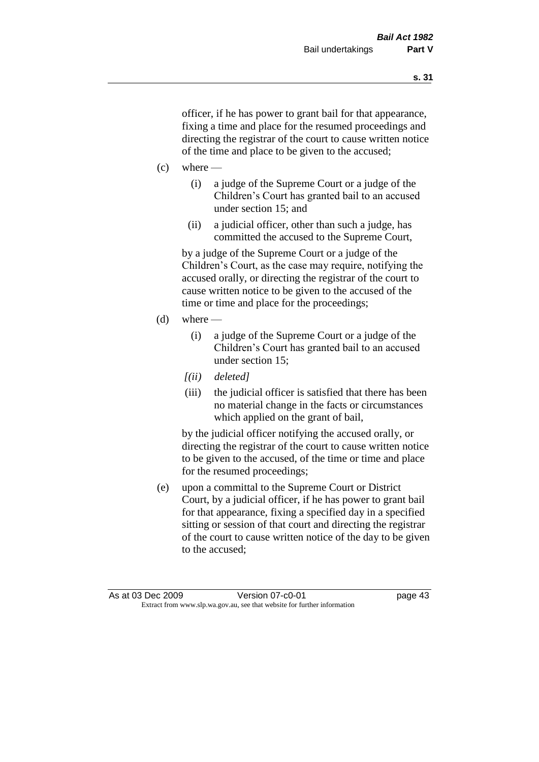officer, if he has power to grant bail for that appearance, fixing a time and place for the resumed proceedings and directing the registrar of the court to cause written notice of the time and place to be given to the accused;

- $(c)$  where
	- (i) a judge of the Supreme Court or a judge of the Children's Court has granted bail to an accused under section 15; and
	- (ii) a judicial officer, other than such a judge, has committed the accused to the Supreme Court,

by a judge of the Supreme Court or a judge of the Children's Court, as the case may require, notifying the accused orally, or directing the registrar of the court to cause written notice to be given to the accused of the time or time and place for the proceedings;

- $(d)$  where
	- (i) a judge of the Supreme Court or a judge of the Children's Court has granted bail to an accused under section 15;
	- *[(ii) deleted]*
	- (iii) the judicial officer is satisfied that there has been no material change in the facts or circumstances which applied on the grant of bail,

by the judicial officer notifying the accused orally, or directing the registrar of the court to cause written notice to be given to the accused, of the time or time and place for the resumed proceedings;

(e) upon a committal to the Supreme Court or District Court, by a judicial officer, if he has power to grant bail for that appearance, fixing a specified day in a specified sitting or session of that court and directing the registrar of the court to cause written notice of the day to be given to the accused;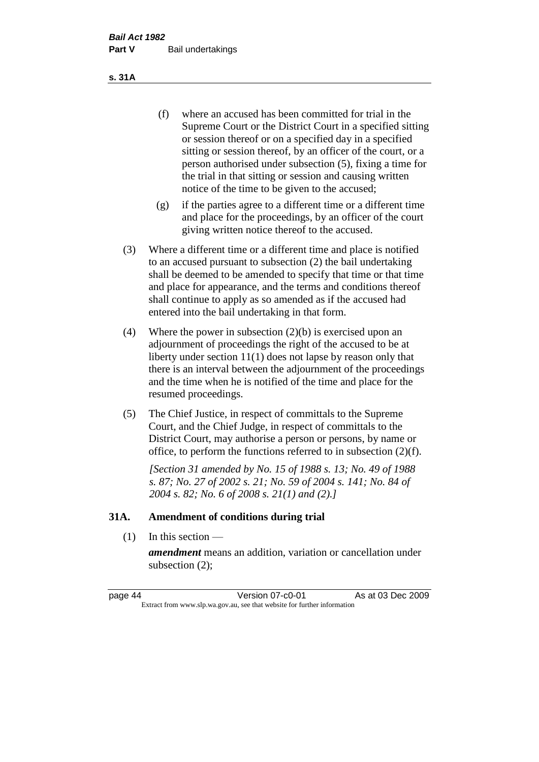- (f) where an accused has been committed for trial in the Supreme Court or the District Court in a specified sitting or session thereof or on a specified day in a specified sitting or session thereof, by an officer of the court, or a person authorised under subsection (5), fixing a time for the trial in that sitting or session and causing written notice of the time to be given to the accused;
- (g) if the parties agree to a different time or a different time and place for the proceedings, by an officer of the court giving written notice thereof to the accused.
- (3) Where a different time or a different time and place is notified to an accused pursuant to subsection (2) the bail undertaking shall be deemed to be amended to specify that time or that time and place for appearance, and the terms and conditions thereof shall continue to apply as so amended as if the accused had entered into the bail undertaking in that form.
- (4) Where the power in subsection (2)(b) is exercised upon an adjournment of proceedings the right of the accused to be at liberty under section 11(1) does not lapse by reason only that there is an interval between the adjournment of the proceedings and the time when he is notified of the time and place for the resumed proceedings.
- (5) The Chief Justice, in respect of committals to the Supreme Court, and the Chief Judge, in respect of committals to the District Court, may authorise a person or persons, by name or office, to perform the functions referred to in subsection (2)(f).

*[Section 31 amended by No. 15 of 1988 s. 13; No. 49 of 1988 s. 87; No. 27 of 2002 s. 21; No. 59 of 2004 s. 141; No. 84 of 2004 s. 82; No. 6 of 2008 s. 21(1) and (2).]* 

#### **31A. Amendment of conditions during trial**

(1) In this section —

*amendment* means an addition, variation or cancellation under subsection (2);

page 44 Version 07-c0-01 As at 03 Dec 2009 Extract from www.slp.wa.gov.au, see that website for further information

**s. 31A**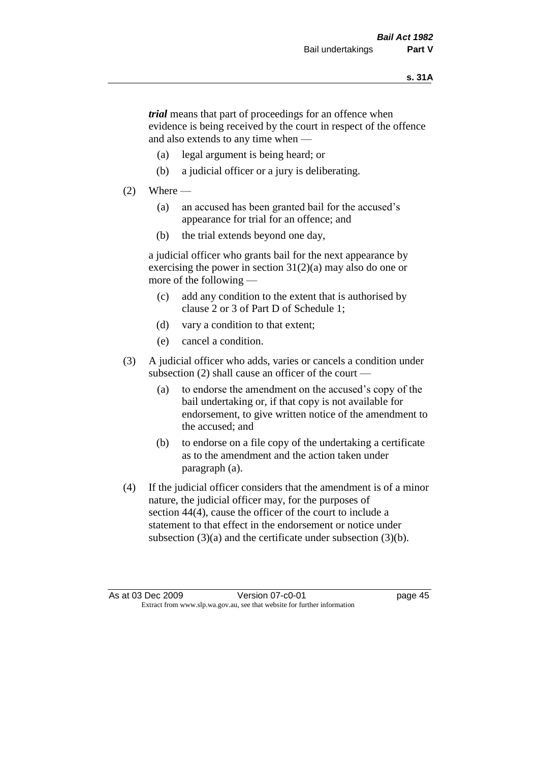*trial* means that part of proceedings for an offence when evidence is being received by the court in respect of the offence and also extends to any time when —

- (a) legal argument is being heard; or
- (b) a judicial officer or a jury is deliberating.

#### $(2)$  Where —

- (a) an accused has been granted bail for the accused's appearance for trial for an offence; and
- (b) the trial extends beyond one day,

a judicial officer who grants bail for the next appearance by exercising the power in section  $31(2)(a)$  may also do one or more of the following —

- (c) add any condition to the extent that is authorised by clause 2 or 3 of Part D of Schedule 1;
- (d) vary a condition to that extent;
- (e) cancel a condition.
- (3) A judicial officer who adds, varies or cancels a condition under subsection (2) shall cause an officer of the court —
	- (a) to endorse the amendment on the accused's copy of the bail undertaking or, if that copy is not available for endorsement, to give written notice of the amendment to the accused; and
	- (b) to endorse on a file copy of the undertaking a certificate as to the amendment and the action taken under paragraph (a).
- (4) If the judicial officer considers that the amendment is of a minor nature, the judicial officer may, for the purposes of section 44(4), cause the officer of the court to include a statement to that effect in the endorsement or notice under subsection (3)(a) and the certificate under subsection (3)(b).

As at 03 Dec 2009 Version 07-c0-01 Page 45 Extract from www.slp.wa.gov.au, see that website for further information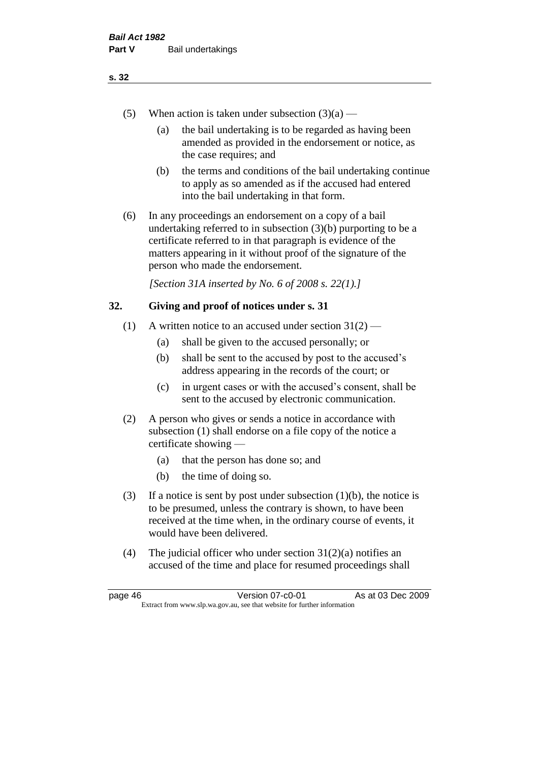- (5) When action is taken under subsection  $(3)(a)$ 
	- (a) the bail undertaking is to be regarded as having been amended as provided in the endorsement or notice, as the case requires; and
	- (b) the terms and conditions of the bail undertaking continue to apply as so amended as if the accused had entered into the bail undertaking in that form.
- (6) In any proceedings an endorsement on a copy of a bail undertaking referred to in subsection (3)(b) purporting to be a certificate referred to in that paragraph is evidence of the matters appearing in it without proof of the signature of the person who made the endorsement.

*[Section 31A inserted by No. 6 of 2008 s. 22(1).]*

#### **32. Giving and proof of notices under s. 31**

- (1) A written notice to an accused under section  $31(2)$ 
	- (a) shall be given to the accused personally; or
	- (b) shall be sent to the accused by post to the accused's address appearing in the records of the court; or
	- (c) in urgent cases or with the accused's consent, shall be sent to the accused by electronic communication.
- (2) A person who gives or sends a notice in accordance with subsection (1) shall endorse on a file copy of the notice a certificate showing —
	- (a) that the person has done so; and
	- (b) the time of doing so.
- (3) If a notice is sent by post under subsection  $(1)(b)$ , the notice is to be presumed, unless the contrary is shown, to have been received at the time when, in the ordinary course of events, it would have been delivered.
- (4) The judicial officer who under section  $31(2)(a)$  notifies an accused of the time and place for resumed proceedings shall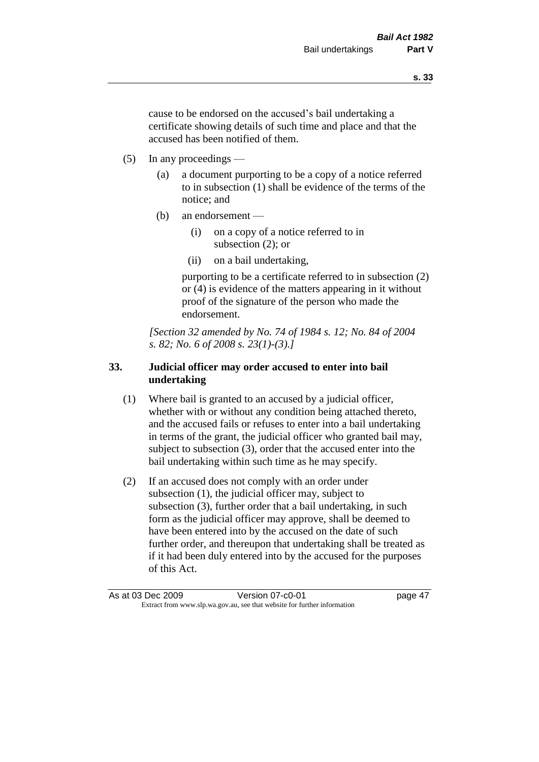cause to be endorsed on the accused's bail undertaking a certificate showing details of such time and place and that the accused has been notified of them.

- (5) In any proceedings
	- (a) a document purporting to be a copy of a notice referred to in subsection (1) shall be evidence of the terms of the notice; and
	- (b) an endorsement
		- (i) on a copy of a notice referred to in subsection (2); or
		- (ii) on a bail undertaking,

purporting to be a certificate referred to in subsection (2) or (4) is evidence of the matters appearing in it without proof of the signature of the person who made the endorsement.

*[Section 32 amended by No. 74 of 1984 s. 12; No. 84 of 2004 s. 82; No. 6 of 2008 s. 23(1)-(3).]* 

# **33. Judicial officer may order accused to enter into bail undertaking**

- (1) Where bail is granted to an accused by a judicial officer, whether with or without any condition being attached thereto, and the accused fails or refuses to enter into a bail undertaking in terms of the grant, the judicial officer who granted bail may, subject to subsection (3), order that the accused enter into the bail undertaking within such time as he may specify.
- (2) If an accused does not comply with an order under subsection (1), the judicial officer may, subject to subsection (3), further order that a bail undertaking, in such form as the judicial officer may approve, shall be deemed to have been entered into by the accused on the date of such further order, and thereupon that undertaking shall be treated as if it had been duly entered into by the accused for the purposes of this Act.

As at 03 Dec 2009 Version 07-c0-01 Page 47 Extract from www.slp.wa.gov.au, see that website for further information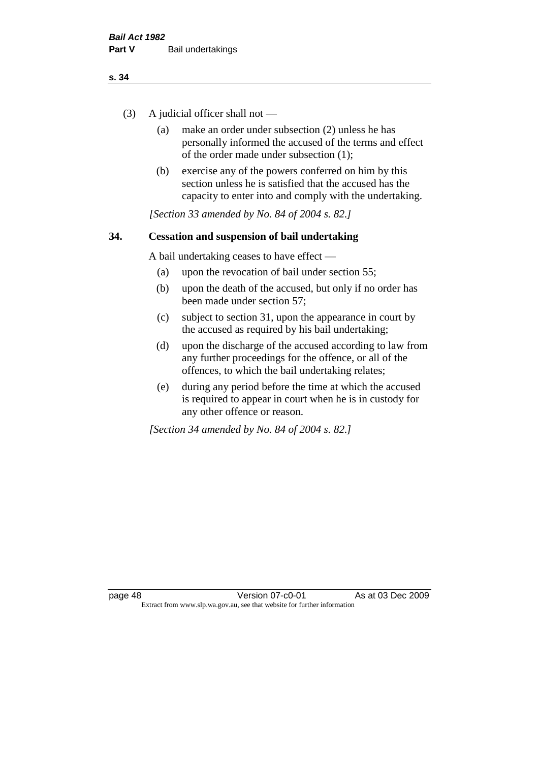- (3) A judicial officer shall not
	- (a) make an order under subsection (2) unless he has personally informed the accused of the terms and effect of the order made under subsection (1);
	- (b) exercise any of the powers conferred on him by this section unless he is satisfied that the accused has the capacity to enter into and comply with the undertaking.

*[Section 33 amended by No. 84 of 2004 s. 82.]* 

## **34. Cessation and suspension of bail undertaking**

A bail undertaking ceases to have effect —

- (a) upon the revocation of bail under section 55;
- (b) upon the death of the accused, but only if no order has been made under section 57;
- (c) subject to section 31, upon the appearance in court by the accused as required by his bail undertaking;
- (d) upon the discharge of the accused according to law from any further proceedings for the offence, or all of the offences, to which the bail undertaking relates;
- (e) during any period before the time at which the accused is required to appear in court when he is in custody for any other offence or reason.

*[Section 34 amended by No. 84 of 2004 s. 82.]*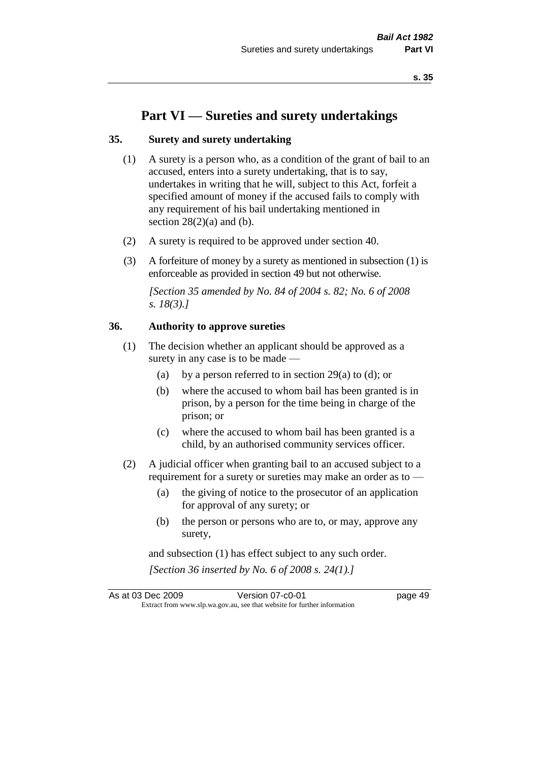# **Part VI — Sureties and surety undertakings**

#### **35. Surety and surety undertaking**

- (1) A surety is a person who, as a condition of the grant of bail to an accused, enters into a surety undertaking, that is to say, undertakes in writing that he will, subject to this Act, forfeit a specified amount of money if the accused fails to comply with any requirement of his bail undertaking mentioned in section  $28(2)(a)$  and (b).
- (2) A surety is required to be approved under section 40.
- (3) A forfeiture of money by a surety as mentioned in subsection (1) is enforceable as provided in section 49 but not otherwise.

*[Section 35 amended by No. 84 of 2004 s. 82; No. 6 of 2008 s. 18(3).]* 

#### **36. Authority to approve sureties**

- (1) The decision whether an applicant should be approved as a surety in any case is to be made —
	- (a) by a person referred to in section 29(a) to (d); or
	- (b) where the accused to whom bail has been granted is in prison, by a person for the time being in charge of the prison; or
	- (c) where the accused to whom bail has been granted is a child, by an authorised community services officer.
- (2) A judicial officer when granting bail to an accused subject to a requirement for a surety or sureties may make an order as to —
	- (a) the giving of notice to the prosecutor of an application for approval of any surety; or
	- (b) the person or persons who are to, or may, approve any surety,

and subsection (1) has effect subject to any such order. *[Section 36 inserted by No. 6 of 2008 s. 24(1).]*

As at 03 Dec 2009 Version 07-c0-01 page 49 Extract from www.slp.wa.gov.au, see that website for further information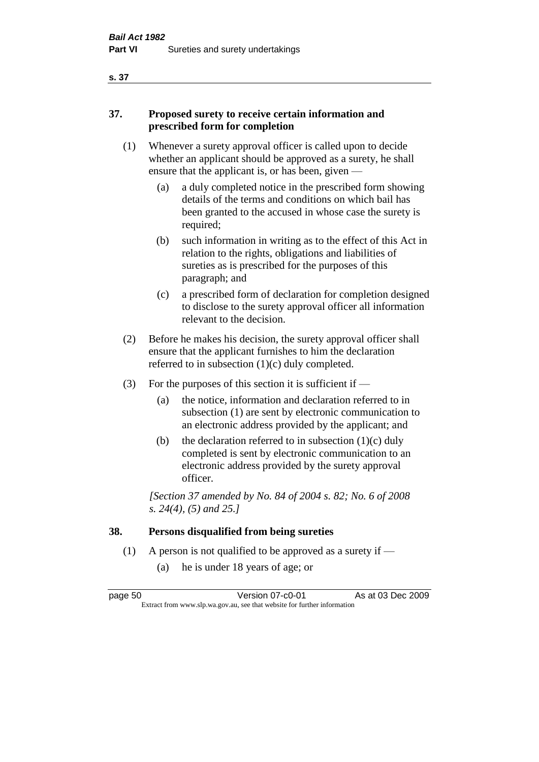# **37. Proposed surety to receive certain information and prescribed form for completion**

- (1) Whenever a surety approval officer is called upon to decide whether an applicant should be approved as a surety, he shall ensure that the applicant is, or has been, given -
	- (a) a duly completed notice in the prescribed form showing details of the terms and conditions on which bail has been granted to the accused in whose case the surety is required;
	- (b) such information in writing as to the effect of this Act in relation to the rights, obligations and liabilities of sureties as is prescribed for the purposes of this paragraph; and
	- (c) a prescribed form of declaration for completion designed to disclose to the surety approval officer all information relevant to the decision.
- (2) Before he makes his decision, the surety approval officer shall ensure that the applicant furnishes to him the declaration referred to in subsection (1)(c) duly completed.
- (3) For the purposes of this section it is sufficient if  $-$ 
	- (a) the notice, information and declaration referred to in subsection (1) are sent by electronic communication to an electronic address provided by the applicant; and
	- (b) the declaration referred to in subsection  $(1)(c)$  duly completed is sent by electronic communication to an electronic address provided by the surety approval officer.

*[Section 37 amended by No. 84 of 2004 s. 82; No. 6 of 2008 s. 24(4), (5) and 25.]* 

# **38. Persons disqualified from being sureties**

- (1) A person is not qualified to be approved as a surety if  $-$ 
	- (a) he is under 18 years of age; or

**s. 37**

page 50 Version 07-c0-01 As at 03 Dec 2009 Extract from www.slp.wa.gov.au, see that website for further information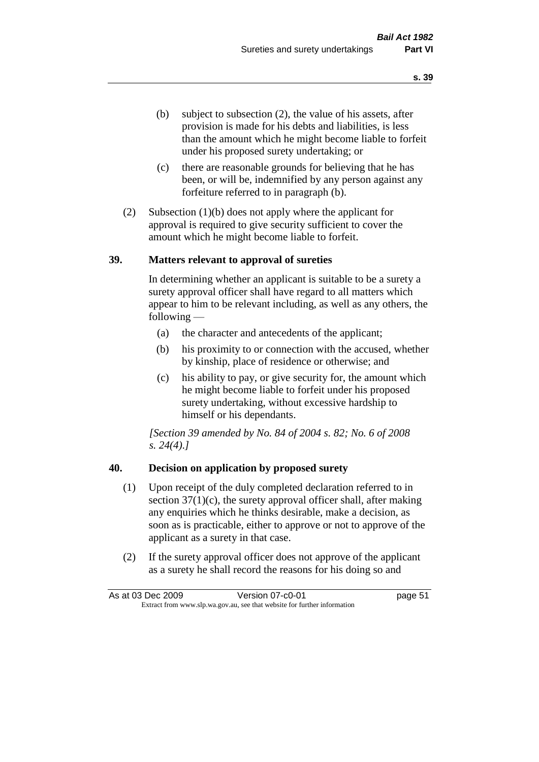- (b) subject to subsection (2), the value of his assets, after provision is made for his debts and liabilities, is less than the amount which he might become liable to forfeit under his proposed surety undertaking; or
- (c) there are reasonable grounds for believing that he has been, or will be, indemnified by any person against any forfeiture referred to in paragraph (b).
- (2) Subsection (1)(b) does not apply where the applicant for approval is required to give security sufficient to cover the amount which he might become liable to forfeit.

#### **39. Matters relevant to approval of sureties**

In determining whether an applicant is suitable to be a surety a surety approval officer shall have regard to all matters which appear to him to be relevant including, as well as any others, the following —

- (a) the character and antecedents of the applicant;
- (b) his proximity to or connection with the accused, whether by kinship, place of residence or otherwise; and
- (c) his ability to pay, or give security for, the amount which he might become liable to forfeit under his proposed surety undertaking, without excessive hardship to himself or his dependants.

*[Section 39 amended by No. 84 of 2004 s. 82; No. 6 of 2008 s. 24(4).]* 

#### **40. Decision on application by proposed surety**

- (1) Upon receipt of the duly completed declaration referred to in section  $37(1)(c)$ , the surety approval officer shall, after making any enquiries which he thinks desirable, make a decision, as soon as is practicable, either to approve or not to approve of the applicant as a surety in that case.
- (2) If the surety approval officer does not approve of the applicant as a surety he shall record the reasons for his doing so and

As at 03 Dec 2009 Version 07-c0-01 page 51 Extract from www.slp.wa.gov.au, see that website for further information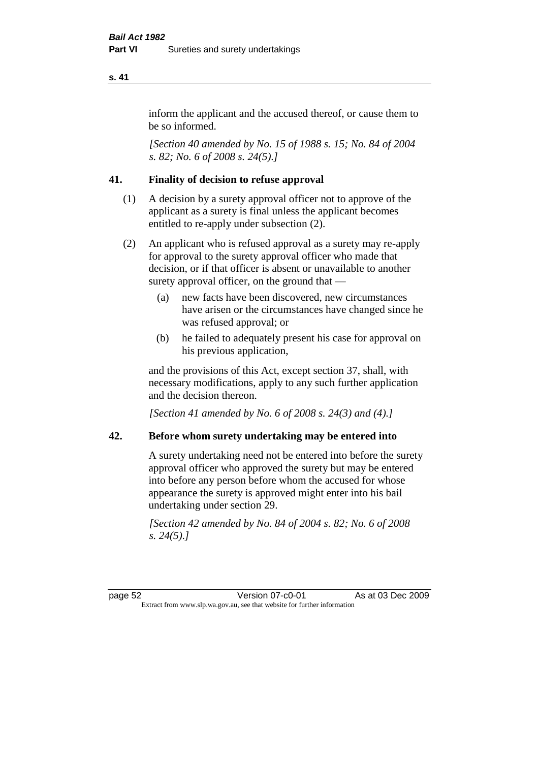inform the applicant and the accused thereof, or cause them to be so informed.

*[Section 40 amended by No. 15 of 1988 s. 15; No. 84 of 2004 s. 82; No. 6 of 2008 s. 24(5).]* 

# **41. Finality of decision to refuse approval**

- (1) A decision by a surety approval officer not to approve of the applicant as a surety is final unless the applicant becomes entitled to re-apply under subsection (2).
- (2) An applicant who is refused approval as a surety may re-apply for approval to the surety approval officer who made that decision, or if that officer is absent or unavailable to another surety approval officer, on the ground that —
	- (a) new facts have been discovered, new circumstances have arisen or the circumstances have changed since he was refused approval; or
	- (b) he failed to adequately present his case for approval on his previous application,

and the provisions of this Act, except section 37, shall, with necessary modifications, apply to any such further application and the decision thereon.

*[Section 41 amended by No. 6 of 2008 s. 24(3) and (4).]*

#### **42. Before whom surety undertaking may be entered into**

A surety undertaking need not be entered into before the surety approval officer who approved the surety but may be entered into before any person before whom the accused for whose appearance the surety is approved might enter into his bail undertaking under section 29.

*[Section 42 amended by No. 84 of 2004 s. 82; No. 6 of 2008 s. 24(5).]*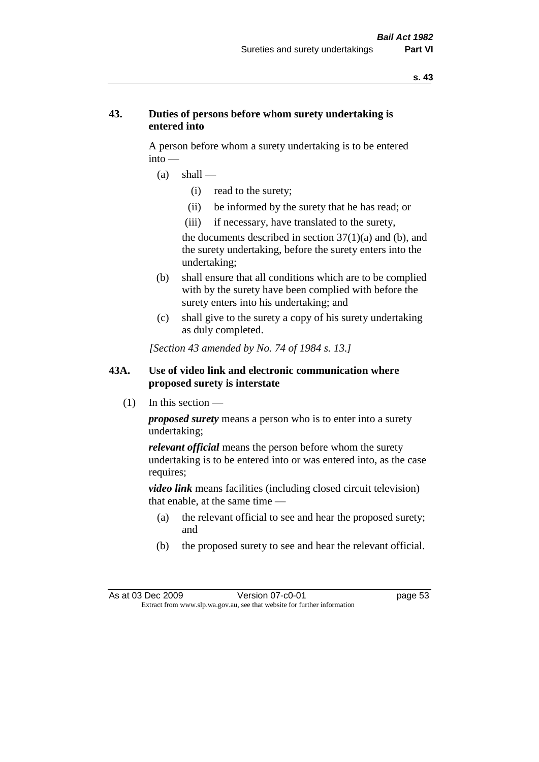# **43. Duties of persons before whom surety undertaking is entered into**

A person before whom a surety undertaking is to be entered into —

- $(a)$  shall
	- (i) read to the surety;
	- (ii) be informed by the surety that he has read; or
	- (iii) if necessary, have translated to the surety,

the documents described in section  $37(1)(a)$  and (b), and the surety undertaking, before the surety enters into the undertaking;

- (b) shall ensure that all conditions which are to be complied with by the surety have been complied with before the surety enters into his undertaking; and
- (c) shall give to the surety a copy of his surety undertaking as duly completed.

*[Section 43 amended by No. 74 of 1984 s. 13.]* 

## **43A. Use of video link and electronic communication where proposed surety is interstate**

 $(1)$  In this section —

*proposed surety* means a person who is to enter into a surety undertaking;

*relevant official* means the person before whom the surety undertaking is to be entered into or was entered into, as the case requires;

*video link* means facilities (including closed circuit television) that enable, at the same time —

- (a) the relevant official to see and hear the proposed surety; and
- (b) the proposed surety to see and hear the relevant official.

As at 03 Dec 2009 Version 07-c0-01 Page 53 Extract from www.slp.wa.gov.au, see that website for further information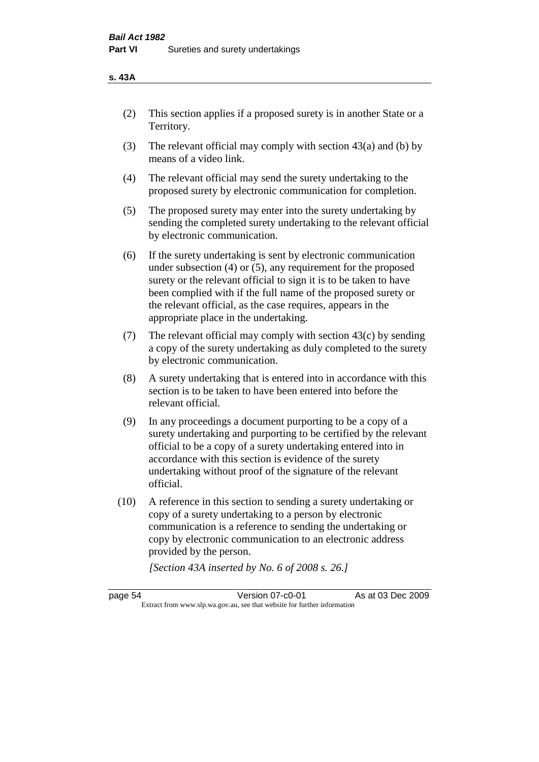#### **s. 43A**

- (2) This section applies if a proposed surety is in another State or a Territory.
- (3) The relevant official may comply with section 43(a) and (b) by means of a video link.
- (4) The relevant official may send the surety undertaking to the proposed surety by electronic communication for completion.
- (5) The proposed surety may enter into the surety undertaking by sending the completed surety undertaking to the relevant official by electronic communication.
- (6) If the surety undertaking is sent by electronic communication under subsection (4) or (5), any requirement for the proposed surety or the relevant official to sign it is to be taken to have been complied with if the full name of the proposed surety or the relevant official, as the case requires, appears in the appropriate place in the undertaking.
- (7) The relevant official may comply with section  $43(c)$  by sending a copy of the surety undertaking as duly completed to the surety by electronic communication.
- (8) A surety undertaking that is entered into in accordance with this section is to be taken to have been entered into before the relevant official.
- (9) In any proceedings a document purporting to be a copy of a surety undertaking and purporting to be certified by the relevant official to be a copy of a surety undertaking entered into in accordance with this section is evidence of the surety undertaking without proof of the signature of the relevant official.
- (10) A reference in this section to sending a surety undertaking or copy of a surety undertaking to a person by electronic communication is a reference to sending the undertaking or copy by electronic communication to an electronic address provided by the person.

*[Section 43A inserted by No. 6 of 2008 s. 26.]*

page 54 Version 07-c0-01 As at 03 Dec 2009 Extract from www.slp.wa.gov.au, see that website for further information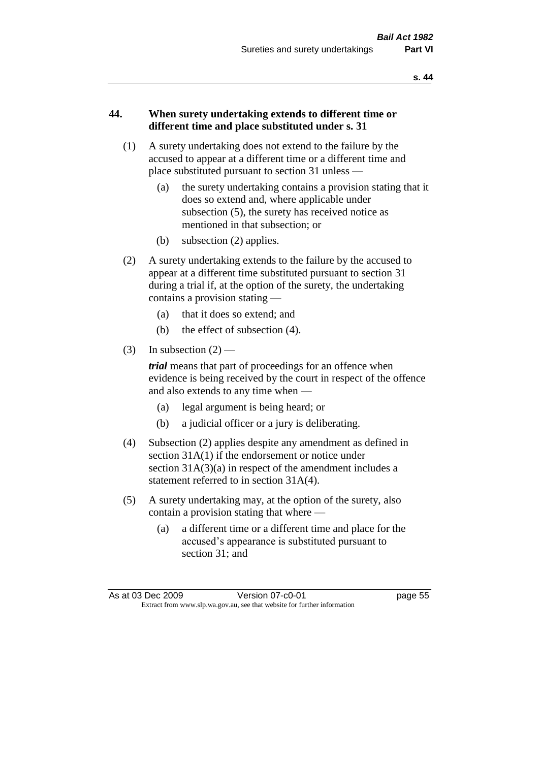## **44. When surety undertaking extends to different time or different time and place substituted under s. 31**

- (1) A surety undertaking does not extend to the failure by the accused to appear at a different time or a different time and place substituted pursuant to section 31 unless —
	- (a) the surety undertaking contains a provision stating that it does so extend and, where applicable under subsection (5), the surety has received notice as mentioned in that subsection; or
	- (b) subsection (2) applies.
- (2) A surety undertaking extends to the failure by the accused to appear at a different time substituted pursuant to section 31 during a trial if, at the option of the surety, the undertaking contains a provision stating —
	- (a) that it does so extend; and
	- (b) the effect of subsection (4).
- (3) In subsection  $(2)$  —

*trial* means that part of proceedings for an offence when evidence is being received by the court in respect of the offence and also extends to any time when —

- (a) legal argument is being heard; or
- (b) a judicial officer or a jury is deliberating.
- (4) Subsection (2) applies despite any amendment as defined in section 31A(1) if the endorsement or notice under section 31A(3)(a) in respect of the amendment includes a statement referred to in section 31A(4).
- (5) A surety undertaking may, at the option of the surety, also contain a provision stating that where —
	- (a) a different time or a different time and place for the accused's appearance is substituted pursuant to section 31; and

As at 03 Dec 2009 Version 07-c0-01 Page 55 Extract from www.slp.wa.gov.au, see that website for further information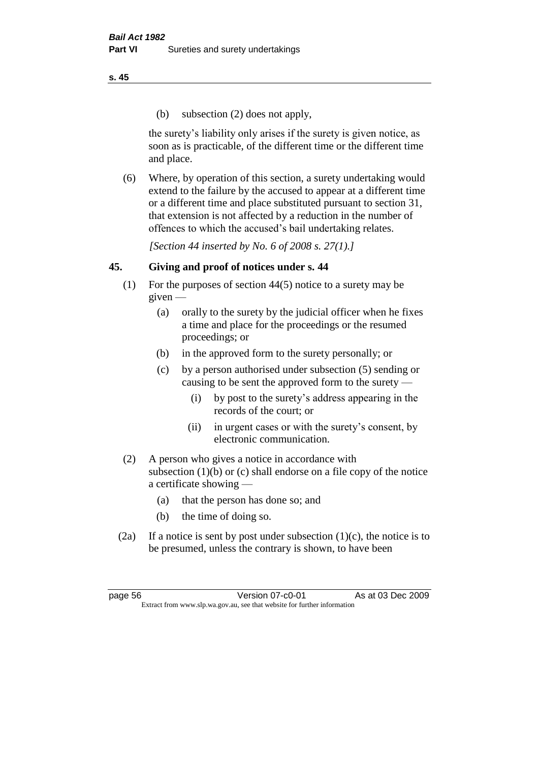(b) subsection (2) does not apply,

the surety's liability only arises if the surety is given notice, as soon as is practicable, of the different time or the different time and place.

(6) Where, by operation of this section, a surety undertaking would extend to the failure by the accused to appear at a different time or a different time and place substituted pursuant to section 31, that extension is not affected by a reduction in the number of offences to which the accused's bail undertaking relates.

*[Section 44 inserted by No. 6 of 2008 s. 27(1).]*

# **45. Giving and proof of notices under s. 44**

- (1) For the purposes of section 44(5) notice to a surety may be  $given -$ 
	- (a) orally to the surety by the judicial officer when he fixes a time and place for the proceedings or the resumed proceedings; or
	- (b) in the approved form to the surety personally; or
	- (c) by a person authorised under subsection (5) sending or causing to be sent the approved form to the surety —
		- (i) by post to the surety's address appearing in the records of the court; or
		- (ii) in urgent cases or with the surety's consent, by electronic communication.
- (2) A person who gives a notice in accordance with subsection (1)(b) or (c) shall endorse on a file copy of the notice a certificate showing —
	- (a) that the person has done so; and
	- (b) the time of doing so.
- (2a) If a notice is sent by post under subsection  $(1)(c)$ , the notice is to be presumed, unless the contrary is shown, to have been

page 56 Version 07-c0-01 As at 03 Dec 2009 Extract from www.slp.wa.gov.au, see that website for further information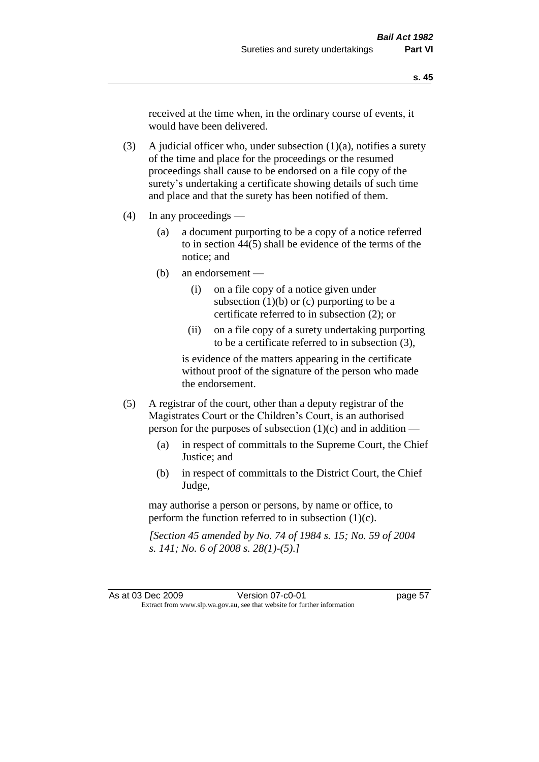received at the time when, in the ordinary course of events, it would have been delivered.

(3) A judicial officer who, under subsection  $(1)(a)$ , notifies a surety of the time and place for the proceedings or the resumed proceedings shall cause to be endorsed on a file copy of the surety's undertaking a certificate showing details of such time and place and that the surety has been notified of them.

- (4) In any proceedings
	- (a) a document purporting to be a copy of a notice referred to in section 44(5) shall be evidence of the terms of the notice; and
	- (b) an endorsement
		- (i) on a file copy of a notice given under subsection  $(1)(b)$  or  $(c)$  purporting to be a certificate referred to in subsection (2); or
		- (ii) on a file copy of a surety undertaking purporting to be a certificate referred to in subsection (3),

is evidence of the matters appearing in the certificate without proof of the signature of the person who made the endorsement.

- (5) A registrar of the court, other than a deputy registrar of the Magistrates Court or the Children's Court, is an authorised person for the purposes of subsection (1)(c) and in addition —
	- (a) in respect of committals to the Supreme Court, the Chief Justice; and
	- (b) in respect of committals to the District Court, the Chief Judge,

may authorise a person or persons, by name or office, to perform the function referred to in subsection  $(1)(c)$ .

*[Section 45 amended by No. 74 of 1984 s. 15; No. 59 of 2004 s. 141; No. 6 of 2008 s. 28(1)-(5).]*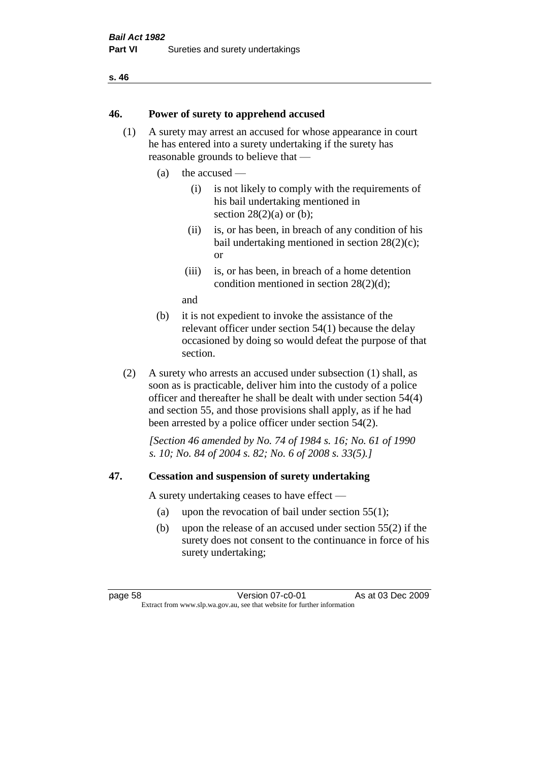#### **46. Power of surety to apprehend accused**

- (1) A surety may arrest an accused for whose appearance in court he has entered into a surety undertaking if the surety has reasonable grounds to believe that —
	- (a) the accused
		- (i) is not likely to comply with the requirements of his bail undertaking mentioned in section  $28(2)(a)$  or (b):
		- (ii) is, or has been, in breach of any condition of his bail undertaking mentioned in section 28(2)(c); or
		- (iii) is, or has been, in breach of a home detention condition mentioned in section 28(2)(d);

and

- (b) it is not expedient to invoke the assistance of the relevant officer under section 54(1) because the delay occasioned by doing so would defeat the purpose of that section.
- (2) A surety who arrests an accused under subsection (1) shall, as soon as is practicable, deliver him into the custody of a police officer and thereafter he shall be dealt with under section 54(4) and section 55, and those provisions shall apply, as if he had been arrested by a police officer under section 54(2).

*[Section 46 amended by No. 74 of 1984 s. 16; No. 61 of 1990 s. 10; No. 84 of 2004 s. 82; No. 6 of 2008 s. 33(5).]* 

#### **47. Cessation and suspension of surety undertaking**

A surety undertaking ceases to have effect —

- (a) upon the revocation of bail under section 55(1);
- (b) upon the release of an accused under section 55(2) if the surety does not consent to the continuance in force of his surety undertaking;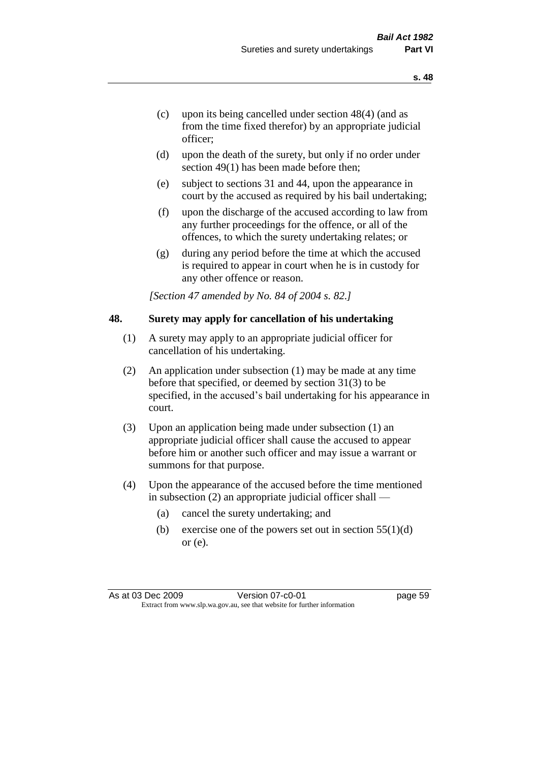- (c) upon its being cancelled under section 48(4) (and as from the time fixed therefor) by an appropriate judicial officer;
- (d) upon the death of the surety, but only if no order under section 49(1) has been made before then;
- (e) subject to sections 31 and 44, upon the appearance in court by the accused as required by his bail undertaking;
- (f) upon the discharge of the accused according to law from any further proceedings for the offence, or all of the offences, to which the surety undertaking relates; or
- (g) during any period before the time at which the accused is required to appear in court when he is in custody for any other offence or reason.

*[Section 47 amended by No. 84 of 2004 s. 82.]* 

#### **48. Surety may apply for cancellation of his undertaking**

- (1) A surety may apply to an appropriate judicial officer for cancellation of his undertaking.
- (2) An application under subsection (1) may be made at any time before that specified, or deemed by section 31(3) to be specified, in the accused's bail undertaking for his appearance in court.
- (3) Upon an application being made under subsection (1) an appropriate judicial officer shall cause the accused to appear before him or another such officer and may issue a warrant or summons for that purpose.
- (4) Upon the appearance of the accused before the time mentioned in subsection (2) an appropriate judicial officer shall —
	- (a) cancel the surety undertaking; and
	- (b) exercise one of the powers set out in section  $55(1)(d)$ or (e).

As at 03 Dec 2009 Version 07-c0-01 Page 59 Extract from www.slp.wa.gov.au, see that website for further information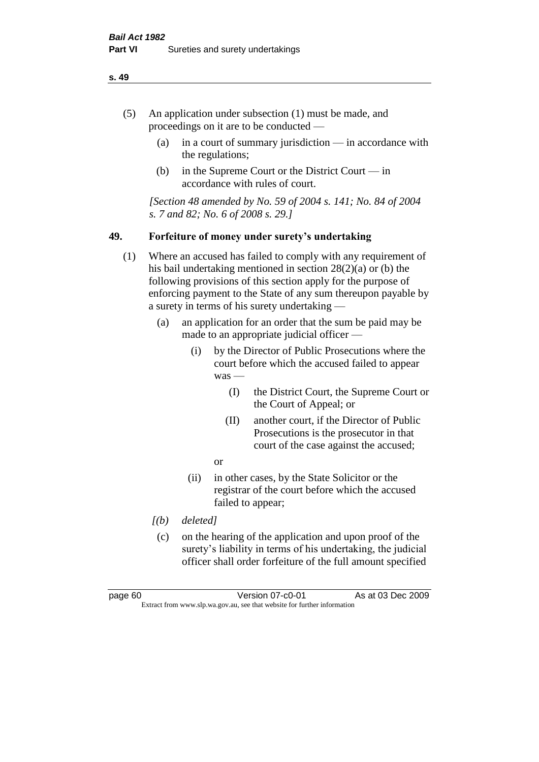- (5) An application under subsection (1) must be made, and proceedings on it are to be conducted —
	- (a) in a court of summary jurisdiction in accordance with the regulations;
	- (b) in the Supreme Court or the District Court  $-\text{in}$ accordance with rules of court.

*[Section 48 amended by No. 59 of 2004 s. 141; No. 84 of 2004 s. 7 and 82; No. 6 of 2008 s. 29.]* 

#### **49. Forfeiture of money under surety's undertaking**

- (1) Where an accused has failed to comply with any requirement of his bail undertaking mentioned in section 28(2)(a) or (b) the following provisions of this section apply for the purpose of enforcing payment to the State of any sum thereupon payable by a surety in terms of his surety undertaking —
	- (a) an application for an order that the sum be paid may be made to an appropriate judicial officer —
		- (i) by the Director of Public Prosecutions where the court before which the accused failed to appear was —
			- (I) the District Court, the Supreme Court or the Court of Appeal; or
			- (II) another court, if the Director of Public Prosecutions is the prosecutor in that court of the case against the accused;
			- or
		- (ii) in other cases, by the State Solicitor or the registrar of the court before which the accused failed to appear;
	- *[(b) deleted]*
	- (c) on the hearing of the application and upon proof of the surety's liability in terms of his undertaking, the judicial officer shall order forfeiture of the full amount specified

page 60 Version 07-c0-01 As at 03 Dec 2009 Extract from www.slp.wa.gov.au, see that website for further information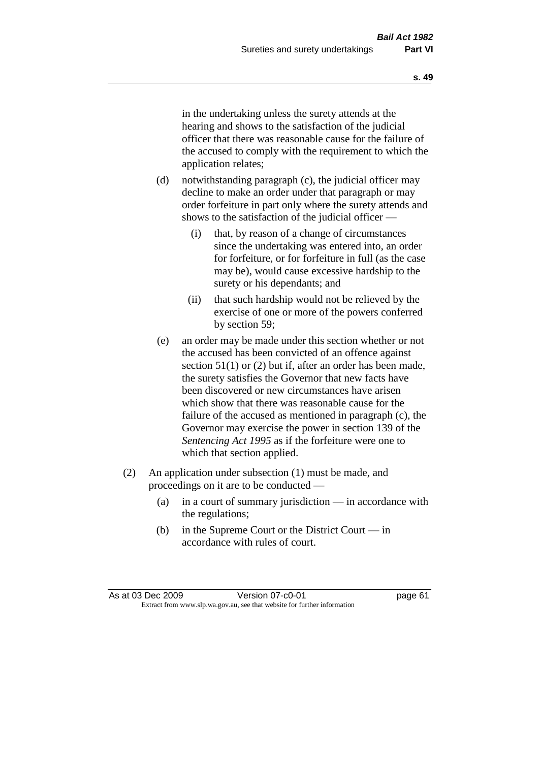in the undertaking unless the surety attends at the hearing and shows to the satisfaction of the judicial officer that there was reasonable cause for the failure of the accused to comply with the requirement to which the application relates;

- (d) notwithstanding paragraph (c), the judicial officer may decline to make an order under that paragraph or may order forfeiture in part only where the surety attends and shows to the satisfaction of the judicial officer —
	- (i) that, by reason of a change of circumstances since the undertaking was entered into, an order for forfeiture, or for forfeiture in full (as the case may be), would cause excessive hardship to the surety or his dependants; and
	- (ii) that such hardship would not be relieved by the exercise of one or more of the powers conferred by section 59;
- (e) an order may be made under this section whether or not the accused has been convicted of an offence against section 51(1) or (2) but if, after an order has been made, the surety satisfies the Governor that new facts have been discovered or new circumstances have arisen which show that there was reasonable cause for the failure of the accused as mentioned in paragraph (c), the Governor may exercise the power in section 139 of the *Sentencing Act 1995* as if the forfeiture were one to which that section applied.
- (2) An application under subsection (1) must be made, and proceedings on it are to be conducted —
	- (a) in a court of summary jurisdiction in accordance with the regulations;
	- (b) in the Supreme Court or the District Court in accordance with rules of court.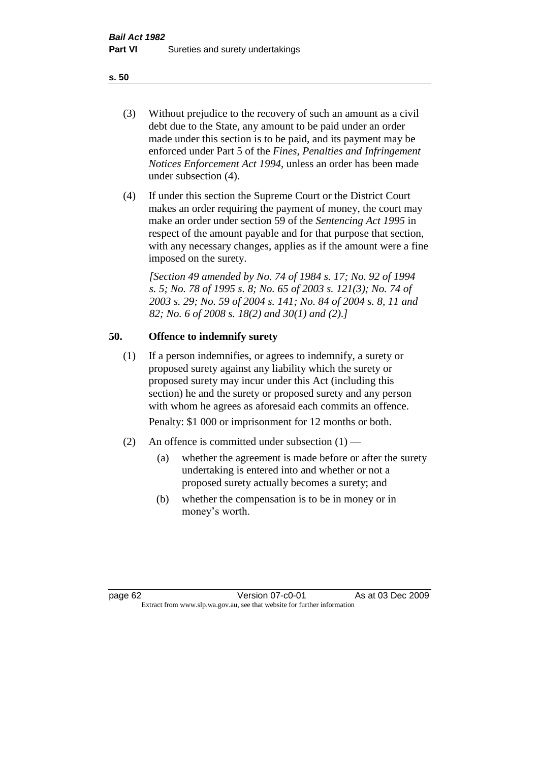- (3) Without prejudice to the recovery of such an amount as a civil debt due to the State, any amount to be paid under an order made under this section is to be paid, and its payment may be enforced under Part 5 of the *Fines, Penalties and Infringement Notices Enforcement Act 1994*, unless an order has been made under subsection (4).
- (4) If under this section the Supreme Court or the District Court makes an order requiring the payment of money, the court may make an order under section 59 of the *Sentencing Act 1995* in respect of the amount payable and for that purpose that section, with any necessary changes, applies as if the amount were a fine imposed on the surety.

*[Section 49 amended by No. 74 of 1984 s. 17; No. 92 of 1994 s. 5; No. 78 of 1995 s. 8; No. 65 of 2003 s. 121(3); No. 74 of 2003 s. 29; No. 59 of 2004 s. 141; No. 84 of 2004 s. 8, 11 and 82; No. 6 of 2008 s. 18(2) and 30(1) and (2).]* 

# **50. Offence to indemnify surety**

(1) If a person indemnifies, or agrees to indemnify, a surety or proposed surety against any liability which the surety or proposed surety may incur under this Act (including this section) he and the surety or proposed surety and any person with whom he agrees as aforesaid each commits an offence.

Penalty: \$1 000 or imprisonment for 12 months or both.

- (2) An offence is committed under subsection  $(1)$ 
	- (a) whether the agreement is made before or after the surety undertaking is entered into and whether or not a proposed surety actually becomes a surety; and
	- (b) whether the compensation is to be in money or in money's worth.

page 62 **Version 07-c0-01** As at 03 Dec 2009 Extract from www.slp.wa.gov.au, see that website for further information

#### **s. 50**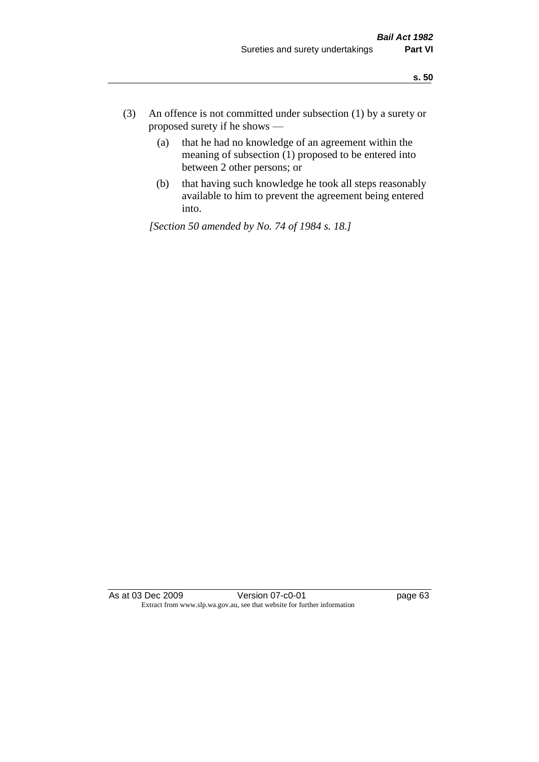- (3) An offence is not committed under subsection (1) by a surety or proposed surety if he shows —
	- (a) that he had no knowledge of an agreement within the meaning of subsection  $(1)$  proposed to be entered into between 2 other persons; or
	- (b) that having such knowledge he took all steps reasonably available to him to prevent the agreement being entered into.

*[Section 50 amended by No. 74 of 1984 s. 18.]* 

As at 03 Dec 2009 Version 07-c0-01 Page 63 Extract from www.slp.wa.gov.au, see that website for further information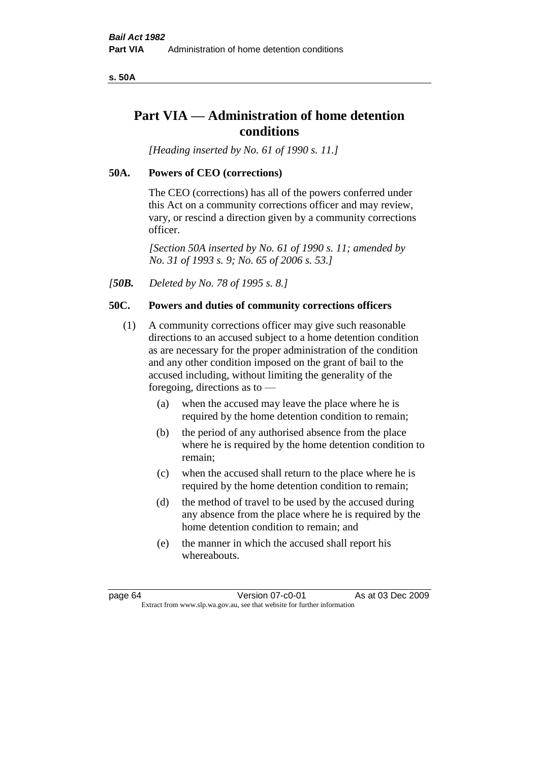**s. 50A**

# **Part VIA — Administration of home detention conditions**

*[Heading inserted by No. 61 of 1990 s. 11.]* 

#### **50A. Powers of CEO (corrections)**

The CEO (corrections) has all of the powers conferred under this Act on a community corrections officer and may review, vary, or rescind a direction given by a community corrections officer.

*[Section 50A inserted by No. 61 of 1990 s. 11; amended by No. 31 of 1993 s. 9; No. 65 of 2006 s. 53.]* 

*[50B. Deleted by No. 78 of 1995 s. 8.]* 

## **50C. Powers and duties of community corrections officers**

- (1) A community corrections officer may give such reasonable directions to an accused subject to a home detention condition as are necessary for the proper administration of the condition and any other condition imposed on the grant of bail to the accused including, without limiting the generality of the foregoing, directions as to —
	- (a) when the accused may leave the place where he is required by the home detention condition to remain;
	- (b) the period of any authorised absence from the place where he is required by the home detention condition to remain;
	- (c) when the accused shall return to the place where he is required by the home detention condition to remain;
	- (d) the method of travel to be used by the accused during any absence from the place where he is required by the home detention condition to remain; and
	- (e) the manner in which the accused shall report his whereabouts.

page 64 Version 07-c0-01 As at 03 Dec 2009 Extract from www.slp.wa.gov.au, see that website for further information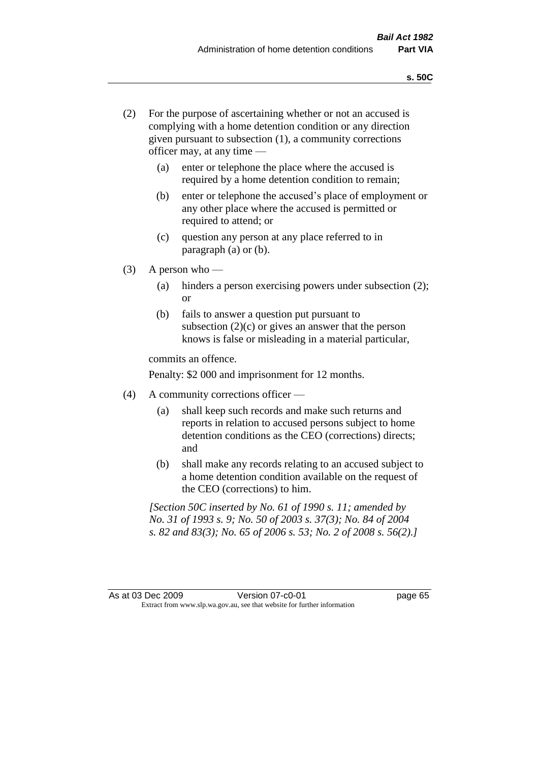- (2) For the purpose of ascertaining whether or not an accused is complying with a home detention condition or any direction given pursuant to subsection (1), a community corrections officer may, at any time —
	- (a) enter or telephone the place where the accused is required by a home detention condition to remain;
	- (b) enter or telephone the accused's place of employment or any other place where the accused is permitted or required to attend; or
	- (c) question any person at any place referred to in paragraph (a) or (b).
- $(3)$  A person who
	- (a) hinders a person exercising powers under subsection (2); or
	- (b) fails to answer a question put pursuant to subsection  $(2)(c)$  or gives an answer that the person knows is false or misleading in a material particular,

commits an offence.

Penalty: \$2 000 and imprisonment for 12 months.

- (4) A community corrections officer
	- (a) shall keep such records and make such returns and reports in relation to accused persons subject to home detention conditions as the CEO (corrections) directs; and
	- (b) shall make any records relating to an accused subject to a home detention condition available on the request of the CEO (corrections) to him.

*[Section 50C inserted by No. 61 of 1990 s. 11; amended by No. 31 of 1993 s. 9; No. 50 of 2003 s. 37(3); No. 84 of 2004 s. 82 and 83(3); No. 65 of 2006 s. 53; No. 2 of 2008 s. 56(2).]*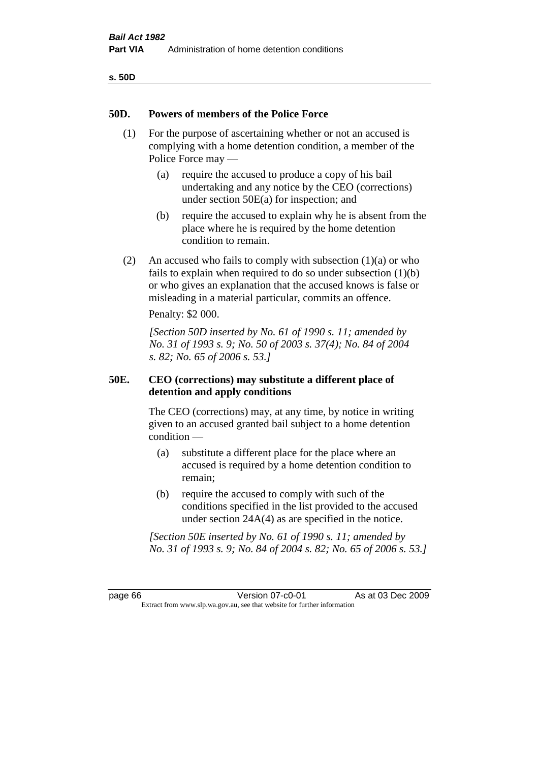## **50D. Powers of members of the Police Force**

- (1) For the purpose of ascertaining whether or not an accused is complying with a home detention condition, a member of the Police Force may —
	- (a) require the accused to produce a copy of his bail undertaking and any notice by the CEO (corrections) under section 50E(a) for inspection; and
	- (b) require the accused to explain why he is absent from the place where he is required by the home detention condition to remain.
- (2) An accused who fails to comply with subsection  $(1)(a)$  or who fails to explain when required to do so under subsection (1)(b) or who gives an explanation that the accused knows is false or misleading in a material particular, commits an offence.

Penalty: \$2 000.

*[Section 50D inserted by No. 61 of 1990 s. 11; amended by No. 31 of 1993 s. 9; No. 50 of 2003 s. 37(4); No. 84 of 2004 s. 82; No. 65 of 2006 s. 53.]* 

# **50E. CEO (corrections) may substitute a different place of detention and apply conditions**

The CEO (corrections) may, at any time, by notice in writing given to an accused granted bail subject to a home detention condition —

- (a) substitute a different place for the place where an accused is required by a home detention condition to remain;
- (b) require the accused to comply with such of the conditions specified in the list provided to the accused under section 24A(4) as are specified in the notice.

*[Section 50E inserted by No. 61 of 1990 s. 11; amended by No. 31 of 1993 s. 9; No. 84 of 2004 s. 82; No. 65 of 2006 s. 53.]* 

page 66 **Version 07-c0-01** As at 03 Dec 2009 Extract from www.slp.wa.gov.au, see that website for further information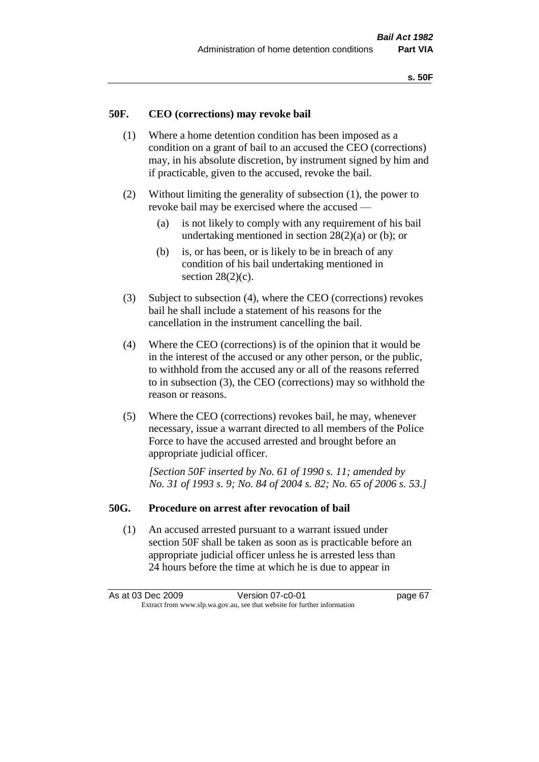## **50F. CEO (corrections) may revoke bail**

- (1) Where a home detention condition has been imposed as a condition on a grant of bail to an accused the CEO (corrections) may, in his absolute discretion, by instrument signed by him and if practicable, given to the accused, revoke the bail.
- (2) Without limiting the generality of subsection (1), the power to revoke bail may be exercised where the accused —
	- (a) is not likely to comply with any requirement of his bail undertaking mentioned in section  $28(2)(a)$  or (b); or
	- (b) is, or has been, or is likely to be in breach of any condition of his bail undertaking mentioned in section  $28(2)(c)$ .
- (3) Subject to subsection (4), where the CEO (corrections) revokes bail he shall include a statement of his reasons for the cancellation in the instrument cancelling the bail.
- (4) Where the CEO (corrections) is of the opinion that it would be in the interest of the accused or any other person, or the public, to withhold from the accused any or all of the reasons referred to in subsection (3), the CEO (corrections) may so withhold the reason or reasons.
- (5) Where the CEO (corrections) revokes bail, he may, whenever necessary, issue a warrant directed to all members of the Police Force to have the accused arrested and brought before an appropriate judicial officer.

*[Section 50F inserted by No. 61 of 1990 s. 11; amended by No. 31 of 1993 s. 9; No. 84 of 2004 s. 82; No. 65 of 2006 s. 53.]* 

#### **50G. Procedure on arrest after revocation of bail**

(1) An accused arrested pursuant to a warrant issued under section 50F shall be taken as soon as is practicable before an appropriate judicial officer unless he is arrested less than 24 hours before the time at which he is due to appear in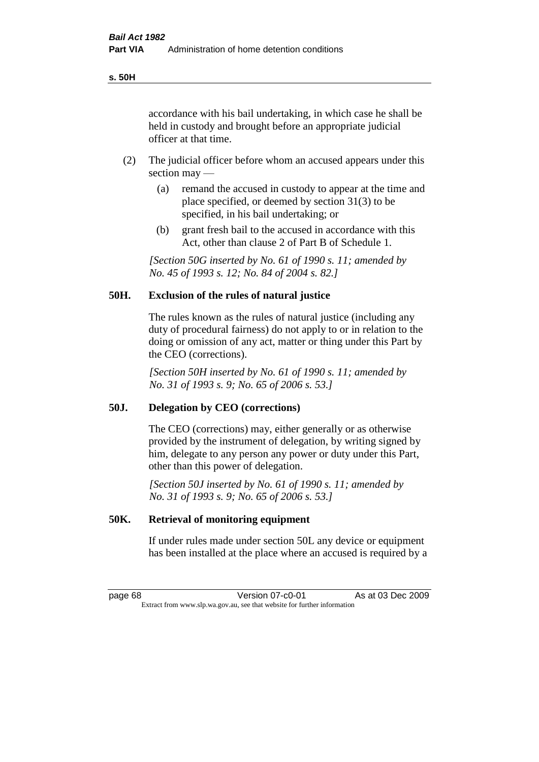accordance with his bail undertaking, in which case he shall be held in custody and brought before an appropriate judicial officer at that time.

- (2) The judicial officer before whom an accused appears under this section may —
	- (a) remand the accused in custody to appear at the time and place specified, or deemed by section 31(3) to be specified, in his bail undertaking; or
	- (b) grant fresh bail to the accused in accordance with this Act, other than clause 2 of Part B of Schedule 1.

*[Section 50G inserted by No. 61 of 1990 s. 11; amended by No. 45 of 1993 s. 12; No. 84 of 2004 s. 82.]* 

# **50H. Exclusion of the rules of natural justice**

The rules known as the rules of natural justice (including any duty of procedural fairness) do not apply to or in relation to the doing or omission of any act, matter or thing under this Part by the CEO (corrections).

*[Section 50H inserted by No. 61 of 1990 s. 11; amended by No. 31 of 1993 s. 9; No. 65 of 2006 s. 53.]* 

#### **50J. Delegation by CEO (corrections)**

The CEO (corrections) may, either generally or as otherwise provided by the instrument of delegation, by writing signed by him, delegate to any person any power or duty under this Part, other than this power of delegation.

*[Section 50J inserted by No. 61 of 1990 s. 11; amended by No. 31 of 1993 s. 9; No. 65 of 2006 s. 53.]* 

## **50K. Retrieval of monitoring equipment**

If under rules made under section 50L any device or equipment has been installed at the place where an accused is required by a

page 68 Version 07-c0-01 As at 03 Dec 2009 Extract from www.slp.wa.gov.au, see that website for further information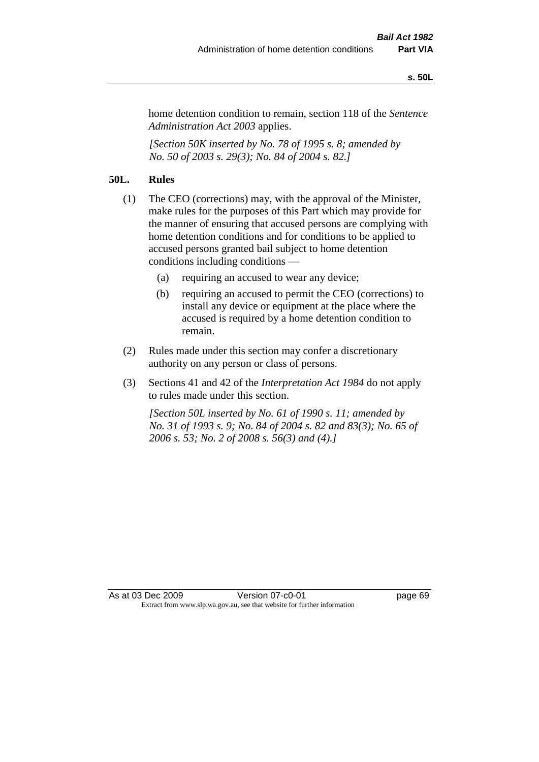#### **s. 50L**

home detention condition to remain, section 118 of the *Sentence Administration Act 2003* applies.

*[Section 50K inserted by No. 78 of 1995 s. 8; amended by No. 50 of 2003 s. 29(3); No. 84 of 2004 s. 82.]* 

# **50L. Rules**

- (1) The CEO (corrections) may, with the approval of the Minister, make rules for the purposes of this Part which may provide for the manner of ensuring that accused persons are complying with home detention conditions and for conditions to be applied to accused persons granted bail subject to home detention conditions including conditions —
	- (a) requiring an accused to wear any device;
	- (b) requiring an accused to permit the CEO (corrections) to install any device or equipment at the place where the accused is required by a home detention condition to remain.
- (2) Rules made under this section may confer a discretionary authority on any person or class of persons.
- (3) Sections 41 and 42 of the *Interpretation Act 1984* do not apply to rules made under this section.

*[Section 50L inserted by No. 61 of 1990 s. 11; amended by No. 31 of 1993 s. 9; No. 84 of 2004 s. 82 and 83(3); No. 65 of 2006 s. 53; No. 2 of 2008 s. 56(3) and (4).]*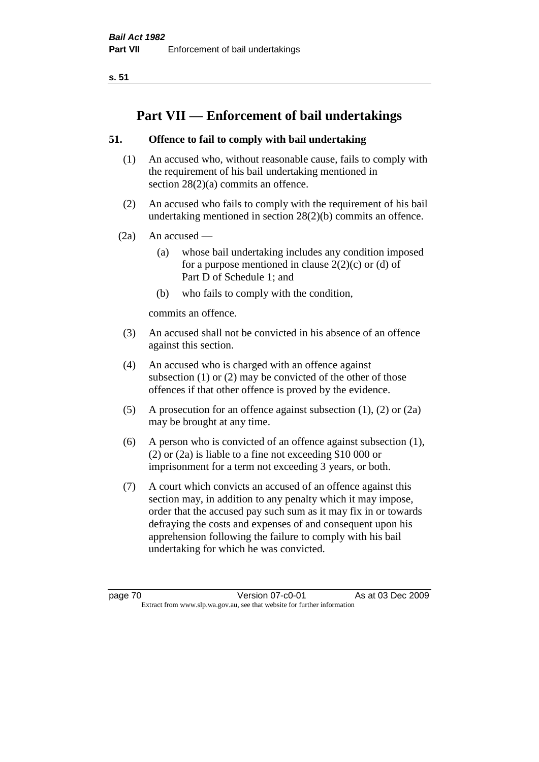**s. 51**

# **Part VII — Enforcement of bail undertakings**

# **51. Offence to fail to comply with bail undertaking**

- (1) An accused who, without reasonable cause, fails to comply with the requirement of his bail undertaking mentioned in section 28(2)(a) commits an offence.
- (2) An accused who fails to comply with the requirement of his bail undertaking mentioned in section 28(2)(b) commits an offence.
- $(2a)$  An accused
	- (a) whose bail undertaking includes any condition imposed for a purpose mentioned in clause  $2(2)(c)$  or (d) of Part D of Schedule 1; and
	- (b) who fails to comply with the condition,

commits an offence.

- (3) An accused shall not be convicted in his absence of an offence against this section.
- (4) An accused who is charged with an offence against subsection (1) or (2) may be convicted of the other of those offences if that other offence is proved by the evidence.
- (5) A prosecution for an offence against subsection (1), (2) or (2a) may be brought at any time.
- (6) A person who is convicted of an offence against subsection (1), (2) or (2a) is liable to a fine not exceeding \$10 000 or imprisonment for a term not exceeding 3 years, or both.
- (7) A court which convicts an accused of an offence against this section may, in addition to any penalty which it may impose, order that the accused pay such sum as it may fix in or towards defraying the costs and expenses of and consequent upon his apprehension following the failure to comply with his bail undertaking for which he was convicted.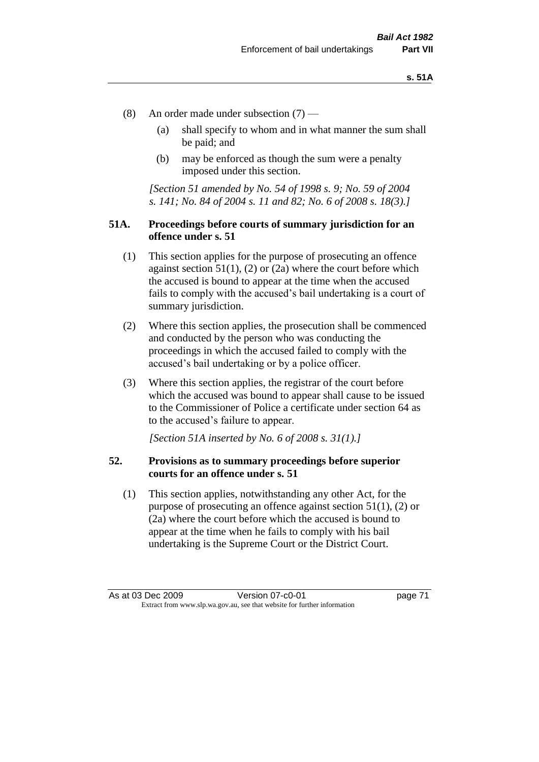- (8) An order made under subsection (7)
	- (a) shall specify to whom and in what manner the sum shall be paid; and
	- (b) may be enforced as though the sum were a penalty imposed under this section.

*[Section 51 amended by No. 54 of 1998 s. 9; No. 59 of 2004 s. 141; No. 84 of 2004 s. 11 and 82; No. 6 of 2008 s. 18(3).]*

# **51A. Proceedings before courts of summary jurisdiction for an offence under s. 51**

- (1) This section applies for the purpose of prosecuting an offence against section  $51(1)$ ,  $(2)$  or  $(2a)$  where the court before which the accused is bound to appear at the time when the accused fails to comply with the accused's bail undertaking is a court of summary jurisdiction.
- (2) Where this section applies, the prosecution shall be commenced and conducted by the person who was conducting the proceedings in which the accused failed to comply with the accused's bail undertaking or by a police officer.
- (3) Where this section applies, the registrar of the court before which the accused was bound to appear shall cause to be issued to the Commissioner of Police a certificate under section 64 as to the accused's failure to appear.

*[Section 51A inserted by No. 6 of 2008 s. 31(1).]*

## **52. Provisions as to summary proceedings before superior courts for an offence under s. 51**

(1) This section applies, notwithstanding any other Act, for the purpose of prosecuting an offence against section 51(1), (2) or (2a) where the court before which the accused is bound to appear at the time when he fails to comply with his bail undertaking is the Supreme Court or the District Court.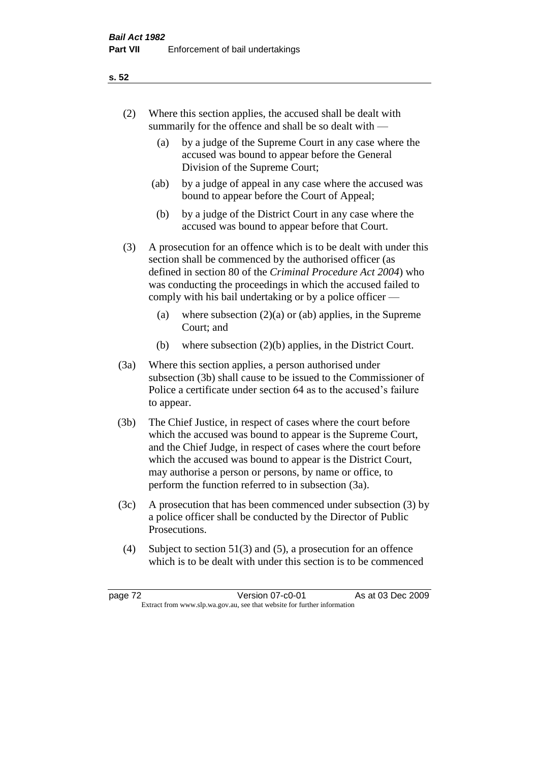# (2) Where this section applies, the accused shall be dealt with summarily for the offence and shall be so dealt with —

- (a) by a judge of the Supreme Court in any case where the accused was bound to appear before the General Division of the Supreme Court;
- (ab) by a judge of appeal in any case where the accused was bound to appear before the Court of Appeal;
- (b) by a judge of the District Court in any case where the accused was bound to appear before that Court.
- (3) A prosecution for an offence which is to be dealt with under this section shall be commenced by the authorised officer (as defined in section 80 of the *Criminal Procedure Act 2004*) who was conducting the proceedings in which the accused failed to comply with his bail undertaking or by a police officer —
	- (a) where subsection  $(2)(a)$  or (ab) applies, in the Supreme Court; and
	- (b) where subsection (2)(b) applies, in the District Court.
- (3a) Where this section applies, a person authorised under subsection (3b) shall cause to be issued to the Commissioner of Police a certificate under section 64 as to the accused's failure to appear.
- (3b) The Chief Justice, in respect of cases where the court before which the accused was bound to appear is the Supreme Court, and the Chief Judge, in respect of cases where the court before which the accused was bound to appear is the District Court, may authorise a person or persons, by name or office, to perform the function referred to in subsection (3a).
- (3c) A prosecution that has been commenced under subsection (3) by a police officer shall be conducted by the Director of Public Prosecutions.
- (4) Subject to section 51(3) and (5), a prosecution for an offence which is to be dealt with under this section is to be commenced

## **s. 52**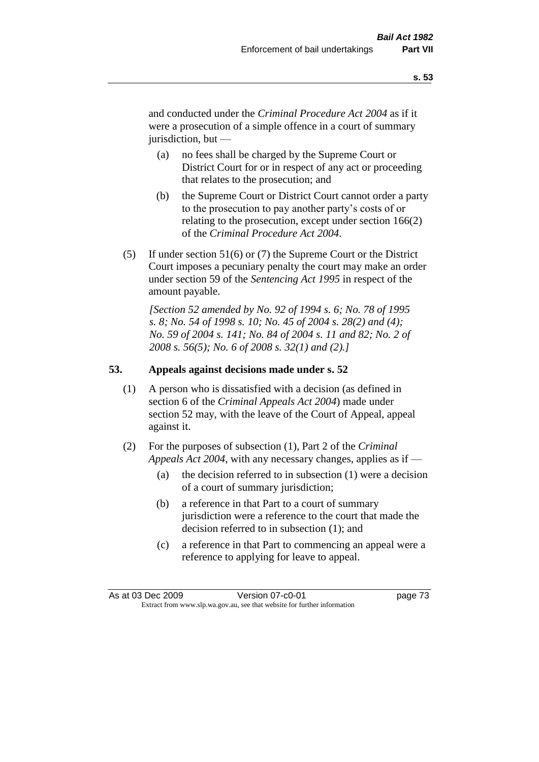and conducted under the *Criminal Procedure Act 2004* as if it were a prosecution of a simple offence in a court of summary jurisdiction, but —

- (a) no fees shall be charged by the Supreme Court or District Court for or in respect of any act or proceeding that relates to the prosecution; and
- (b) the Supreme Court or District Court cannot order a party to the prosecution to pay another party's costs of or relating to the prosecution, except under section 166(2) of the *Criminal Procedure Act 2004*.
- (5) If under section 51(6) or (7) the Supreme Court or the District Court imposes a pecuniary penalty the court may make an order under section 59 of the *Sentencing Act 1995* in respect of the amount payable.

*[Section 52 amended by No. 92 of 1994 s. 6; No. 78 of 1995 s. 8; No. 54 of 1998 s. 10; No. 45 of 2004 s. 28(2) and (4); No. 59 of 2004 s. 141; No. 84 of 2004 s. 11 and 82; No. 2 of 2008 s. 56(5); No. 6 of 2008 s. 32(1) and (2).]* 

# **53. Appeals against decisions made under s. 52**

- (1) A person who is dissatisfied with a decision (as defined in section 6 of the *Criminal Appeals Act 2004*) made under section 52 may, with the leave of the Court of Appeal, appeal against it.
- (2) For the purposes of subsection (1), Part 2 of the *Criminal Appeals Act 2004*, with any necessary changes, applies as if —
	- (a) the decision referred to in subsection (1) were a decision of a court of summary jurisdiction;
	- (b) a reference in that Part to a court of summary jurisdiction were a reference to the court that made the decision referred to in subsection (1); and
	- (c) a reference in that Part to commencing an appeal were a reference to applying for leave to appeal.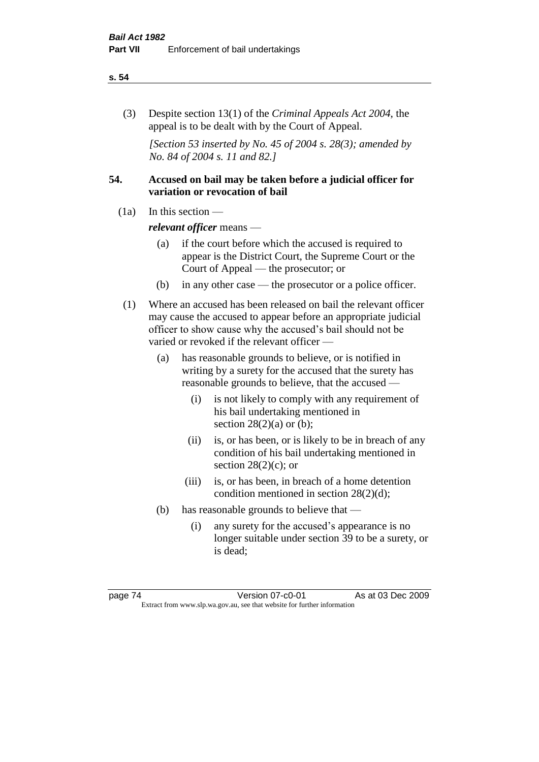#### **s. 54**

(3) Despite section 13(1) of the *Criminal Appeals Act 2004*, the appeal is to be dealt with by the Court of Appeal.

*[Section 53 inserted by No. 45 of 2004 s. 28(3); amended by No. 84 of 2004 s. 11 and 82.]*

# **54. Accused on bail may be taken before a judicial officer for variation or revocation of bail**

(1a) In this section —

*relevant officer* means —

- (a) if the court before which the accused is required to appear is the District Court, the Supreme Court or the Court of Appeal — the prosecutor; or
- (b) in any other case the prosecutor or a police officer.
- (1) Where an accused has been released on bail the relevant officer may cause the accused to appear before an appropriate judicial officer to show cause why the accused's bail should not be varied or revoked if the relevant officer —
	- (a) has reasonable grounds to believe, or is notified in writing by a surety for the accused that the surety has reasonable grounds to believe, that the accused —
		- (i) is not likely to comply with any requirement of his bail undertaking mentioned in section  $28(2)(a)$  or (b);
		- (ii) is, or has been, or is likely to be in breach of any condition of his bail undertaking mentioned in section  $28(2)(c)$ ; or
		- (iii) is, or has been, in breach of a home detention condition mentioned in section 28(2)(d);
	- (b) has reasonable grounds to believe that
		- (i) any surety for the accused's appearance is no longer suitable under section 39 to be a surety, or is dead;

page 74 Version 07-c0-01 As at 03 Dec 2009 Extract from www.slp.wa.gov.au, see that website for further information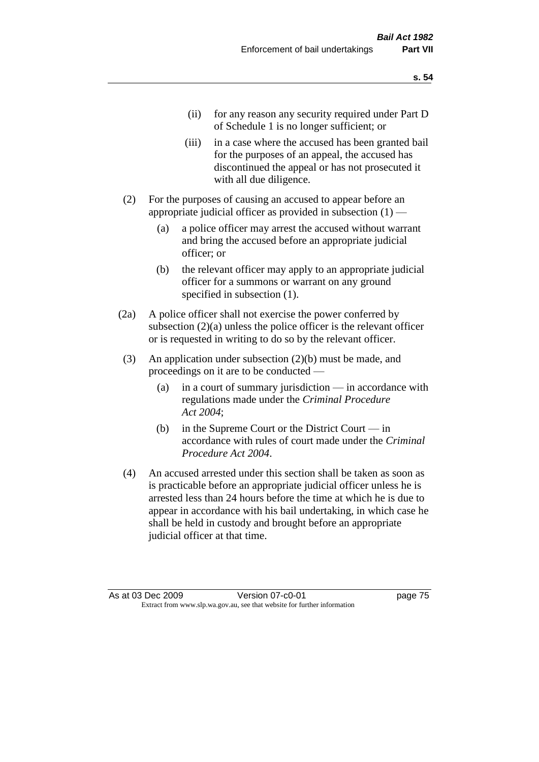- (ii) for any reason any security required under Part D of Schedule 1 is no longer sufficient; or
- (iii) in a case where the accused has been granted bail for the purposes of an appeal, the accused has discontinued the appeal or has not prosecuted it with all due diligence.
- (2) For the purposes of causing an accused to appear before an appropriate judicial officer as provided in subsection  $(1)$  —
	- (a) a police officer may arrest the accused without warrant and bring the accused before an appropriate judicial officer; or
	- (b) the relevant officer may apply to an appropriate judicial officer for a summons or warrant on any ground specified in subsection  $(1)$ .
- (2a) A police officer shall not exercise the power conferred by subsection (2)(a) unless the police officer is the relevant officer or is requested in writing to do so by the relevant officer.
- (3) An application under subsection (2)(b) must be made, and proceedings on it are to be conducted —
	- (a) in a court of summary jurisdiction in accordance with regulations made under the *Criminal Procedure Act 2004*;
	- (b) in the Supreme Court or the District Court in accordance with rules of court made under the *Criminal Procedure Act 2004*.
- (4) An accused arrested under this section shall be taken as soon as is practicable before an appropriate judicial officer unless he is arrested less than 24 hours before the time at which he is due to appear in accordance with his bail undertaking, in which case he shall be held in custody and brought before an appropriate judicial officer at that time.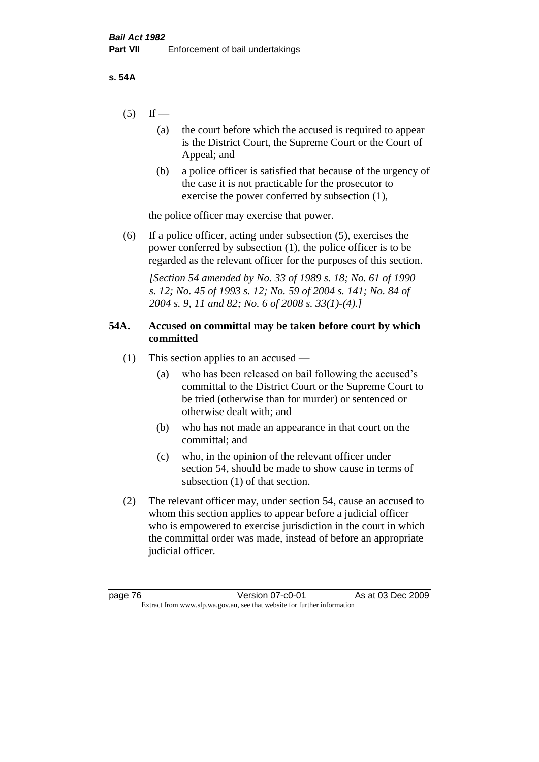- $(5)$  If
	- (a) the court before which the accused is required to appear is the District Court, the Supreme Court or the Court of Appeal; and
	- (b) a police officer is satisfied that because of the urgency of the case it is not practicable for the prosecutor to exercise the power conferred by subsection (1),

the police officer may exercise that power.

(6) If a police officer, acting under subsection (5), exercises the power conferred by subsection (1), the police officer is to be regarded as the relevant officer for the purposes of this section.

*[Section 54 amended by No. 33 of 1989 s. 18; No. 61 of 1990 s. 12; No. 45 of 1993 s. 12; No. 59 of 2004 s. 141; No. 84 of 2004 s. 9, 11 and 82; No. 6 of 2008 s. 33(1)-(4).]* 

# **54A. Accused on committal may be taken before court by which committed**

- (1) This section applies to an accused
	- (a) who has been released on bail following the accused's committal to the District Court or the Supreme Court to be tried (otherwise than for murder) or sentenced or otherwise dealt with; and
	- (b) who has not made an appearance in that court on the committal; and
	- (c) who, in the opinion of the relevant officer under section 54, should be made to show cause in terms of subsection (1) of that section.
- (2) The relevant officer may, under section 54, cause an accused to whom this section applies to appear before a judicial officer who is empowered to exercise jurisdiction in the court in which the committal order was made, instead of before an appropriate judicial officer.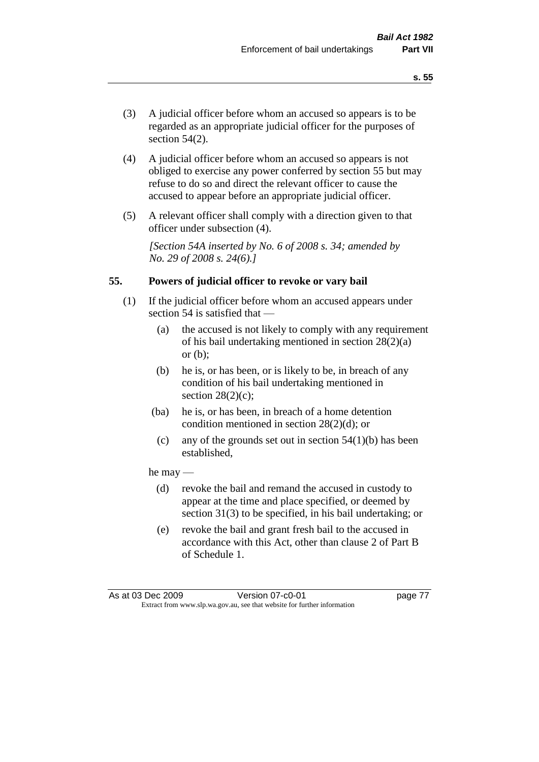- (3) A judicial officer before whom an accused so appears is to be regarded as an appropriate judicial officer for the purposes of section 54(2).
- (4) A judicial officer before whom an accused so appears is not obliged to exercise any power conferred by section 55 but may refuse to do so and direct the relevant officer to cause the accused to appear before an appropriate judicial officer.
- (5) A relevant officer shall comply with a direction given to that officer under subsection (4).

*[Section 54A inserted by No. 6 of 2008 s. 34; amended by No. 29 of 2008 s. 24(6).]*

## **55. Powers of judicial officer to revoke or vary bail**

- (1) If the judicial officer before whom an accused appears under section 54 is satisfied that —
	- (a) the accused is not likely to comply with any requirement of his bail undertaking mentioned in section 28(2)(a) or  $(b)$ :
	- (b) he is, or has been, or is likely to be, in breach of any condition of his bail undertaking mentioned in section  $28(2)(c)$ ;
	- (ba) he is, or has been, in breach of a home detention condition mentioned in section 28(2)(d); or
		- (c) any of the grounds set out in section  $54(1)(b)$  has been established,

#### he may —

- (d) revoke the bail and remand the accused in custody to appear at the time and place specified, or deemed by section 31(3) to be specified, in his bail undertaking; or
- (e) revoke the bail and grant fresh bail to the accused in accordance with this Act, other than clause 2 of Part B of Schedule 1.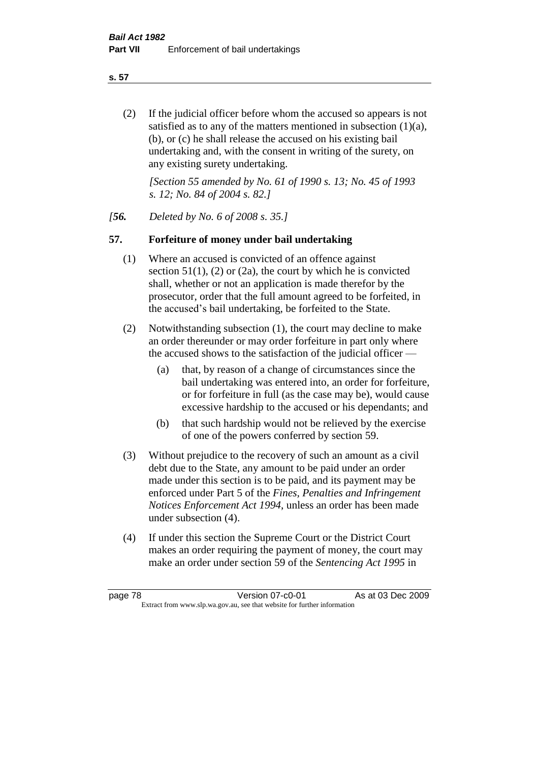**s. 57**

(2) If the judicial officer before whom the accused so appears is not satisfied as to any of the matters mentioned in subsection (1)(a), (b), or (c) he shall release the accused on his existing bail undertaking and, with the consent in writing of the surety, on any existing surety undertaking.

*[Section 55 amended by No. 61 of 1990 s. 13; No. 45 of 1993 s. 12; No. 84 of 2004 s. 82.]* 

*[56. Deleted by No. 6 of 2008 s. 35.]*

# **57. Forfeiture of money under bail undertaking**

- (1) Where an accused is convicted of an offence against section  $51(1)$ , (2) or (2a), the court by which he is convicted shall, whether or not an application is made therefor by the prosecutor, order that the full amount agreed to be forfeited, in the accused's bail undertaking, be forfeited to the State.
- (2) Notwithstanding subsection (1), the court may decline to make an order thereunder or may order forfeiture in part only where the accused shows to the satisfaction of the judicial officer —
	- (a) that, by reason of a change of circumstances since the bail undertaking was entered into, an order for forfeiture, or for forfeiture in full (as the case may be), would cause excessive hardship to the accused or his dependants; and
	- (b) that such hardship would not be relieved by the exercise of one of the powers conferred by section 59.
- (3) Without prejudice to the recovery of such an amount as a civil debt due to the State, any amount to be paid under an order made under this section is to be paid, and its payment may be enforced under Part 5 of the *Fines, Penalties and Infringement Notices Enforcement Act 1994*, unless an order has been made under subsection (4).
- (4) If under this section the Supreme Court or the District Court makes an order requiring the payment of money, the court may make an order under section 59 of the *Sentencing Act 1995* in

page 78 Version 07-c0-01 As at 03 Dec 2009 Extract from www.slp.wa.gov.au, see that website for further information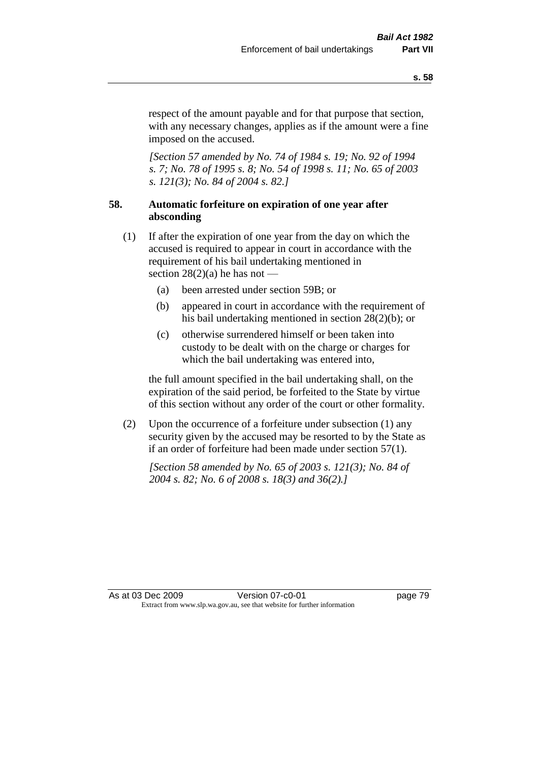respect of the amount payable and for that purpose that section, with any necessary changes, applies as if the amount were a fine imposed on the accused.

*[Section 57 amended by No. 74 of 1984 s. 19; No. 92 of 1994 s. 7; No. 78 of 1995 s. 8; No. 54 of 1998 s. 11; No. 65 of 2003 s. 121(3); No. 84 of 2004 s. 82.]* 

# **58. Automatic forfeiture on expiration of one year after absconding**

- (1) If after the expiration of one year from the day on which the accused is required to appear in court in accordance with the requirement of his bail undertaking mentioned in section  $28(2)(a)$  he has not —
	- (a) been arrested under section 59B; or
	- (b) appeared in court in accordance with the requirement of his bail undertaking mentioned in section 28(2)(b); or
	- (c) otherwise surrendered himself or been taken into custody to be dealt with on the charge or charges for which the bail undertaking was entered into,

the full amount specified in the bail undertaking shall, on the expiration of the said period, be forfeited to the State by virtue of this section without any order of the court or other formality.

(2) Upon the occurrence of a forfeiture under subsection (1) any security given by the accused may be resorted to by the State as if an order of forfeiture had been made under section 57(1).

*[Section 58 amended by No. 65 of 2003 s. 121(3); No. 84 of 2004 s. 82; No. 6 of 2008 s. 18(3) and 36(2).]*

As at 03 Dec 2009 Version 07-c0-01 Page 79 Extract from www.slp.wa.gov.au, see that website for further information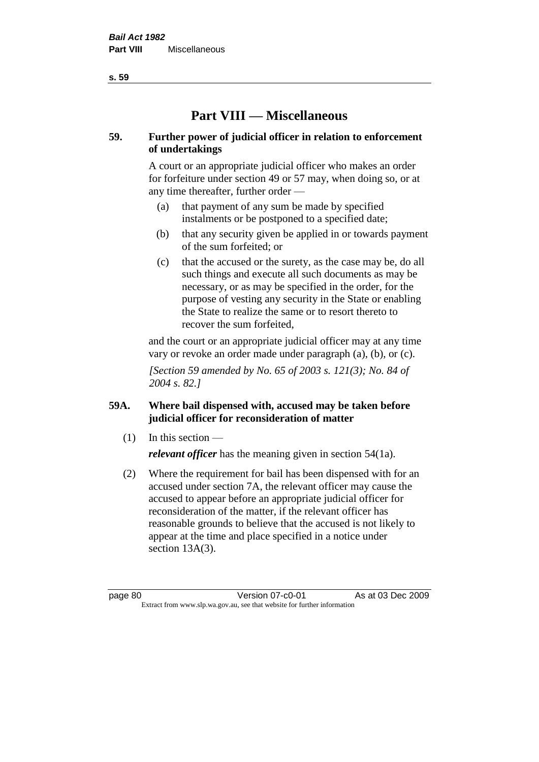**Part VIII — Miscellaneous** 

# **59. Further power of judicial officer in relation to enforcement of undertakings**

A court or an appropriate judicial officer who makes an order for forfeiture under section 49 or 57 may, when doing so, or at any time thereafter, further order —

- (a) that payment of any sum be made by specified instalments or be postponed to a specified date;
- (b) that any security given be applied in or towards payment of the sum forfeited; or
- (c) that the accused or the surety, as the case may be, do all such things and execute all such documents as may be necessary, or as may be specified in the order, for the purpose of vesting any security in the State or enabling the State to realize the same or to resort thereto to recover the sum forfeited,

and the court or an appropriate judicial officer may at any time vary or revoke an order made under paragraph (a), (b), or (c).

*[Section 59 amended by No. 65 of 2003 s. 121(3); No. 84 of 2004 s. 82.]*

# **59A. Where bail dispensed with, accused may be taken before judicial officer for reconsideration of matter**

- $(1)$  In this section *relevant officer* has the meaning given in section 54(1a).
- (2) Where the requirement for bail has been dispensed with for an accused under section 7A, the relevant officer may cause the accused to appear before an appropriate judicial officer for reconsideration of the matter, if the relevant officer has reasonable grounds to believe that the accused is not likely to appear at the time and place specified in a notice under section 13A(3).

page 80 Version 07-c0-01 As at 03 Dec 2009 Extract from www.slp.wa.gov.au, see that website for further information

**s. 59**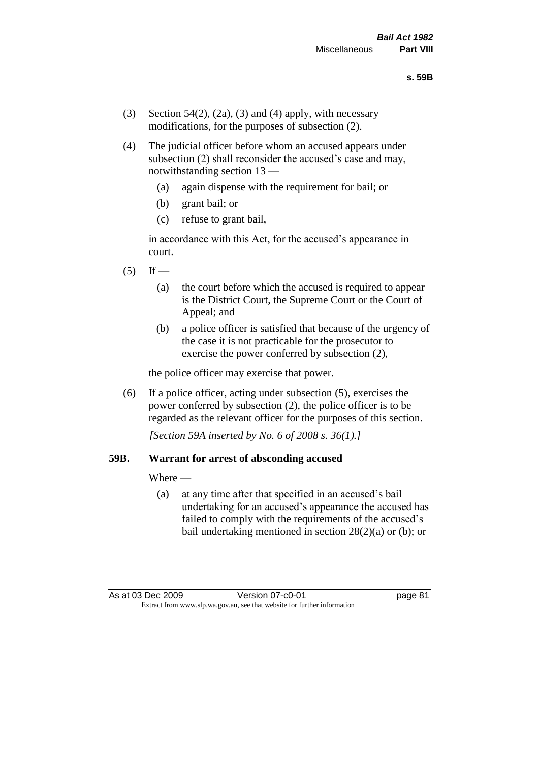- (3) Section 54(2), (2a), (3) and (4) apply, with necessary modifications, for the purposes of subsection (2).
- (4) The judicial officer before whom an accused appears under subsection (2) shall reconsider the accused's case and may, notwithstanding section 13 —
	- (a) again dispense with the requirement for bail; or
	- (b) grant bail; or
	- (c) refuse to grant bail,

in accordance with this Act, for the accused's appearance in court.

- $(5)$  If
	- (a) the court before which the accused is required to appear is the District Court, the Supreme Court or the Court of Appeal; and
	- (b) a police officer is satisfied that because of the urgency of the case it is not practicable for the prosecutor to exercise the power conferred by subsection (2),

the police officer may exercise that power.

(6) If a police officer, acting under subsection (5), exercises the power conferred by subsection (2), the police officer is to be regarded as the relevant officer for the purposes of this section.

*[Section 59A inserted by No. 6 of 2008 s. 36(1).]*

#### **59B. Warrant for arrest of absconding accused**

Where —

(a) at any time after that specified in an accused's bail undertaking for an accused's appearance the accused has failed to comply with the requirements of the accused's bail undertaking mentioned in section 28(2)(a) or (b); or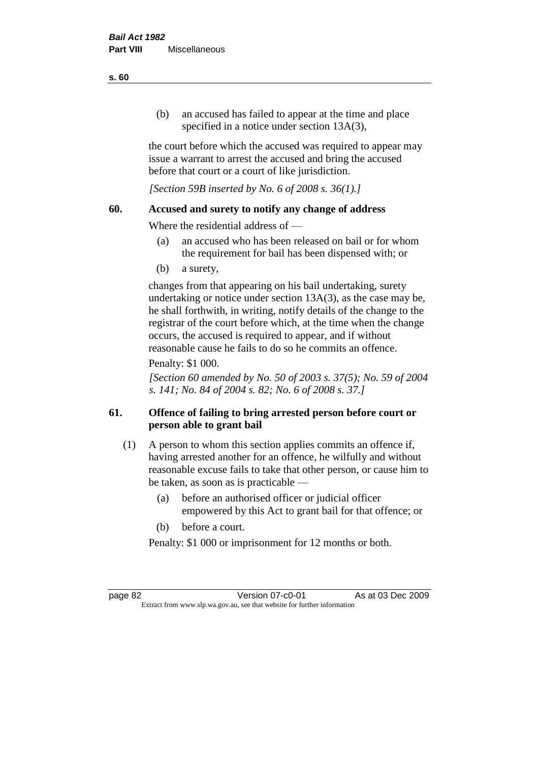(b) an accused has failed to appear at the time and place specified in a notice under section 13A(3).

the court before which the accused was required to appear may issue a warrant to arrest the accused and bring the accused before that court or a court of like jurisdiction.

*[Section 59B inserted by No. 6 of 2008 s. 36(1).]*

## **60. Accused and surety to notify any change of address**

Where the residential address of —

- (a) an accused who has been released on bail or for whom the requirement for bail has been dispensed with; or
- (b) a surety,

changes from that appearing on his bail undertaking, surety undertaking or notice under section 13A(3), as the case may be, he shall forthwith, in writing, notify details of the change to the registrar of the court before which, at the time when the change occurs, the accused is required to appear, and if without reasonable cause he fails to do so he commits an offence.

## Penalty: \$1 000.

*[Section 60 amended by No. 50 of 2003 s. 37(5); No. 59 of 2004 s. 141; No. 84 of 2004 s. 82; No. 6 of 2008 s. 37.]*

# **61. Offence of failing to bring arrested person before court or person able to grant bail**

- (1) A person to whom this section applies commits an offence if, having arrested another for an offence, he wilfully and without reasonable excuse fails to take that other person, or cause him to be taken, as soon as is practicable —
	- (a) before an authorised officer or judicial officer empowered by this Act to grant bail for that offence; or
	- (b) before a court.

Penalty: \$1 000 or imprisonment for 12 months or both.

page 82 Version 07-c0-01 As at 03 Dec 2009 Extract from www.slp.wa.gov.au, see that website for further information

#### **s. 60**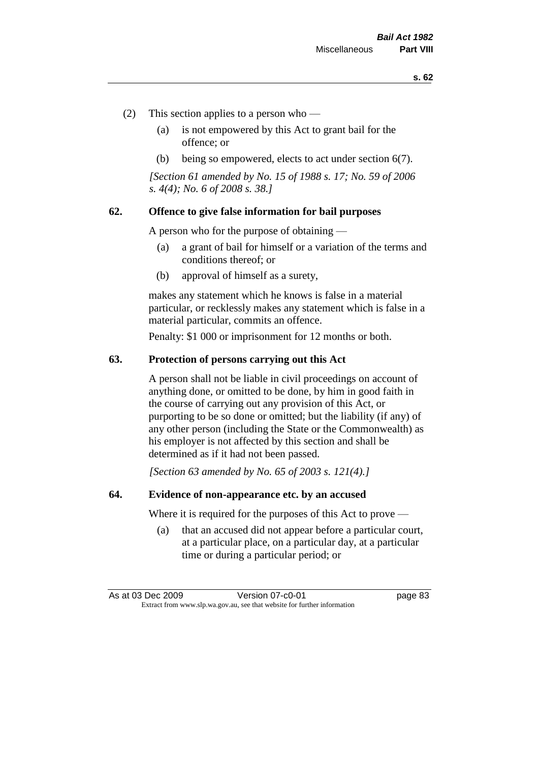- (2) This section applies to a person who
	- (a) is not empowered by this Act to grant bail for the offence; or
	- (b) being so empowered, elects to act under section 6(7).

*[Section 61 amended by No. 15 of 1988 s. 17; No. 59 of 2006 s. 4(4); No. 6 of 2008 s. 38.]* 

## **62. Offence to give false information for bail purposes**

A person who for the purpose of obtaining —

- (a) a grant of bail for himself or a variation of the terms and conditions thereof; or
- (b) approval of himself as a surety,

makes any statement which he knows is false in a material particular, or recklessly makes any statement which is false in a material particular, commits an offence.

Penalty: \$1 000 or imprisonment for 12 months or both.

#### **63. Protection of persons carrying out this Act**

A person shall not be liable in civil proceedings on account of anything done, or omitted to be done, by him in good faith in the course of carrying out any provision of this Act, or purporting to be so done or omitted; but the liability (if any) of any other person (including the State or the Commonwealth) as his employer is not affected by this section and shall be determined as if it had not been passed.

*[Section 63 amended by No. 65 of 2003 s. 121(4).]*

## **64. Evidence of non-appearance etc. by an accused**

Where it is required for the purposes of this Act to prove —

(a) that an accused did not appear before a particular court, at a particular place, on a particular day, at a particular time or during a particular period; or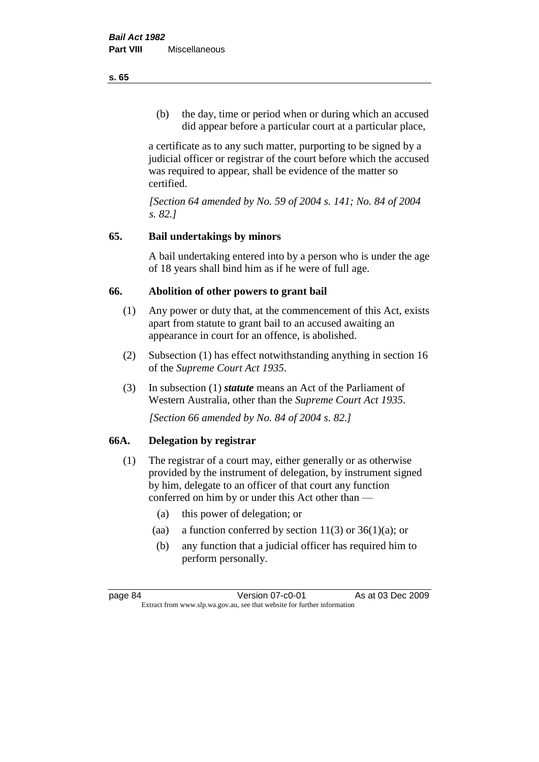(b) the day, time or period when or during which an accused did appear before a particular court at a particular place,

a certificate as to any such matter, purporting to be signed by a judicial officer or registrar of the court before which the accused was required to appear, shall be evidence of the matter so certified.

*[Section 64 amended by No. 59 of 2004 s. 141; No. 84 of 2004 s. 82.]* 

# **65. Bail undertakings by minors**

A bail undertaking entered into by a person who is under the age of 18 years shall bind him as if he were of full age.

# **66. Abolition of other powers to grant bail**

- (1) Any power or duty that, at the commencement of this Act, exists apart from statute to grant bail to an accused awaiting an appearance in court for an offence, is abolished.
- (2) Subsection (1) has effect notwithstanding anything in section 16 of the *Supreme Court Act 1935*.
- (3) In subsection (1) *statute* means an Act of the Parliament of Western Australia, other than the *Supreme Court Act 1935*.

*[Section 66 amended by No. 84 of 2004 s. 82.]*

# **66A. Delegation by registrar**

- (1) The registrar of a court may, either generally or as otherwise provided by the instrument of delegation, by instrument signed by him, delegate to an officer of that court any function conferred on him by or under this Act other than —
	- (a) this power of delegation; or
	- (aa) a function conferred by section  $11(3)$  or  $36(1)(a)$ ; or
	- (b) any function that a judicial officer has required him to perform personally.

**s. 65**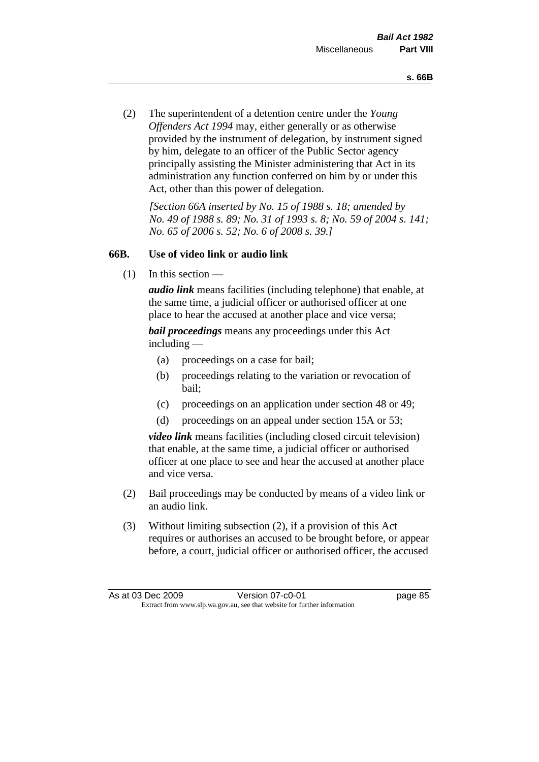(2) The superintendent of a detention centre under the *Young Offenders Act 1994* may, either generally or as otherwise provided by the instrument of delegation, by instrument signed by him, delegate to an officer of the Public Sector agency principally assisting the Minister administering that Act in its administration any function conferred on him by or under this Act, other than this power of delegation.

*[Section 66A inserted by No. 15 of 1988 s. 18; amended by No. 49 of 1988 s. 89; No. 31 of 1993 s. 8; No. 59 of 2004 s. 141; No. 65 of 2006 s. 52; No. 6 of 2008 s. 39.]* 

# **66B. Use of video link or audio link**

(1) In this section —

*audio link* means facilities (including telephone) that enable, at the same time, a judicial officer or authorised officer at one place to hear the accused at another place and vice versa;

*bail proceedings* means any proceedings under this Act including —

- (a) proceedings on a case for bail;
- (b) proceedings relating to the variation or revocation of bail;
- (c) proceedings on an application under section 48 or 49;
- (d) proceedings on an appeal under section 15A or 53;

*video link* means facilities (including closed circuit television) that enable, at the same time, a judicial officer or authorised officer at one place to see and hear the accused at another place and vice versa.

- (2) Bail proceedings may be conducted by means of a video link or an audio link.
- (3) Without limiting subsection (2), if a provision of this Act requires or authorises an accused to be brought before, or appear before, a court, judicial officer or authorised officer, the accused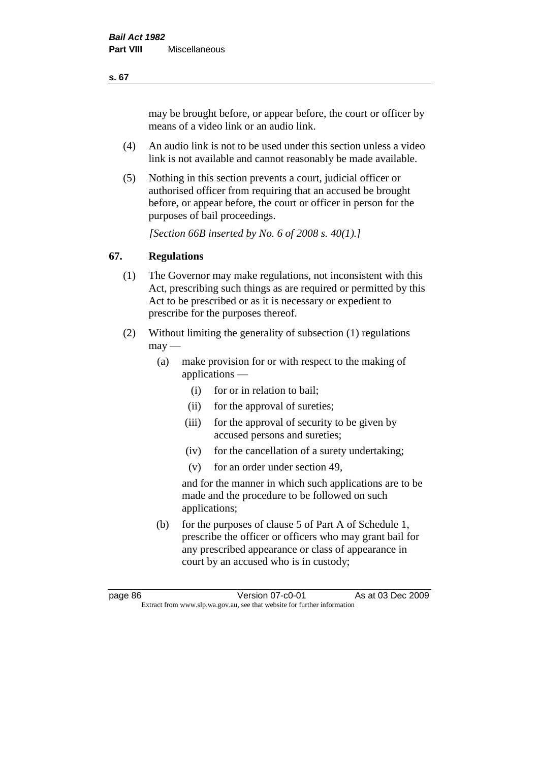may be brought before, or appear before, the court or officer by means of a video link or an audio link.

- (4) An audio link is not to be used under this section unless a video link is not available and cannot reasonably be made available.
- (5) Nothing in this section prevents a court, judicial officer or authorised officer from requiring that an accused be brought before, or appear before, the court or officer in person for the purposes of bail proceedings.

*[Section 66B inserted by No. 6 of 2008 s. 40(1).]*

# **67. Regulations**

- (1) The Governor may make regulations, not inconsistent with this Act, prescribing such things as are required or permitted by this Act to be prescribed or as it is necessary or expedient to prescribe for the purposes thereof.
- (2) Without limiting the generality of subsection (1) regulations  $\text{max}$  —
	- (a) make provision for or with respect to the making of applications —
		- (i) for or in relation to bail;
		- (ii) for the approval of sureties;
		- (iii) for the approval of security to be given by accused persons and sureties;
		- (iv) for the cancellation of a surety undertaking;
		- (v) for an order under section 49,

and for the manner in which such applications are to be made and the procedure to be followed on such applications;

(b) for the purposes of clause 5 of Part A of Schedule 1, prescribe the officer or officers who may grant bail for any prescribed appearance or class of appearance in court by an accused who is in custody;

**s. 67**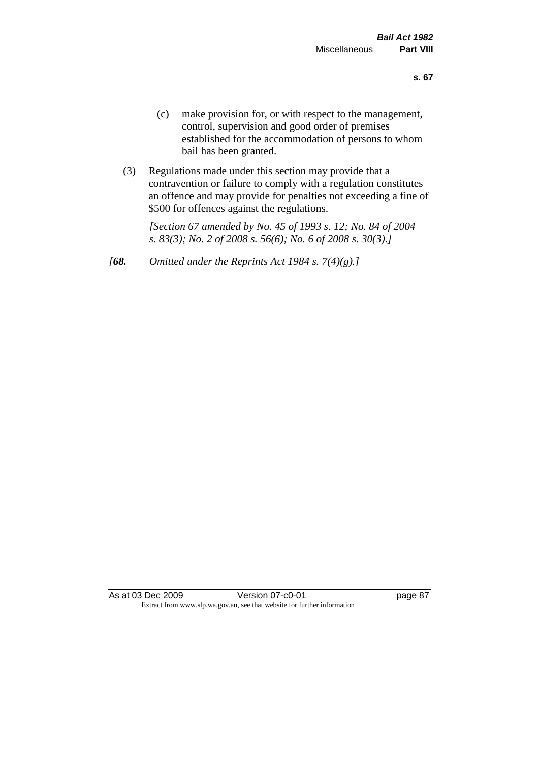- (c) make provision for, or with respect to the management, control, supervision and good order of premises established for the accommodation of persons to whom bail has been granted.
- (3) Regulations made under this section may provide that a contravention or failure to comply with a regulation constitutes an offence and may provide for penalties not exceeding a fine of \$500 for offences against the regulations.

*[Section 67 amended by No. 45 of 1993 s. 12; No. 84 of 2004 s. 83(3); No. 2 of 2008 s. 56(6); No. 6 of 2008 s. 30(3).]* 

*[68. Omitted under the Reprints Act 1984 s. 7(4)(g).]*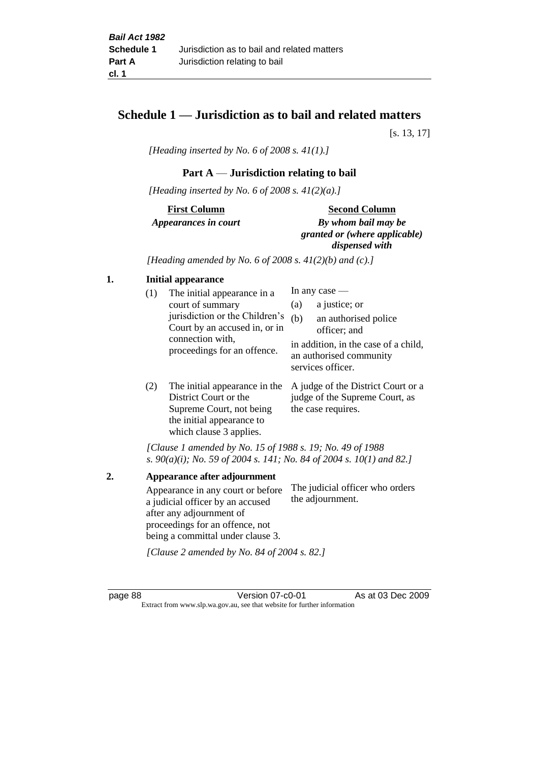# **Schedule 1 — Jurisdiction as to bail and related matters**

[s. 13, 17]

*[Heading inserted by No. 6 of 2008 s. 41(1).]*

# **Part A** — **Jurisdiction relating to bail**

*[Heading inserted by No. 6 of 2008 s. 41(2)(a).]*

# **First Column** *Appearances in court*

#### **Second Column**

*By whom bail may be granted or (where applicable) dispensed with*

*[Heading amended by No. 6 of 2008 s. 41(2)(b) and (c).]*

## **1. Initial appearance**

| (1) | The initial appearance in a<br>court of summary<br>jurisdiction or the Children's<br>Court by an accused in, or in<br>connection with,<br>proceedings for an offence. | (a)<br>(b) | In any case $-$<br>a justice; or<br>an authorised police<br>officer; and             |
|-----|-----------------------------------------------------------------------------------------------------------------------------------------------------------------------|------------|--------------------------------------------------------------------------------------|
|     |                                                                                                                                                                       |            | in addition, in the case of a child,<br>an authorised community<br>services officer. |

(2) The initial appearance in the A judge of the District Court or a District Court or the Supreme Court, not being the initial appearance to which clause 3 applies. judge of the Supreme Court, as the case requires.

*[Clause 1 amended by No. 15 of 1988 s. 19; No. 49 of 1988 s. 90(a)(i); No. 59 of 2004 s. 141; No. 84 of 2004 s. 10(1) and 82.]*

**2. Appearance after adjournment** Appearance in any court or before a judicial officer by an accused after any adjournment of proceedings for an offence, not being a committal under clause 3. The judicial officer who orders the adjournment.

*[Clause 2 amended by No. 84 of 2004 s. 82.]*

page 88 Version 07-c0-01 As at 03 Dec 2009 Extract from www.slp.wa.gov.au, see that website for further information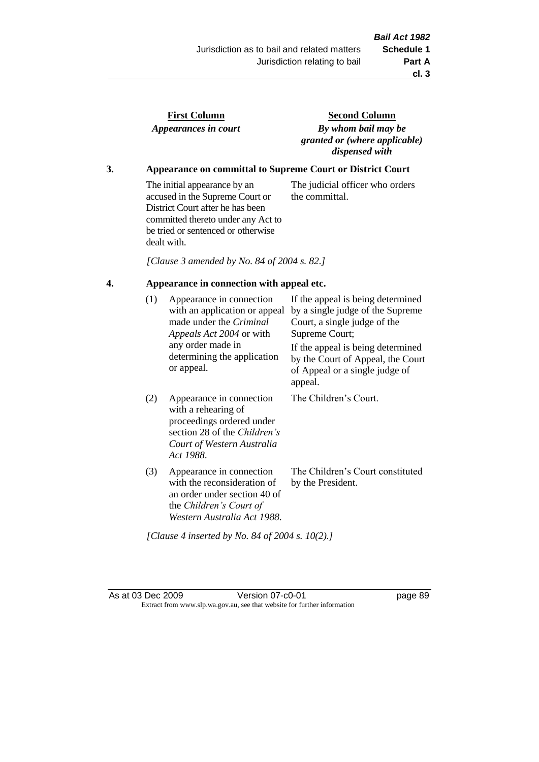the committal.

| <b>First Column</b>  |  |
|----------------------|--|
| Appearances in court |  |

**Second Column** *By whom bail may be granted or (where applicable) dispensed with*

The judicial officer who orders

# **3. Appearance on committal to Supreme Court or District Court**

The initial appearance by an accused in the Supreme Court or District Court after he has been committed thereto under any Act to be tried or sentenced or otherwise dealt with.

*[Clause 3 amended by No. 84 of 2004 s. 82.]*

# **4. Appearance in connection with appeal etc.**

| (1) | Appearance in connection<br>with an application or appeal<br>made under the <i>Criminal</i><br><i>Appeals Act 2004</i> or with<br>any order made in<br>determining the application<br>or appeal. | If the appeal is being determined<br>by a single judge of the Supreme<br>Court, a single judge of the<br>Supreme Court;<br>If the appeal is being determined<br>by the Court of Appeal, the Court<br>of Appeal or a single judge of<br>appeal. |
|-----|--------------------------------------------------------------------------------------------------------------------------------------------------------------------------------------------------|------------------------------------------------------------------------------------------------------------------------------------------------------------------------------------------------------------------------------------------------|
| (2) | Appearance in connection<br>with a rehearing of<br>proceedings ordered under<br>section 28 of the <i>Children's</i><br>Court of Western Australia<br>Act 1988.                                   | The Children's Court.                                                                                                                                                                                                                          |
| (3) | Appearance in connection<br>with the reconsideration of<br>an order under section 40 of<br>the Children's Court of<br>Western Australia Act 1988.                                                | The Children's Court constituted<br>by the President.                                                                                                                                                                                          |

*[Clause 4 inserted by No. 84 of 2004 s. 10(2).]*

As at 03 Dec 2009 Version 07-c0-01 Page 89 Extract from www.slp.wa.gov.au, see that website for further information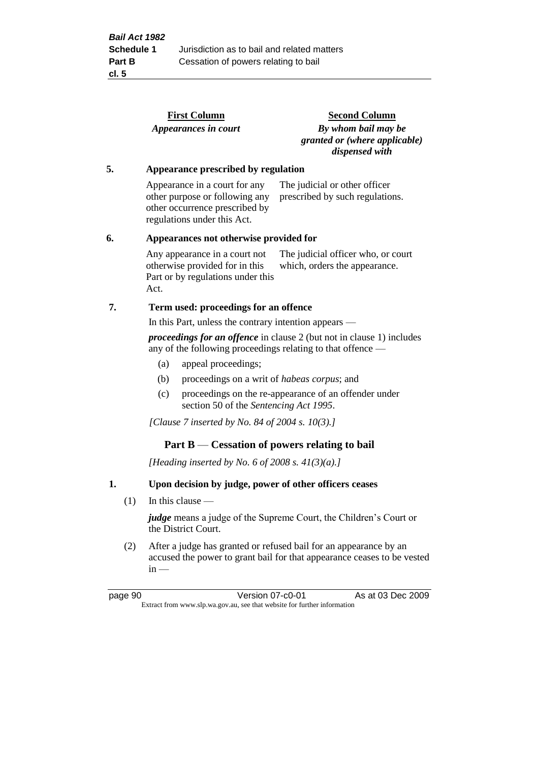|                                                                                                                                             |     |                                                                                                 | <b>First Column</b>                                                                                                              | <b>Second Column</b>                                                   |  |
|---------------------------------------------------------------------------------------------------------------------------------------------|-----|-------------------------------------------------------------------------------------------------|----------------------------------------------------------------------------------------------------------------------------------|------------------------------------------------------------------------|--|
|                                                                                                                                             |     |                                                                                                 | Appearances in court                                                                                                             | By whom bail may be<br>granted or (where applicable)<br>dispensed with |  |
| 5.                                                                                                                                          |     |                                                                                                 | Appearance prescribed by regulation                                                                                              |                                                                        |  |
|                                                                                                                                             |     |                                                                                                 | Appearance in a court for any<br>other purpose or following any<br>other occurrence prescribed by<br>regulations under this Act. | The judicial or other officer<br>prescribed by such regulations.       |  |
| 6.                                                                                                                                          |     | Appearances not otherwise provided for                                                          |                                                                                                                                  |                                                                        |  |
|                                                                                                                                             |     | Act.                                                                                            | Any appearance in a court not<br>otherwise provided for in this<br>Part or by regulations under this                             | The judicial officer who, or court<br>which, orders the appearance.    |  |
| 7.                                                                                                                                          |     |                                                                                                 | Term used: proceedings for an offence                                                                                            |                                                                        |  |
|                                                                                                                                             |     |                                                                                                 | In this Part, unless the contrary intention appears —                                                                            |                                                                        |  |
| <i>proceedings for an offence</i> in clause 2 (but not in clause 1) includes<br>any of the following proceedings relating to that offence — |     |                                                                                                 |                                                                                                                                  |                                                                        |  |
|                                                                                                                                             |     | (a)                                                                                             | appeal proceedings;                                                                                                              |                                                                        |  |
|                                                                                                                                             |     | (b)                                                                                             | proceedings on a writ of habeas corpus; and                                                                                      |                                                                        |  |
|                                                                                                                                             |     | (c)                                                                                             | section 50 of the Sentencing Act 1995.                                                                                           | proceedings on the re-appearance of an offender under                  |  |
|                                                                                                                                             |     |                                                                                                 | [Clause 7 inserted by No. 84 of 2004 s. 10(3).]                                                                                  |                                                                        |  |
|                                                                                                                                             |     |                                                                                                 | Part $B$ — Cessation of powers relating to bail                                                                                  |                                                                        |  |
|                                                                                                                                             |     |                                                                                                 | [Heading inserted by No. 6 of 2008 s. $41(3)(a)$ .]                                                                              |                                                                        |  |
| 1.                                                                                                                                          |     | Upon decision by judge, power of other officers ceases                                          |                                                                                                                                  |                                                                        |  |
|                                                                                                                                             | (1) | In this clause $-$                                                                              |                                                                                                                                  |                                                                        |  |
|                                                                                                                                             |     | <i>judge</i> means a judge of the Supreme Court, the Children's Court or<br>the District Court. |                                                                                                                                  |                                                                        |  |

(2) After a judge has granted or refused bail for an appearance by an accused the power to grant bail for that appearance ceases to be vested  $in -$ 

page 90 **Version 07-c0-01** As at 03 Dec 2009 Extract from www.slp.wa.gov.au, see that website for further information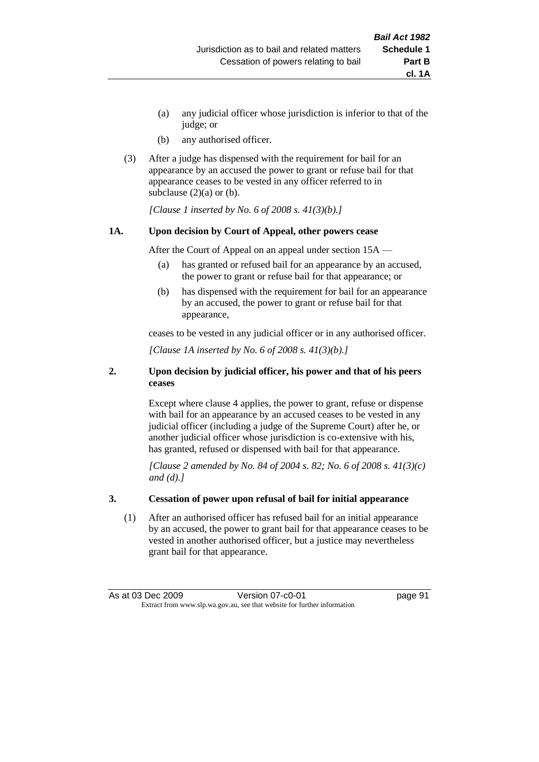- (a) any judicial officer whose jurisdiction is inferior to that of the judge; or
- (b) any authorised officer.
- (3) After a judge has dispensed with the requirement for bail for an appearance by an accused the power to grant or refuse bail for that appearance ceases to be vested in any officer referred to in subclause  $(2)(a)$  or  $(b)$ .

*[Clause 1 inserted by No. 6 of 2008 s. 41(3)(b).]*

#### **1A. Upon decision by Court of Appeal, other powers cease**

After the Court of Appeal on an appeal under section 15A —

- (a) has granted or refused bail for an appearance by an accused, the power to grant or refuse bail for that appearance; or
- (b) has dispensed with the requirement for bail for an appearance by an accused, the power to grant or refuse bail for that appearance,

ceases to be vested in any judicial officer or in any authorised officer.

*[Clause 1A inserted by No. 6 of 2008 s. 41(3)(b).]*

#### **2. Upon decision by judicial officer, his power and that of his peers ceases**

Except where clause 4 applies, the power to grant, refuse or dispense with bail for an appearance by an accused ceases to be vested in any judicial officer (including a judge of the Supreme Court) after he, or another judicial officer whose jurisdiction is co-extensive with his, has granted, refused or dispensed with bail for that appearance.

*[Clause 2 amended by No. 84 of 2004 s. 82; No. 6 of 2008 s. 41(3)(c) and (d).]*

#### **3. Cessation of power upon refusal of bail for initial appearance**

(1) After an authorised officer has refused bail for an initial appearance by an accused, the power to grant bail for that appearance ceases to be vested in another authorised officer, but a justice may nevertheless grant bail for that appearance.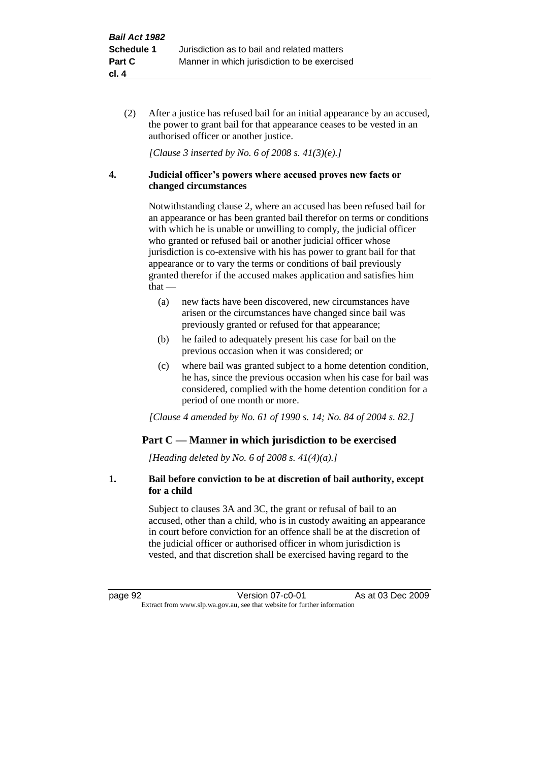(2) After a justice has refused bail for an initial appearance by an accused, the power to grant bail for that appearance ceases to be vested in an authorised officer or another justice.

*[Clause 3 inserted by No. 6 of 2008 s. 41(3)(e).]*

#### **4. Judicial officer's powers where accused proves new facts or changed circumstances**

Notwithstanding clause 2, where an accused has been refused bail for an appearance or has been granted bail therefor on terms or conditions with which he is unable or unwilling to comply, the judicial officer who granted or refused bail or another judicial officer whose jurisdiction is co-extensive with his has power to grant bail for that appearance or to vary the terms or conditions of bail previously granted therefor if the accused makes application and satisfies him that —

- (a) new facts have been discovered, new circumstances have arisen or the circumstances have changed since bail was previously granted or refused for that appearance;
- (b) he failed to adequately present his case for bail on the previous occasion when it was considered; or
- (c) where bail was granted subject to a home detention condition, he has, since the previous occasion when his case for bail was considered, complied with the home detention condition for a period of one month or more.

*[Clause 4 amended by No. 61 of 1990 s. 14; No. 84 of 2004 s. 82.]*

# **Part C — Manner in which jurisdiction to be exercised**

*[Heading deleted by No. 6 of 2008 s. 41(4)(a).]*

## **1. Bail before conviction to be at discretion of bail authority, except for a child**

Subject to clauses 3A and 3C, the grant or refusal of bail to an accused, other than a child, who is in custody awaiting an appearance in court before conviction for an offence shall be at the discretion of the judicial officer or authorised officer in whom jurisdiction is vested, and that discretion shall be exercised having regard to the

page 92 **Version 07-c0-01** As at 03 Dec 2009 Extract from www.slp.wa.gov.au, see that website for further information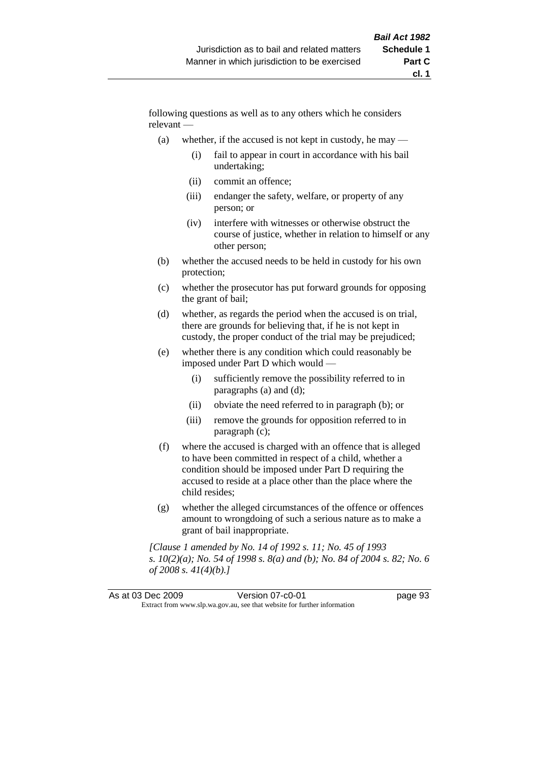following questions as well as to any others which he considers relevant —

- (a) whether, if the accused is not kept in custody, he may
	- (i) fail to appear in court in accordance with his bail undertaking;
	- (ii) commit an offence;
	- (iii) endanger the safety, welfare, or property of any person; or
	- (iv) interfere with witnesses or otherwise obstruct the course of justice, whether in relation to himself or any other person;
- (b) whether the accused needs to be held in custody for his own protection;
- (c) whether the prosecutor has put forward grounds for opposing the grant of bail;
- (d) whether, as regards the period when the accused is on trial, there are grounds for believing that, if he is not kept in custody, the proper conduct of the trial may be prejudiced;
- (e) whether there is any condition which could reasonably be imposed under Part D which would —
	- (i) sufficiently remove the possibility referred to in paragraphs (a) and (d);
	- (ii) obviate the need referred to in paragraph (b); or
	- (iii) remove the grounds for opposition referred to in paragraph (c);
- (f) where the accused is charged with an offence that is alleged to have been committed in respect of a child, whether a condition should be imposed under Part D requiring the accused to reside at a place other than the place where the child resides;
- (g) whether the alleged circumstances of the offence or offences amount to wrongdoing of such a serious nature as to make a grant of bail inappropriate.

*[Clause 1 amended by No. 14 of 1992 s. 11; No. 45 of 1993 s. 10(2)(a); No. 54 of 1998 s. 8(a) and (b); No. 84 of 2004 s. 82; No. 6 of 2008 s. 41(4)(b).]*

|                                                                          | As at 03 Dec 2009 | Version 07-c0-01 | page 93 |
|--------------------------------------------------------------------------|-------------------|------------------|---------|
| Extract from www.slp.wa.gov.au, see that website for further information |                   |                  |         |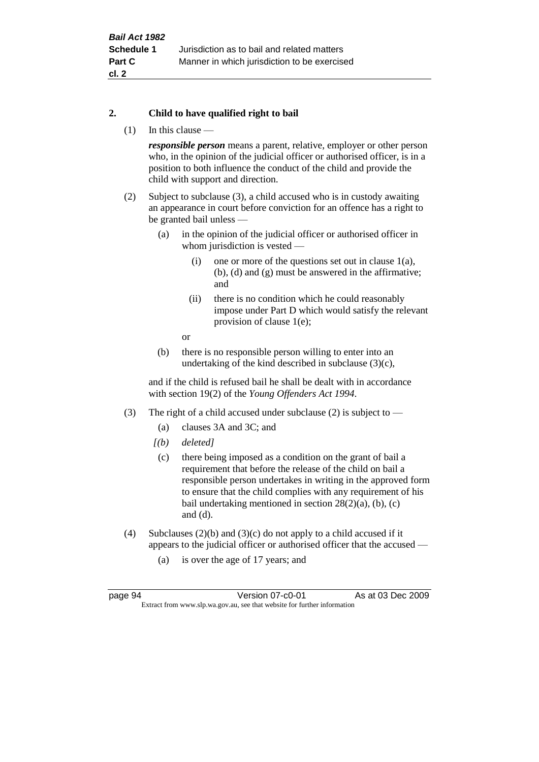## **2. Child to have qualified right to bail**

(1) In this clause —

*responsible person* means a parent, relative, employer or other person who, in the opinion of the judicial officer or authorised officer, is in a position to both influence the conduct of the child and provide the child with support and direction.

- (2) Subject to subclause (3), a child accused who is in custody awaiting an appearance in court before conviction for an offence has a right to be granted bail unless —
	- (a) in the opinion of the judicial officer or authorised officer in whom jurisdiction is vested —
		- (i) one or more of the questions set out in clause  $1(a)$ , (b), (d) and (g) must be answered in the affirmative; and
		- (ii) there is no condition which he could reasonably impose under Part D which would satisfy the relevant provision of clause 1(e);
		- or
	- (b) there is no responsible person willing to enter into an undertaking of the kind described in subclause (3)(c),

and if the child is refused bail he shall be dealt with in accordance with section 19(2) of the *Young Offenders Act 1994*.

- (3) The right of a child accused under subclause (2) is subject to
	- (a) clauses 3A and 3C; and
	- *[(b) deleted]*
	- (c) there being imposed as a condition on the grant of bail a requirement that before the release of the child on bail a responsible person undertakes in writing in the approved form to ensure that the child complies with any requirement of his bail undertaking mentioned in section 28(2)(a), (b), (c) and (d).
- (4) Subclauses  $(2)(b)$  and  $(3)(c)$  do not apply to a child accused if it appears to the judicial officer or authorised officer that the accused —
	- (a) is over the age of 17 years; and

page 94 Version 07-c0-01 As at 03 Dec 2009 Extract from www.slp.wa.gov.au, see that website for further information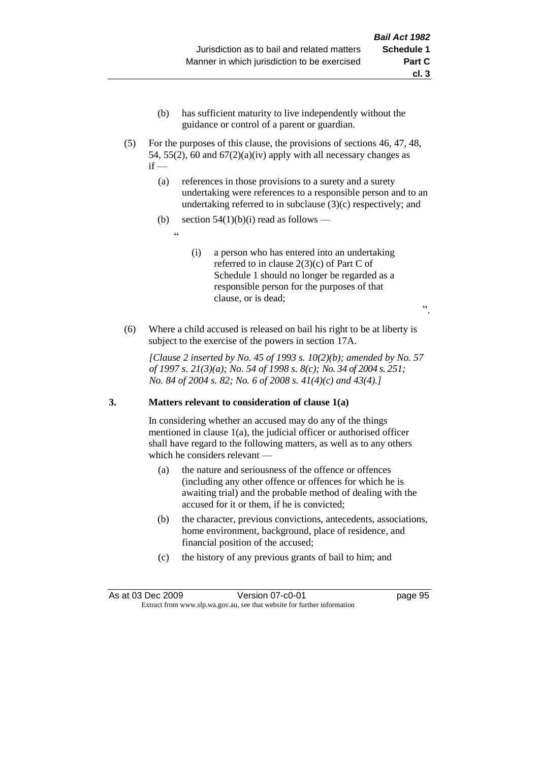- (b) has sufficient maturity to live independently without the guidance or control of a parent or guardian.
- (5) For the purposes of this clause, the provisions of sections 46, 47, 48, 54, 55(2), 60 and  $67(2)(a)(iv)$  apply with all necessary changes as  $if -$ 
	- (a) references in those provisions to a surety and a surety undertaking were references to a responsible person and to an undertaking referred to in subclause (3)(c) respectively; and
	- (b) section  $54(1)(b)(i)$  read as follows
		- <u>، د</u>
- (i) a person who has entered into an undertaking referred to in clause 2(3)(c) of Part C of Schedule 1 should no longer be regarded as a responsible person for the purposes of that clause, or is dead;

".

(6) Where a child accused is released on bail his right to be at liberty is subject to the exercise of the powers in section 17A.

*[Clause 2 inserted by No. 45 of 1993 s. 10(2)(b); amended by No. 57 of 1997 s. 21(3)(a); No. 54 of 1998 s. 8(c); No. 34 of 2004 s. 251; No. 84 of 2004 s. 82; No. 6 of 2008 s. 41(4)(c) and 43(4).]*

#### **3. Matters relevant to consideration of clause 1(a)**

In considering whether an accused may do any of the things mentioned in clause 1(a), the judicial officer or authorised officer shall have regard to the following matters, as well as to any others which he considers relevant —

- (a) the nature and seriousness of the offence or offences (including any other offence or offences for which he is awaiting trial) and the probable method of dealing with the accused for it or them, if he is convicted;
- (b) the character, previous convictions, antecedents, associations, home environment, background, place of residence, and financial position of the accused;
- (c) the history of any previous grants of bail to him; and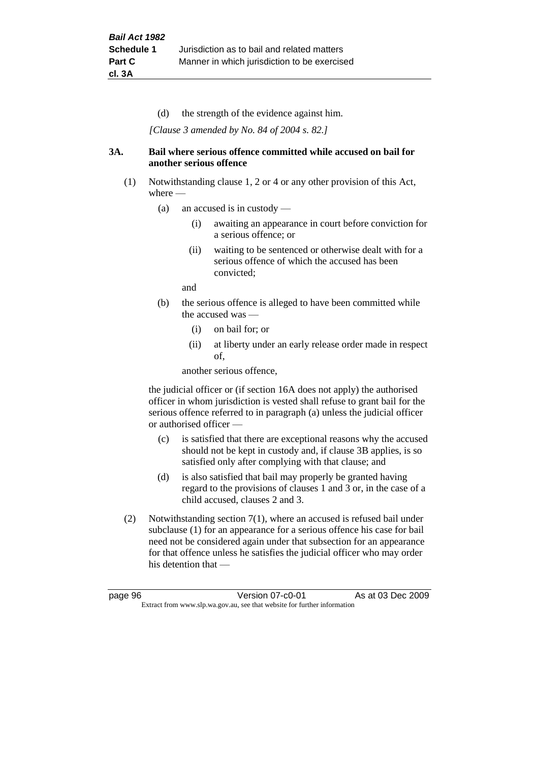(d) the strength of the evidence against him.

*[Clause 3 amended by No. 84 of 2004 s. 82.]*

#### **3A. Bail where serious offence committed while accused on bail for another serious offence**

- (1) Notwithstanding clause 1, 2 or 4 or any other provision of this Act, where —
	- (a) an accused is in custody
		- (i) awaiting an appearance in court before conviction for a serious offence; or
		- (ii) waiting to be sentenced or otherwise dealt with for a serious offence of which the accused has been convicted;

and

- (b) the serious offence is alleged to have been committed while the accused was -
	- (i) on bail for; or
	- (ii) at liberty under an early release order made in respect of,

another serious offence,

the judicial officer or (if section 16A does not apply) the authorised officer in whom jurisdiction is vested shall refuse to grant bail for the serious offence referred to in paragraph (a) unless the judicial officer or authorised officer —

- (c) is satisfied that there are exceptional reasons why the accused should not be kept in custody and, if clause 3B applies, is so satisfied only after complying with that clause; and
- (d) is also satisfied that bail may properly be granted having regard to the provisions of clauses 1 and 3 or, in the case of a child accused, clauses 2 and 3.
- (2) Notwithstanding section 7(1), where an accused is refused bail under subclause (1) for an appearance for a serious offence his case for bail need not be considered again under that subsection for an appearance for that offence unless he satisfies the judicial officer who may order his detention that —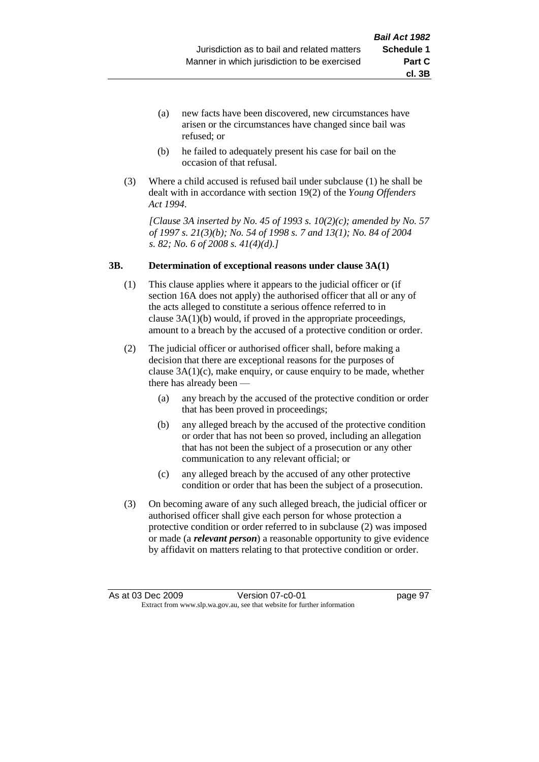- (a) new facts have been discovered, new circumstances have arisen or the circumstances have changed since bail was refused; or
- (b) he failed to adequately present his case for bail on the occasion of that refusal.
- (3) Where a child accused is refused bail under subclause (1) he shall be dealt with in accordance with section 19(2) of the *Young Offenders Act 1994*.

*[Clause 3A inserted by No. 45 of 1993 s. 10(2)(c); amended by No. 57 of 1997 s. 21(3)(b); No. 54 of 1998 s. 7 and 13(1); No. 84 of 2004 s. 82; No. 6 of 2008 s. 41(4)(d).]*

#### **3B. Determination of exceptional reasons under clause 3A(1)**

- (1) This clause applies where it appears to the judicial officer or (if section 16A does not apply) the authorised officer that all or any of the acts alleged to constitute a serious offence referred to in clause 3A(1)(b) would, if proved in the appropriate proceedings, amount to a breach by the accused of a protective condition or order.
- (2) The judicial officer or authorised officer shall, before making a decision that there are exceptional reasons for the purposes of clause  $3A(1)(c)$ , make enquiry, or cause enquiry to be made, whether there has already been —
	- (a) any breach by the accused of the protective condition or order that has been proved in proceedings;
	- (b) any alleged breach by the accused of the protective condition or order that has not been so proved, including an allegation that has not been the subject of a prosecution or any other communication to any relevant official; or
	- (c) any alleged breach by the accused of any other protective condition or order that has been the subject of a prosecution.
- (3) On becoming aware of any such alleged breach, the judicial officer or authorised officer shall give each person for whose protection a protective condition or order referred to in subclause (2) was imposed or made (a *relevant person*) a reasonable opportunity to give evidence by affidavit on matters relating to that protective condition or order.

**cl. 3B**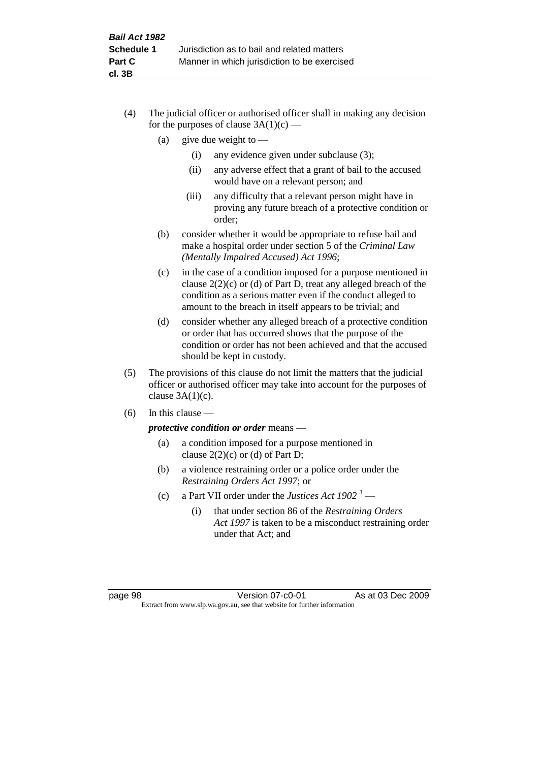- (4) The judicial officer or authorised officer shall in making any decision for the purposes of clause  $3A(1)(c)$  —
	- (a) give due weight to  $-$ 
		- (i) any evidence given under subclause (3);
		- (ii) any adverse effect that a grant of bail to the accused would have on a relevant person; and
		- (iii) any difficulty that a relevant person might have in proving any future breach of a protective condition or order;
	- (b) consider whether it would be appropriate to refuse bail and make a hospital order under section 5 of the *Criminal Law (Mentally Impaired Accused) Act 1996*;
	- (c) in the case of a condition imposed for a purpose mentioned in clause 2(2)(c) or (d) of Part D, treat any alleged breach of the condition as a serious matter even if the conduct alleged to amount to the breach in itself appears to be trivial; and
	- (d) consider whether any alleged breach of a protective condition or order that has occurred shows that the purpose of the condition or order has not been achieved and that the accused should be kept in custody.
- (5) The provisions of this clause do not limit the matters that the judicial officer or authorised officer may take into account for the purposes of clause  $3A(1)(c)$ .
- (6) In this clause —

*protective condition or order* means —

- (a) a condition imposed for a purpose mentioned in clause  $2(2)(c)$  or (d) of Part D;
- (b) a violence restraining order or a police order under the *Restraining Orders Act 1997*; or
- (c) a Part VII order under the *Justices Act 1902* <sup>3</sup>
	- (i) that under section 86 of the *Restraining Orders Act 1997* is taken to be a misconduct restraining order under that Act; and

page 98 Version 07-c0-01 As at 03 Dec 2009 Extract from www.slp.wa.gov.au, see that website for further information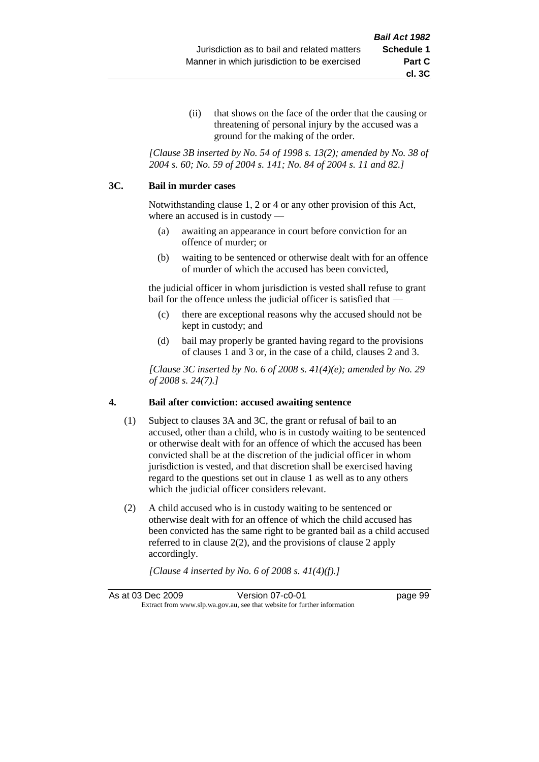(ii) that shows on the face of the order that the causing or threatening of personal injury by the accused was a ground for the making of the order.

*[Clause 3B inserted by No. 54 of 1998 s. 13(2); amended by No. 38 of 2004 s. 60; No. 59 of 2004 s. 141; No. 84 of 2004 s. 11 and 82.]*

#### **3C. Bail in murder cases**

Notwithstanding clause 1, 2 or 4 or any other provision of this Act, where an accused is in custody —

- (a) awaiting an appearance in court before conviction for an offence of murder; or
- (b) waiting to be sentenced or otherwise dealt with for an offence of murder of which the accused has been convicted,

the judicial officer in whom jurisdiction is vested shall refuse to grant bail for the offence unless the judicial officer is satisfied that —

- (c) there are exceptional reasons why the accused should not be kept in custody; and
- (d) bail may properly be granted having regard to the provisions of clauses 1 and 3 or, in the case of a child, clauses 2 and 3.

*[Clause 3C inserted by No. 6 of 2008 s. 41(4)(e); amended by No. 29 of 2008 s. 24(7).]*

## **4. Bail after conviction: accused awaiting sentence**

- (1) Subject to clauses 3A and 3C, the grant or refusal of bail to an accused, other than a child, who is in custody waiting to be sentenced or otherwise dealt with for an offence of which the accused has been convicted shall be at the discretion of the judicial officer in whom jurisdiction is vested, and that discretion shall be exercised having regard to the questions set out in clause 1 as well as to any others which the judicial officer considers relevant.
- (2) A child accused who is in custody waiting to be sentenced or otherwise dealt with for an offence of which the child accused has been convicted has the same right to be granted bail as a child accused referred to in clause 2(2), and the provisions of clause 2 apply accordingly.

*[Clause 4 inserted by No. 6 of 2008 s. 41(4)(f).]*

As at 03 Dec 2009 Version 07-c0-01 Page 99 Extract from www.slp.wa.gov.au, see that website for further information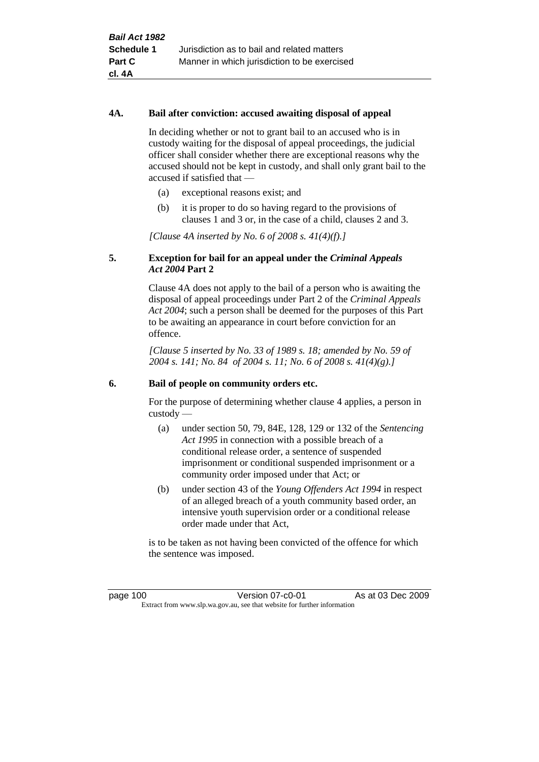#### **4A. Bail after conviction: accused awaiting disposal of appeal**

In deciding whether or not to grant bail to an accused who is in custody waiting for the disposal of appeal proceedings, the judicial officer shall consider whether there are exceptional reasons why the accused should not be kept in custody, and shall only grant bail to the accused if satisfied that —

- (a) exceptional reasons exist; and
- (b) it is proper to do so having regard to the provisions of clauses 1 and 3 or, in the case of a child, clauses 2 and 3.

*[Clause 4A inserted by No. 6 of 2008 s. 41(4)(f).]*

#### **5. Exception for bail for an appeal under the** *Criminal Appeals Act 2004* **Part 2**

Clause 4A does not apply to the bail of a person who is awaiting the disposal of appeal proceedings under Part 2 of the *Criminal Appeals Act 2004*; such a person shall be deemed for the purposes of this Part to be awaiting an appearance in court before conviction for an offence.

*[Clause 5 inserted by No. 33 of 1989 s. 18; amended by No. 59 of 2004 s. 141; No. 84 of 2004 s. 11; No. 6 of 2008 s. 41(4)(g).]*

#### **6. Bail of people on community orders etc.**

For the purpose of determining whether clause 4 applies, a person in custody —

- (a) under section 50, 79, 84E, 128, 129 or 132 of the *Sentencing Act 1995* in connection with a possible breach of a conditional release order, a sentence of suspended imprisonment or conditional suspended imprisonment or a community order imposed under that Act; or
- (b) under section 43 of the *Young Offenders Act 1994* in respect of an alleged breach of a youth community based order, an intensive youth supervision order or a conditional release order made under that Act,

is to be taken as not having been convicted of the offence for which the sentence was imposed.

page 100 Version 07-c0-01 As at 03 Dec 2009 Extract from www.slp.wa.gov.au, see that website for further information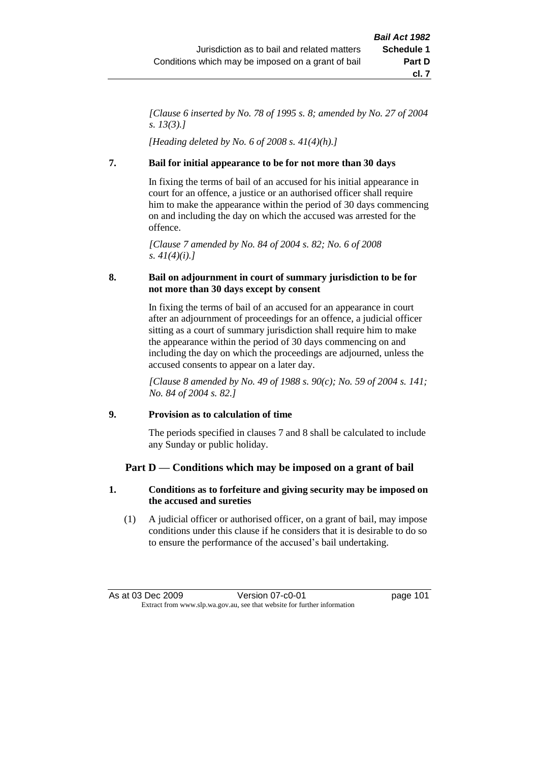*[Clause 6 inserted by No. 78 of 1995 s. 8; amended by No. 27 of 2004 s. 13(3).]*

*[Heading deleted by No. 6 of 2008 s. 41(4)(h).]*

## **7. Bail for initial appearance to be for not more than 30 days**

In fixing the terms of bail of an accused for his initial appearance in court for an offence, a justice or an authorised officer shall require him to make the appearance within the period of 30 days commencing on and including the day on which the accused was arrested for the offence.

*[Clause 7 amended by No. 84 of 2004 s. 82; No. 6 of 2008 s. 41(4)(i).]*

## **8. Bail on adjournment in court of summary jurisdiction to be for not more than 30 days except by consent**

In fixing the terms of bail of an accused for an appearance in court after an adjournment of proceedings for an offence, a judicial officer sitting as a court of summary jurisdiction shall require him to make the appearance within the period of 30 days commencing on and including the day on which the proceedings are adjourned, unless the accused consents to appear on a later day.

*[Clause 8 amended by No. 49 of 1988 s. 90(c); No. 59 of 2004 s. 141; No. 84 of 2004 s. 82.]*

## **9. Provision as to calculation of time**

The periods specified in clauses 7 and 8 shall be calculated to include any Sunday or public holiday.

## **Part D — Conditions which may be imposed on a grant of bail**

## **1. Conditions as to forfeiture and giving security may be imposed on the accused and sureties**

(1) A judicial officer or authorised officer, on a grant of bail, may impose conditions under this clause if he considers that it is desirable to do so to ensure the performance of the accused's bail undertaking.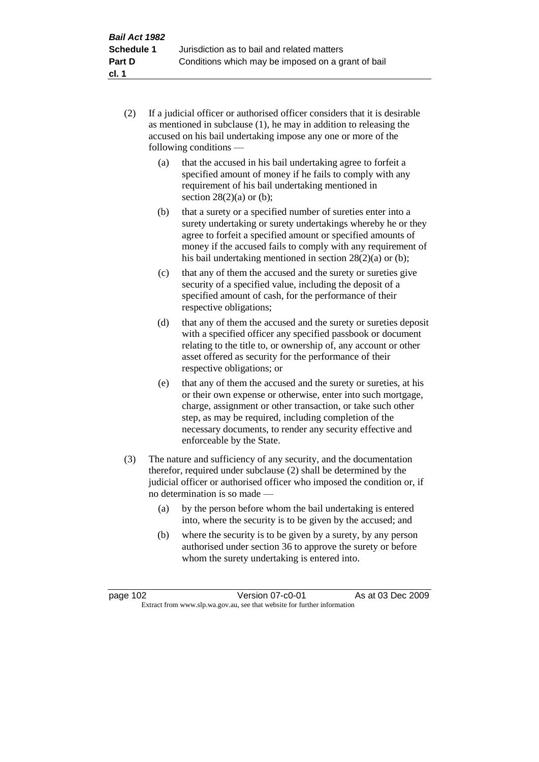- (2) If a judicial officer or authorised officer considers that it is desirable as mentioned in subclause (1), he may in addition to releasing the accused on his bail undertaking impose any one or more of the following conditions —
	- (a) that the accused in his bail undertaking agree to forfeit a specified amount of money if he fails to comply with any requirement of his bail undertaking mentioned in section  $28(2)(a)$  or (b);
	- (b) that a surety or a specified number of sureties enter into a surety undertaking or surety undertakings whereby he or they agree to forfeit a specified amount or specified amounts of money if the accused fails to comply with any requirement of his bail undertaking mentioned in section 28(2)(a) or (b);
	- (c) that any of them the accused and the surety or sureties give security of a specified value, including the deposit of a specified amount of cash, for the performance of their respective obligations;
	- (d) that any of them the accused and the surety or sureties deposit with a specified officer any specified passbook or document relating to the title to, or ownership of, any account or other asset offered as security for the performance of their respective obligations; or
	- (e) that any of them the accused and the surety or sureties, at his or their own expense or otherwise, enter into such mortgage, charge, assignment or other transaction, or take such other step, as may be required, including completion of the necessary documents, to render any security effective and enforceable by the State.
- (3) The nature and sufficiency of any security, and the documentation therefor, required under subclause (2) shall be determined by the judicial officer or authorised officer who imposed the condition or, if no determination is so made —
	- (a) by the person before whom the bail undertaking is entered into, where the security is to be given by the accused; and
	- (b) where the security is to be given by a surety, by any person authorised under section 36 to approve the surety or before whom the surety undertaking is entered into.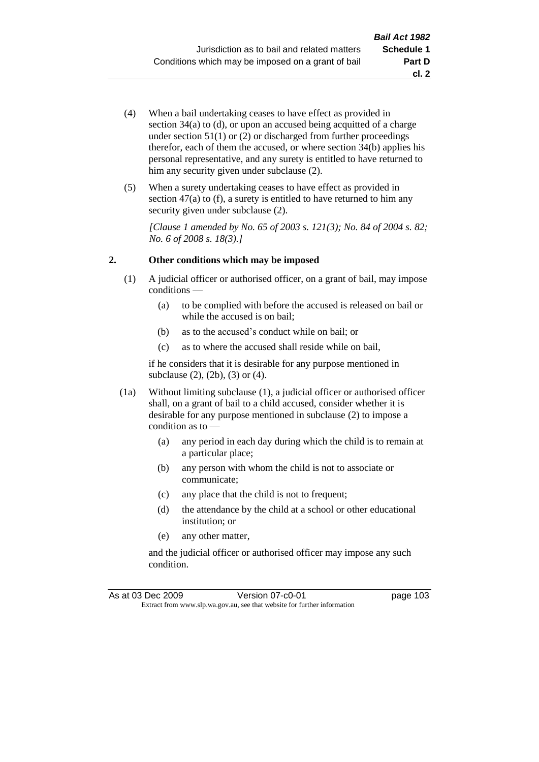- (4) When a bail undertaking ceases to have effect as provided in section 34(a) to (d), or upon an accused being acquitted of a charge under section  $51(1)$  or  $(2)$  or discharged from further proceedings therefor, each of them the accused, or where section  $34(b)$  applies his personal representative, and any surety is entitled to have returned to him any security given under subclause  $(2)$ .
- (5) When a surety undertaking ceases to have effect as provided in section 47(a) to (f), a surety is entitled to have returned to him any security given under subclause  $(2)$ .

*[Clause 1 amended by No. 65 of 2003 s. 121(3); No. 84 of 2004 s. 82; No. 6 of 2008 s. 18(3).]*

## **2. Other conditions which may be imposed**

- (1) A judicial officer or authorised officer, on a grant of bail, may impose conditions —
	- (a) to be complied with before the accused is released on bail or while the accused is on bail;
	- (b) as to the accused's conduct while on bail; or
	- (c) as to where the accused shall reside while on bail,

if he considers that it is desirable for any purpose mentioned in subclause (2), (2b), (3) or (4).

- (1a) Without limiting subclause (1), a judicial officer or authorised officer shall, on a grant of bail to a child accused, consider whether it is desirable for any purpose mentioned in subclause (2) to impose a condition as to -
	- (a) any period in each day during which the child is to remain at a particular place;
	- (b) any person with whom the child is not to associate or communicate;
	- (c) any place that the child is not to frequent;
	- (d) the attendance by the child at a school or other educational institution; or
	- (e) any other matter,

and the judicial officer or authorised officer may impose any such condition.

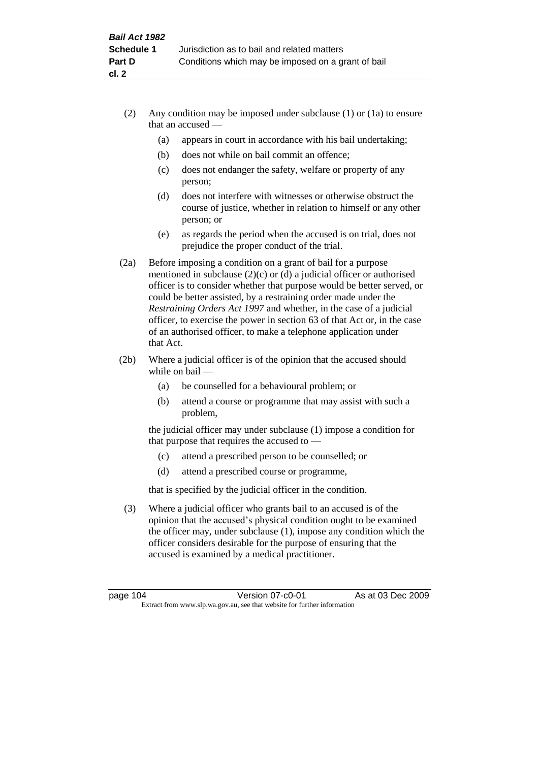- (2) Any condition may be imposed under subclause (1) or (1a) to ensure that an accused —
	- (a) appears in court in accordance with his bail undertaking;
	- (b) does not while on bail commit an offence;
	- (c) does not endanger the safety, welfare or property of any person;
	- (d) does not interfere with witnesses or otherwise obstruct the course of justice, whether in relation to himself or any other person; or
	- (e) as regards the period when the accused is on trial, does not prejudice the proper conduct of the trial.
- (2a) Before imposing a condition on a grant of bail for a purpose mentioned in subclause (2)(c) or (d) a judicial officer or authorised officer is to consider whether that purpose would be better served, or could be better assisted, by a restraining order made under the *Restraining Orders Act 1997* and whether, in the case of a judicial officer, to exercise the power in section 63 of that Act or, in the case of an authorised officer, to make a telephone application under that Act.
- (2b) Where a judicial officer is of the opinion that the accused should while on bail —
	- (a) be counselled for a behavioural problem; or
	- (b) attend a course or programme that may assist with such a problem,

the judicial officer may under subclause (1) impose a condition for that purpose that requires the accused to —

- (c) attend a prescribed person to be counselled; or
- (d) attend a prescribed course or programme,

that is specified by the judicial officer in the condition.

(3) Where a judicial officer who grants bail to an accused is of the opinion that the accused's physical condition ought to be examined the officer may, under subclause (1), impose any condition which the officer considers desirable for the purpose of ensuring that the accused is examined by a medical practitioner.

page 104 Version 07-c0-01 As at 03 Dec 2009 Extract from www.slp.wa.gov.au, see that website for further information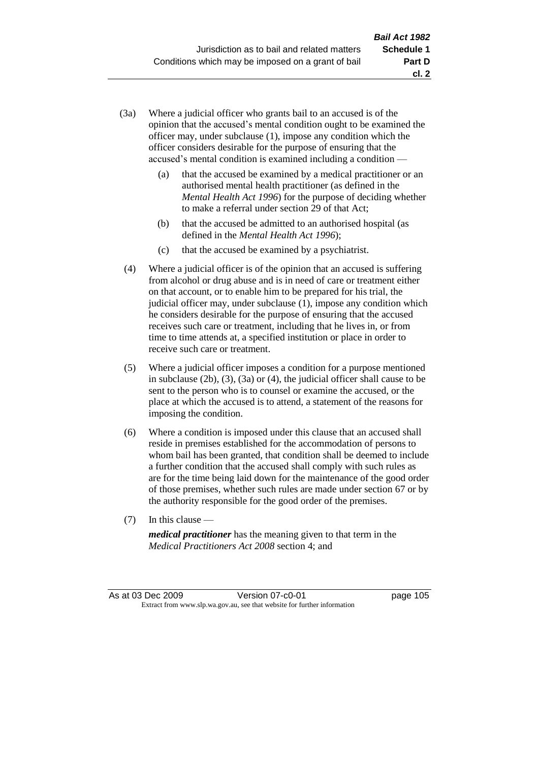- (3a) Where a judicial officer who grants bail to an accused is of the opinion that the accused's mental condition ought to be examined the officer may, under subclause (1), impose any condition which the officer considers desirable for the purpose of ensuring that the accused's mental condition is examined including a condition —
	- (a) that the accused be examined by a medical practitioner or an authorised mental health practitioner (as defined in the *Mental Health Act 1996*) for the purpose of deciding whether to make a referral under section 29 of that Act;
	- (b) that the accused be admitted to an authorised hospital (as defined in the *Mental Health Act 1996*);
	- (c) that the accused be examined by a psychiatrist.
- (4) Where a judicial officer is of the opinion that an accused is suffering from alcohol or drug abuse and is in need of care or treatment either on that account, or to enable him to be prepared for his trial, the judicial officer may, under subclause (1), impose any condition which he considers desirable for the purpose of ensuring that the accused receives such care or treatment, including that he lives in, or from time to time attends at, a specified institution or place in order to receive such care or treatment.
- (5) Where a judicial officer imposes a condition for a purpose mentioned in subclause (2b), (3), (3a) or (4), the judicial officer shall cause to be sent to the person who is to counsel or examine the accused, or the place at which the accused is to attend, a statement of the reasons for imposing the condition.
- (6) Where a condition is imposed under this clause that an accused shall reside in premises established for the accommodation of persons to whom bail has been granted, that condition shall be deemed to include a further condition that the accused shall comply with such rules as are for the time being laid down for the maintenance of the good order of those premises, whether such rules are made under section 67 or by the authority responsible for the good order of the premises.
- (7) In this clause —

*medical practitioner* has the meaning given to that term in the *Medical Practitioners Act 2008* section 4; and

As at 03 Dec 2009 Version 07-c0-01 Page 105 Extract from www.slp.wa.gov.au, see that website for further information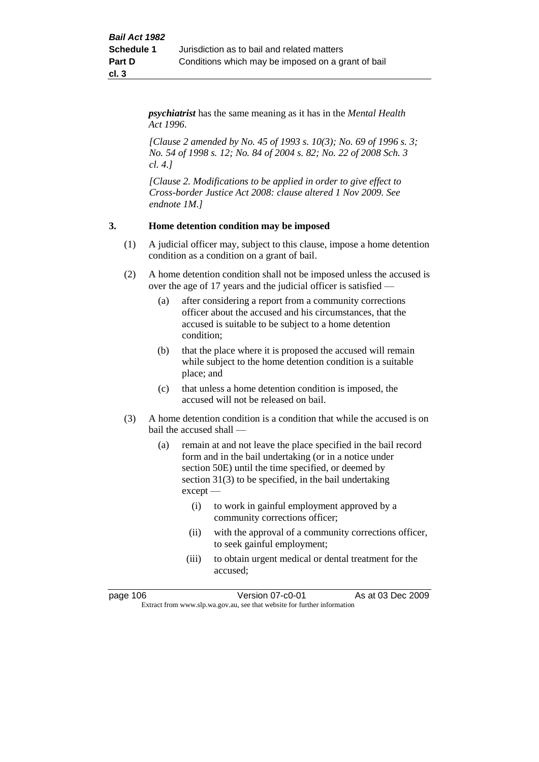*psychiatrist* has the same meaning as it has in the *Mental Health Act 1996*.

*[Clause 2 amended by No. 45 of 1993 s. 10(3); No. 69 of 1996 s. 3; No. 54 of 1998 s. 12; No. 84 of 2004 s. 82; No. 22 of 2008 Sch. 3 cl. 4.]*

*[Clause 2. Modifications to be applied in order to give effect to Cross-border Justice Act 2008: clause altered 1 Nov 2009. See endnote 1M.]*

## **3. Home detention condition may be imposed**

- (1) A judicial officer may, subject to this clause, impose a home detention condition as a condition on a grant of bail.
- (2) A home detention condition shall not be imposed unless the accused is over the age of 17 years and the judicial officer is satisfied —
	- (a) after considering a report from a community corrections officer about the accused and his circumstances, that the accused is suitable to be subject to a home detention condition;
	- (b) that the place where it is proposed the accused will remain while subject to the home detention condition is a suitable place; and
	- (c) that unless a home detention condition is imposed, the accused will not be released on bail.
- (3) A home detention condition is a condition that while the accused is on bail the accused shall —
	- (a) remain at and not leave the place specified in the bail record form and in the bail undertaking (or in a notice under section 50E) until the time specified, or deemed by section 31(3) to be specified, in the bail undertaking except —
		- (i) to work in gainful employment approved by a community corrections officer;
		- (ii) with the approval of a community corrections officer, to seek gainful employment;
		- (iii) to obtain urgent medical or dental treatment for the accused;

page 106 **Version 07-c0-01** As at 03 Dec 2009 Extract from www.slp.wa.gov.au, see that website for further information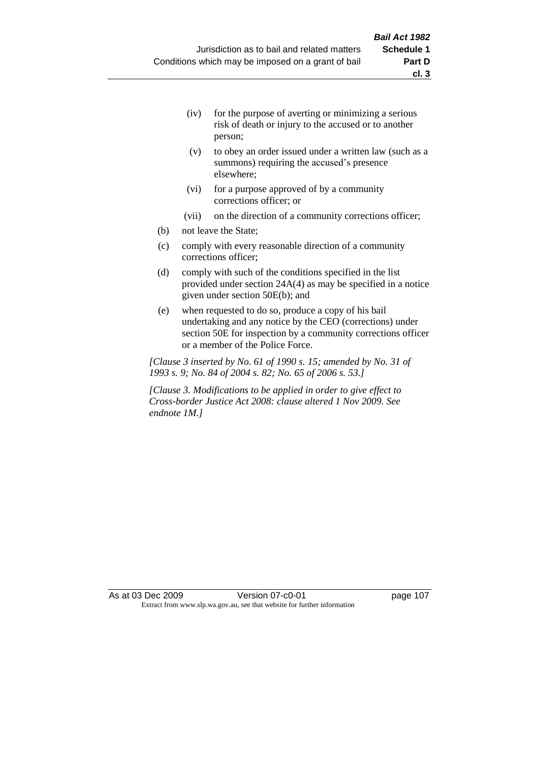- (iv) for the purpose of averting or minimizing a serious risk of death or injury to the accused or to another person;
- (v) to obey an order issued under a written law (such as a summons) requiring the accused's presence elsewhere;
- (vi) for a purpose approved of by a community corrections officer; or
- (vii) on the direction of a community corrections officer;
- (b) not leave the State;
- (c) comply with every reasonable direction of a community corrections officer;
- (d) comply with such of the conditions specified in the list provided under section 24A(4) as may be specified in a notice given under section 50E(b); and
- (e) when requested to do so, produce a copy of his bail undertaking and any notice by the CEO (corrections) under section 50E for inspection by a community corrections officer or a member of the Police Force.

*[Clause 3 inserted by No. 61 of 1990 s. 15; amended by No. 31 of 1993 s. 9; No. 84 of 2004 s. 82; No. 65 of 2006 s. 53.]*

*[Clause 3. Modifications to be applied in order to give effect to Cross-border Justice Act 2008: clause altered 1 Nov 2009. See endnote 1M.]*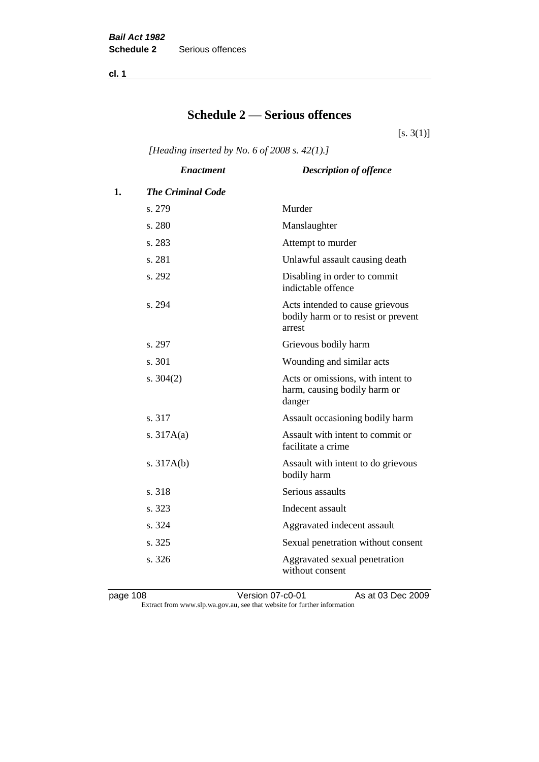**cl. 1**

# **Schedule 2 — Serious offences**

 $[s. 3(1)]$ 

*[Heading inserted by No. 6 of 2008 s. 42(1).]*

|    | <b>Enactment</b>         | <b>Description of offence</b>                                                    |
|----|--------------------------|----------------------------------------------------------------------------------|
| 1. | <b>The Criminal Code</b> |                                                                                  |
|    | s. 279                   | Murder                                                                           |
|    | s. 280                   | Manslaughter                                                                     |
|    | s. 283                   | Attempt to murder                                                                |
|    | s. 281                   | Unlawful assault causing death                                                   |
|    | s. 292                   | Disabling in order to commit<br>indictable offence                               |
|    | s. 294                   | Acts intended to cause grievous<br>bodily harm or to resist or prevent<br>arrest |
|    | s. 297                   | Grievous bodily harm                                                             |
|    | s. 301                   | Wounding and similar acts                                                        |
|    | s. 304(2)                | Acts or omissions, with intent to<br>harm, causing bodily harm or<br>danger      |
|    | s. 317                   | Assault occasioning bodily harm                                                  |
|    | s. $317A(a)$             | Assault with intent to commit or<br>facilitate a crime                           |
|    | s. $317A(b)$             | Assault with intent to do grievous<br>bodily harm                                |
|    | s. 318                   | Serious assaults                                                                 |
|    | s. 323                   | Indecent assault                                                                 |
|    | s. 324                   | Aggravated indecent assault                                                      |
|    | s. 325                   | Sexual penetration without consent                                               |
|    | s. 326                   | Aggravated sexual penetration<br>without consent                                 |

page 108 Version 07-c0-01 As at 03 Dec 2009 Extract from www.slp.wa.gov.au, see that website for further information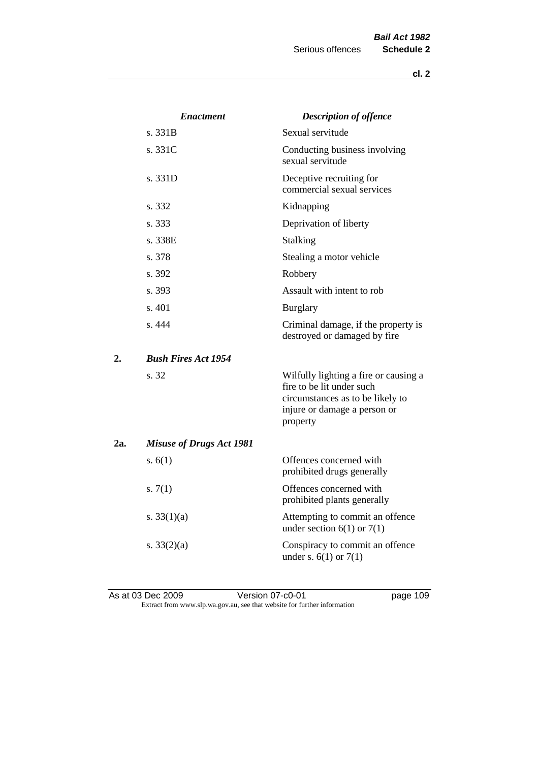|     | <b>Enactment</b>                | <b>Description of offence</b>                                                                                                                      |
|-----|---------------------------------|----------------------------------------------------------------------------------------------------------------------------------------------------|
|     | s. 331B                         | Sexual servitude                                                                                                                                   |
|     | s. 331C                         | Conducting business involving<br>sexual servitude                                                                                                  |
|     | s. 331D                         | Deceptive recruiting for<br>commercial sexual services                                                                                             |
|     | s. 332                          | Kidnapping                                                                                                                                         |
|     | s. 333                          | Deprivation of liberty                                                                                                                             |
|     | s. 338E                         | Stalking                                                                                                                                           |
|     | s. 378                          | Stealing a motor vehicle                                                                                                                           |
|     | s. 392                          | Robbery                                                                                                                                            |
|     | s. 393                          | Assault with intent to rob                                                                                                                         |
|     | s. 401                          | <b>Burglary</b>                                                                                                                                    |
|     | s. 444                          | Criminal damage, if the property is<br>destroyed or damaged by fire                                                                                |
| 2.  | <b>Bush Fires Act 1954</b>      |                                                                                                                                                    |
|     | s. 32                           | Wilfully lighting a fire or causing a<br>fire to be lit under such<br>circumstances as to be likely to<br>injure or damage a person or<br>property |
| 2a. | <b>Misuse of Drugs Act 1981</b> |                                                                                                                                                    |
|     | s. $6(1)$                       | Offences concerned with<br>prohibited drugs generally                                                                                              |
|     | s. $7(1)$                       | Offences concerned with<br>prohibited plants generally                                                                                             |
|     | s. $33(1)(a)$                   | Attempting to commit an offence<br>under section $6(1)$ or $7(1)$                                                                                  |
|     | s. $33(2)(a)$                   | Conspiracy to commit an offence<br>under s. $6(1)$ or $7(1)$                                                                                       |

As at 03 Dec 2009 **Version 07-c0-01 page 109** Extract from www.slp.wa.gov.au, see that website for further information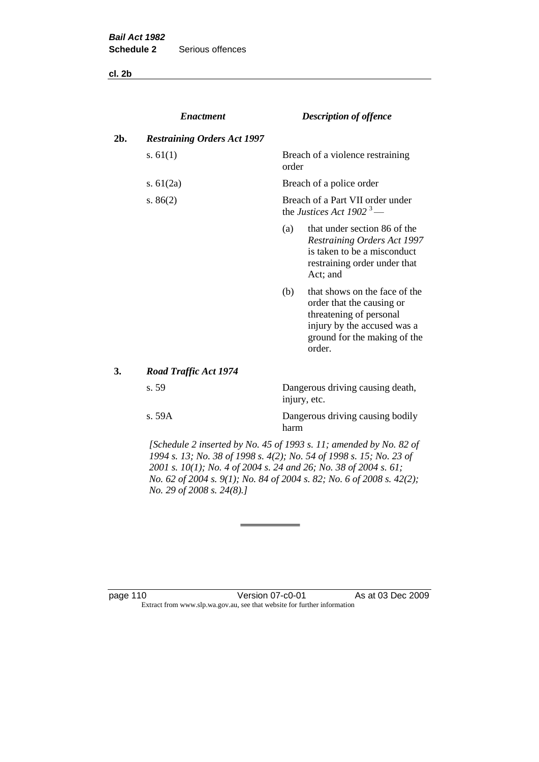**cl. 2b**

|     | <b>Enactment</b>                   |       | <b>Description of offence</b>                                                                                                                                  |  |  |
|-----|------------------------------------|-------|----------------------------------------------------------------------------------------------------------------------------------------------------------------|--|--|
| 2b. | <b>Restraining Orders Act 1997</b> |       |                                                                                                                                                                |  |  |
|     | s. $61(1)$                         | order | Breach of a violence restraining                                                                                                                               |  |  |
|     | s. $61(2a)$                        |       | Breach of a police order                                                                                                                                       |  |  |
|     | s. $86(2)$                         |       | Breach of a Part VII order under<br>the Justices Act 1902 <sup>3</sup> —                                                                                       |  |  |
|     |                                    | (a)   | that under section 86 of the<br>Restraining Orders Act 1997<br>is taken to be a misconduct<br>restraining order under that<br>Act; and                         |  |  |
|     |                                    | (b)   | that shows on the face of the<br>order that the causing or<br>threatening of personal<br>injury by the accused was a<br>ground for the making of the<br>order. |  |  |
| 3.  | Road Traffic Act 1974              |       |                                                                                                                                                                |  |  |
|     | s. 59                              |       | Dangerous driving causing death,<br>injury, etc.                                                                                                               |  |  |
|     | s. 59A                             | harm  | Dangerous driving causing bodily                                                                                                                               |  |  |

*[Schedule 2 inserted by No. 45 of 1993 s. 11; amended by No. 82 of 1994 s. 13; No. 38 of 1998 s. 4(2); No. 54 of 1998 s. 15; No. 23 of 2001 s. 10(1); No. 4 of 2004 s. 24 and 26; No. 38 of 2004 s. 61; No. 62 of 2004 s. 9(1); No. 84 of 2004 s. 82; No. 6 of 2008 s. 42(2); No. 29 of 2008 s. 24(8).]* 

page 110 Version 07-c0-01 As at 03 Dec 2009 Extract from www.slp.wa.gov.au, see that website for further information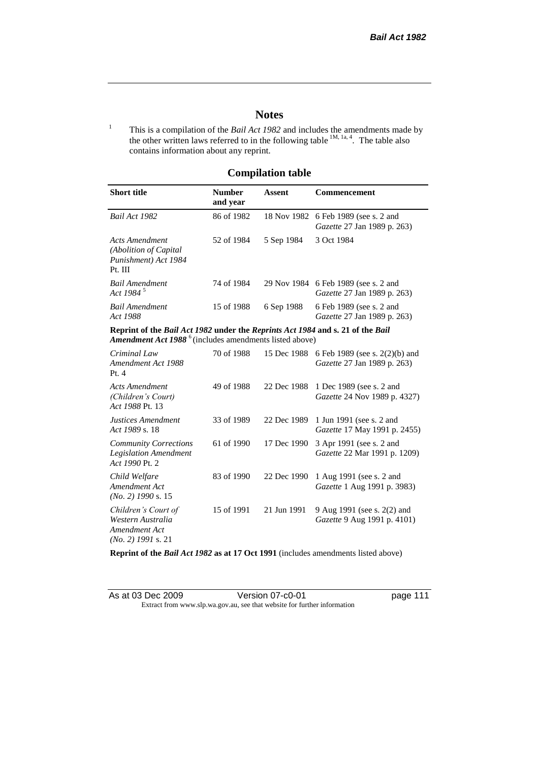## **Notes**

<sup>1</sup> This is a compilation of the *Bail Act 1982* and includes the amendments made by the other written laws referred to in the following table  $^{1M, 1a, 4}$ . The table also contains information about any reprint.

## **Compilation table**

| <b>Short title</b>                                                                                                                                          | <b>Number</b><br>and year | Assent     | <b>Commencement</b>                                                              |
|-------------------------------------------------------------------------------------------------------------------------------------------------------------|---------------------------|------------|----------------------------------------------------------------------------------|
| Bail Act 1982                                                                                                                                               | 86 of 1982                |            | 18 Nov 1982 6 Feb 1989 (see s. 2 and<br><i>Gazette</i> 27 Jan 1989 p. 263)       |
| Acts Amendment<br>(Abolition of Capital)<br>Punishment) Act 1984<br>Pt. III                                                                                 | 52 of 1984                | 5 Sep 1984 | 3 Oct 1984                                                                       |
| <b>Bail Amendment</b><br>Act 1984 <sup>5</sup>                                                                                                              | 74 of 1984                |            | 29 Nov 1984 6 Feb 1989 (see s. 2 and<br><i>Gazette</i> 27 Jan 1989 p. 263)       |
| <b>Bail Amendment</b><br>Act 1988                                                                                                                           | 15 of 1988                | 6 Sep 1988 | 6 Feb 1989 (see s. 2 and<br>Gazette 27 Jan 1989 p. 263)                          |
| Reprint of the Bail Act 1982 under the Reprints Act 1984 and s. 21 of the Bail<br><b>Amendment Act 1988</b> <sup>6</sup> (includes amendments listed above) |                           |            |                                                                                  |
| Criminal Law<br>Amendment Act 1988                                                                                                                          | 70 of 1988                |            | 15 Dec 1988 6 Feb 1989 (see s. 2(2)(b) and<br><i>Gazette</i> 27 Jan 1989 p. 263) |

| Amendment Act 1988<br>Pt.4                                                        |            |             | Gazette 27 Jan 1989 p. 263)                                       |
|-----------------------------------------------------------------------------------|------------|-------------|-------------------------------------------------------------------|
| Acts Amendment<br>(Children's Court)<br>Act 1988 Pt. 13                           | 49 of 1988 | 22 Dec 1988 | 1 Dec 1989 (see s. 2 and<br><i>Gazette</i> 24 Nov 1989 p. 4327)   |
| Justices Amendment<br>Act 1989 s. 18                                              | 33 of 1989 | 22 Dec 1989 | 1 Jun 1991 (see s. 2 and<br><i>Gazette</i> 17 May 1991 p. 2455)   |
| <b>Community Corrections</b><br><b>Legislation Amendment</b><br>Act 1990 Pt. 2    | 61 of 1990 | 17 Dec 1990 | 3 Apr 1991 (see s. 2 and<br>Gazette 22 Mar 1991 p. 1209)          |
| Child Welfare<br>Amendment Act<br>$(No. 2)$ 1990 s. 15                            | 83 of 1990 | 22 Dec 1990 | 1 Aug 1991 (see s. 2 and<br><i>Gazette</i> 1 Aug 1991 p. 3983)    |
| Children's Court of<br>Western Australia<br>Amendment Act<br>$(No. 2)$ 1991 s. 21 | 15 of 1991 | 21 Jun 1991 | 9 Aug 1991 (see s. 2(2) and<br><i>Gazette</i> 9 Aug 1991 p. 4101) |

**Reprint of the** *Bail Act 1982* **as at 17 Oct 1991** (includes amendments listed above)

| As at 03 Dec 2009 | Version 07-c0-01                                                         |
|-------------------|--------------------------------------------------------------------------|
|                   | Extract from www.slp.wa.gov.au, see that website for further information |

page 111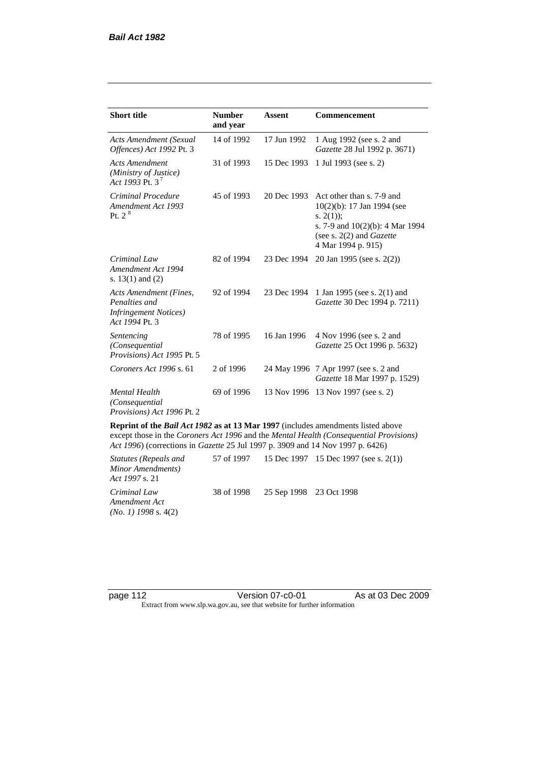| <b>Short title</b>                                                                         | <b>Number</b><br>and year | <b>Assent</b> | <b>Commencement</b>                                                                                                                                                        |
|--------------------------------------------------------------------------------------------|---------------------------|---------------|----------------------------------------------------------------------------------------------------------------------------------------------------------------------------|
| <b>Acts Amendment (Sexual</b><br>Offences) Act 1992 Pt. 3                                  | 14 of 1992                | 17 Jun 1992   | 1 Aug 1992 (see s. 2 and<br>Gazette 28 Jul 1992 p. 3671)                                                                                                                   |
| <b>Acts Amendment</b><br>(Ministry of Justice)<br>Act 1993 Pt. 3 <sup>7</sup>              | 31 of 1993                | 15 Dec 1993   | 1 Jul 1993 (see s. 2)                                                                                                                                                      |
| Criminal Procedure<br>Amendment Act 1993<br>Pt. 2 <sup>8</sup>                             | 45 of 1993                | 20 Dec 1993   | Act other than s. 7-9 and<br>$10(2)(b)$ : 17 Jan 1994 (see<br>s. $2(1)$ ;<br>s. 7-9 and $10(2)(b)$ : 4 Mar 1994<br>(see s. $2(2)$ and <i>Gazette</i><br>4 Mar 1994 p. 915) |
| Criminal Law<br>Amendment Act 1994<br>s. $13(1)$ and $(2)$                                 | 82 of 1994                | 23 Dec 1994   | 20 Jan 1995 (see s. 2(2))                                                                                                                                                  |
| Acts Amendment (Fines,<br>Penalties and<br><b>Infringement Notices</b> )<br>Act 1994 Pt. 3 | 92 of 1994                | 23 Dec 1994   | 1 Jan 1995 (see s. 2(1) and<br>Gazette 30 Dec 1994 p. 7211)                                                                                                                |
| Sentencing<br>(Consequential)<br>Provisions) Act 1995 Pt. 5                                | 78 of 1995                | 16 Jan 1996   | 4 Nov 1996 (see s. 2 and<br>Gazette 25 Oct 1996 p. 5632)                                                                                                                   |
| Coroners Act 1996 s. 61                                                                    | 2 of 1996                 |               | 24 May 1996 7 Apr 1997 (see s. 2 and<br>Gazette 18 Mar 1997 p. 1529)                                                                                                       |
| <b>Mental Health</b><br>(Consequential)<br>Provisions) Act 1996 Pt. 2                      | 69 of 1996                | 13 Nov 1996   | 13 Nov 1997 (see s. 2)                                                                                                                                                     |

**Reprint of the** *Bail Act 1982* **as at 13 Mar 1997** (includes amendments listed above except those in the *Coroners Act 1996* and the *Mental Health (Consequential Provisions) Act 1996*) (corrections in *Gazette* 25 Jul 1997 p. 3909 and 14 Nov 1997 p. 6426)

*Statutes (Repeals and Minor Amendments) Act 1997* s. 21 57 of 1997 15 Dec 1997 15 Dec 1997 (see s. 2(1)) *Criminal Law Amendment Act (No. 1) 1998* s. 4(2) 38 of 1998 25 Sep 1998 23 Oct 1998

page 112 **Version 07-c0-01** As at 03 Dec 2009 Extract from www.slp.wa.gov.au, see that website for further information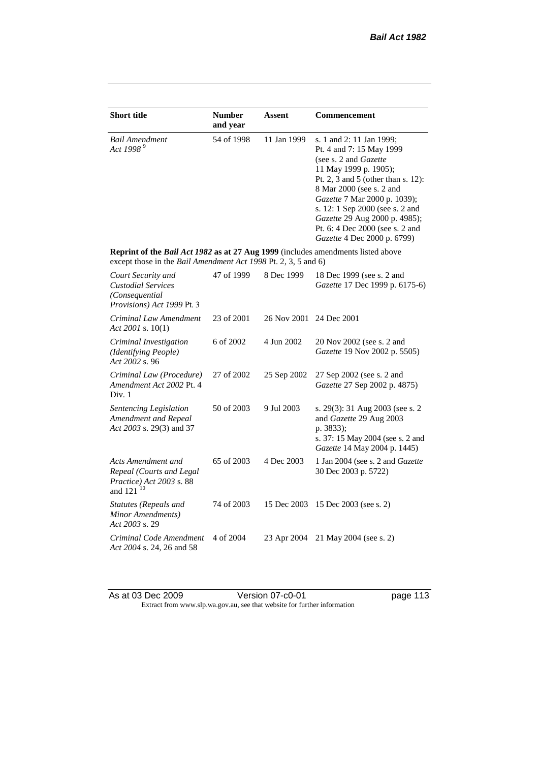| <b>Short title</b>                                                                                                                                 | <b>Number</b><br>and year | <b>Assent</b> | <b>Commencement</b>                                                                                                                                                                                                                                                                                                                                     |
|----------------------------------------------------------------------------------------------------------------------------------------------------|---------------------------|---------------|---------------------------------------------------------------------------------------------------------------------------------------------------------------------------------------------------------------------------------------------------------------------------------------------------------------------------------------------------------|
| <b>Bail Amendment</b><br>Act 1998 <sup>9</sup>                                                                                                     | 54 of 1998                | 11 Jan 1999   | s. 1 and 2: 11 Jan 1999;<br>Pt. 4 and 7: 15 May 1999<br>(see s. 2 and <i>Gazette</i> )<br>11 May 1999 p. 1905);<br>Pt. 2, 3 and 5 (other than s. 12):<br>8 Mar 2000 (see s. 2 and<br>Gazette 7 Mar 2000 p. 1039);<br>s. 12: 1 Sep 2000 (see s. 2 and<br>Gazette 29 Aug 2000 p. 4985);<br>Pt. 6: 4 Dec 2000 (see s. 2 and<br>Gazette 4 Dec 2000 p. 6799) |
| Reprint of the Bail Act 1982 as at 27 Aug 1999 (includes amendments listed above<br>except those in the Bail Amendment Act 1998 Pt. 2, 3, 5 and 6) |                           |               |                                                                                                                                                                                                                                                                                                                                                         |
| Court Security and<br><b>Custodial Services</b><br>(Consequential<br>Provisions) Act 1999 Pt. 3                                                    | 47 of 1999                | 8 Dec 1999    | 18 Dec 1999 (see s. 2 and<br>Gazette 17 Dec 1999 p. 6175-6)                                                                                                                                                                                                                                                                                             |
| Criminal Law Amendment<br>Act 2001 s. $10(1)$                                                                                                      | 23 of 2001                | 26 Nov 2001   | 24 Dec 2001                                                                                                                                                                                                                                                                                                                                             |
| Criminal Investigation<br>(Identifying People)<br>Act 2002 s. 96                                                                                   | 6 of 2002                 | 4 Jun 2002    | 20 Nov 2002 (see s. 2 and<br>Gazette 19 Nov 2002 p. 5505)                                                                                                                                                                                                                                                                                               |
| Criminal Law (Procedure)<br>Amendment Act 2002 Pt. 4<br>Div. 1                                                                                     | 27 of 2002                | 25 Sep 2002   | 27 Sep 2002 (see s. 2 and<br>Gazette 27 Sep 2002 p. 4875)                                                                                                                                                                                                                                                                                               |
| Sentencing Legislation<br>Amendment and Repeal<br>Act 2003 s. 29(3) and 37                                                                         | 50 of 2003                | 9 Jul 2003    | s. 29(3): 31 Aug 2003 (see s. 2)<br>and Gazette 29 Aug 2003<br>p. 3833);<br>s. 37: 15 May 2004 (see s. 2 and<br>Gazette 14 May 2004 p. 1445)                                                                                                                                                                                                            |
| Acts Amendment and<br>Repeal (Courts and Legal<br>Practice) Act 2003 s. 88<br>and 121 <sup>10</sup>                                                | 65 of 2003                | 4 Dec 2003    | 1 Jan 2004 (see s. 2 and <i>Gazette</i><br>30 Dec 2003 p. 5722)                                                                                                                                                                                                                                                                                         |
| <b>Statutes (Repeals and</b><br>Minor Amendments)<br>Act 2003 s. 29                                                                                | 74 of 2003                | 15 Dec 2003   | 15 Dec 2003 (see s. 2)                                                                                                                                                                                                                                                                                                                                  |
| Criminal Code Amendment<br>Act 2004 s. 24, 26 and 58                                                                                               | 4 of 2004                 | 23 Apr 2004   | 21 May 2004 (see s. 2)                                                                                                                                                                                                                                                                                                                                  |

As at 03 Dec 2009 **Version 07-c0-01 page 113** Extract from www.slp.wa.gov.au, see that website for further information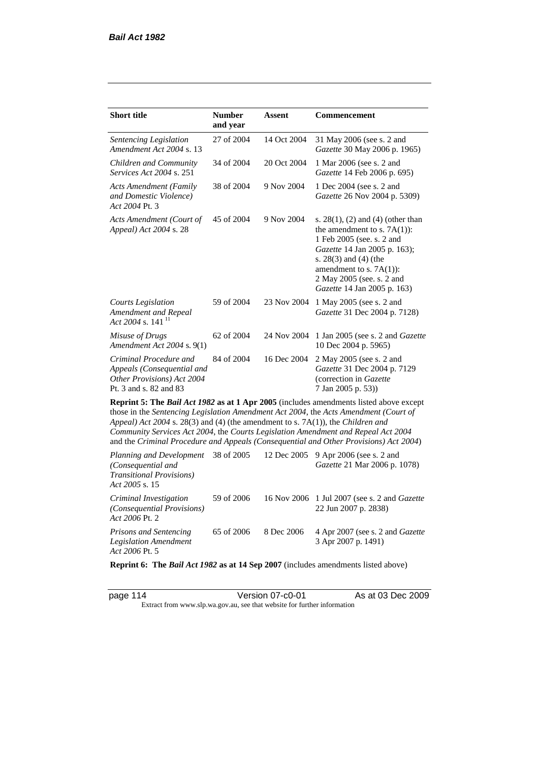*Act 2006* Pt. 2

| <b>Short title</b>                                                                                                                                                   | <b>Number</b><br>and year | Assent      | Commencement                                                                                                                                                                                                                                                            |
|----------------------------------------------------------------------------------------------------------------------------------------------------------------------|---------------------------|-------------|-------------------------------------------------------------------------------------------------------------------------------------------------------------------------------------------------------------------------------------------------------------------------|
| Sentencing Legislation<br>Amendment Act 2004 s. 13                                                                                                                   | 27 of 2004                | 14 Oct 2004 | 31 May 2006 (see s. 2 and<br>Gazette 30 May 2006 p. 1965)                                                                                                                                                                                                               |
| Children and Community<br><i>Services Act 2004 s. 251</i>                                                                                                            | 34 of 2004                | 20 Oct 2004 | 1 Mar 2006 (see s. 2 and<br>Gazette 14 Feb 2006 p. 695)                                                                                                                                                                                                                 |
| <b>Acts Amendment (Family</b><br>and Domestic Violence)<br>Act 2004 Pt. 3                                                                                            | 38 of 2004                | 9 Nov 2004  | 1 Dec 2004 (see s. 2 and<br>Gazette 26 Nov 2004 p. 5309)                                                                                                                                                                                                                |
| Acts Amendment (Court of<br>Appeal) Act 2004 s. 28                                                                                                                   | 45 of 2004                | 9 Nov 2004  | s. $28(1)$ , (2) and (4) (other than<br>the amendment to s. $7A(1)$ :<br>1 Feb 2005 (see. s. 2 and<br>Gazette 14 Jan 2005 p. 163);<br>s. 28(3) and (4) (the<br>amendment to s. $7A(1)$ :<br>2 May 2005 (see. s. 2 and<br>Gazette 14 Jan 2005 p. 163)                    |
| <b>Courts Legislation</b><br>Amendment and Repeal<br>Act 2004 s. 141 <sup>11</sup>                                                                                   | 59 of 2004                | 23 Nov 2004 | 1 May 2005 (see s. 2 and<br>Gazette 31 Dec 2004 p. 7128)                                                                                                                                                                                                                |
| Misuse of Drugs<br>Amendment Act 2004 s. 9(1)                                                                                                                        | 62 of 2004                | 24 Nov 2004 | 1 Jan 2005 (see s. 2 and Gazette<br>10 Dec 2004 p. 5965)                                                                                                                                                                                                                |
| Criminal Procedure and<br>Appeals (Consequential and<br>Other Provisions) Act 2004<br>Pt. 3 and s. 82 and 83                                                         | 84 of 2004                | 16 Dec 2004 | 2 May 2005 (see s. 2 and<br>Gazette 31 Dec 2004 p. 7129<br>(correction in Gazette<br>7 Jan 2005 p. 53))                                                                                                                                                                 |
| Appeal) Act 2004 s. 28(3) and (4) (the amendment to s. 7A(1)), the Children and<br>Community Services Act 2004, the Courts Legislation Amendment and Repeal Act 2004 |                           |             | Reprint 5: The Bail Act 1982 as at 1 Apr 2005 (includes amendments listed above except<br>those in the Sentencing Legislation Amendment Act 2004, the Acts Amendment (Court of<br>and the Criminal Procedure and Appeals (Consequential and Other Provisions) Act 2004) |
| Planning and Development<br>(Consequential and<br><b>Transitional Provisions)</b><br>Act 2005 s. 15                                                                  | 38 of 2005                | 12 Dec 2005 | 9 Apr 2006 (see s. 2 and<br>Gazette 21 Mar 2006 p. 1078)                                                                                                                                                                                                                |
| Criminal Investigation<br>(Consequential Provisions)                                                                                                                 | 59 of 2006                | 16 Nov 2006 | 1 Jul 2007 (see s. 2 and Gazette<br>22 Jun 2007 p. 2838)                                                                                                                                                                                                                |

*Prisons and Sentencing Legislation Amendment Act 2006* Pt. 5 65 of 2006 8 Dec 2006 4 Apr 2007 (see s. 2 and *Gazette* 3 Apr 2007 p. 1491)

**Reprint 6: The** *Bail Act 1982* **as at 14 Sep 2007** (includes amendments listed above)

page 114 Version 07-c0-01 As at 03 Dec 2009 Extract from www.slp.wa.gov.au, see that website for further information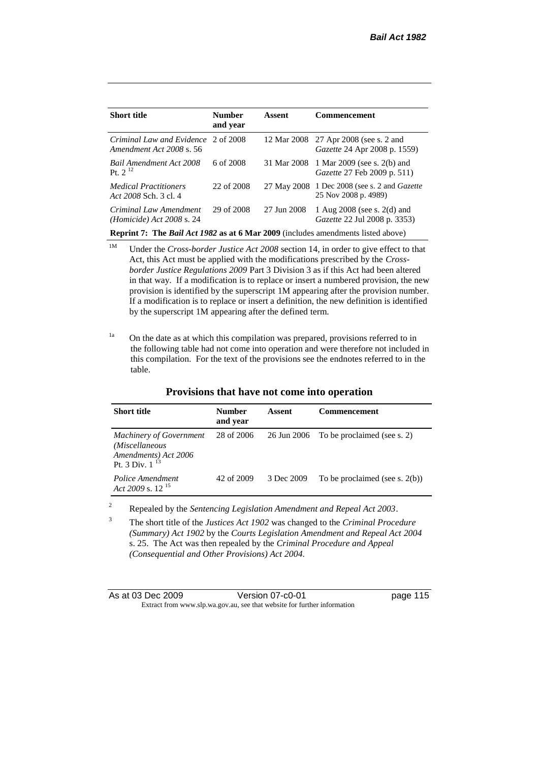| <b>Short title</b>                                                                      | <b>Number</b><br>and year | Assent      | <b>Commencement</b>                                                    |  |
|-----------------------------------------------------------------------------------------|---------------------------|-------------|------------------------------------------------------------------------|--|
| Criminal Law and Evidence 2 of 2008<br>Amendment Act 2008 s. 56                         |                           |             | 12 Mar 2008 27 Apr 2008 (see s. 2 and<br>Gazette 24 Apr 2008 p. 1559)  |  |
| <b>Bail Amendment Act 2008</b><br>P <sub>t. 2</sub> <sup>12</sup>                       | 6 of 2008                 | 31 Mar 2008 | 1 Mar 2009 (see s. 2(b) and<br><i>Gazette</i> 27 Feb 2009 p. 511)      |  |
| <i>Medical Practitioners</i><br>Act 2008 Sch. 3 cl. 4                                   | 22 of 2008                | 27 May 2008 | 1 Dec 2008 (see s. 2 and <i>Gazette</i><br>25 Nov 2008 p. 4989)        |  |
| Criminal Law Amendment<br><i>(Homicide)</i> Act 2008 s. 24                              | 29 of 2008                | 27 Jun 2008 | 1 Aug $2008$ (see s. $2(d)$ and<br><i>Gazette</i> 22 Jul 2008 p. 3353) |  |
| <b>Reprint 7: The Bail Act 1982 as at 6 Mar 2009</b> (includes amendments listed above) |                           |             |                                                                        |  |

<sup>1M</sup> Under the *Cross-border Justice Act 2008* section 14, in order to give effect to that Act, this Act must be applied with the modifications prescribed by the *Crossborder Justice Regulations 2009* Part 3 Division 3 as if this Act had been altered in that way. If a modification is to replace or insert a numbered provision, the new provision is identified by the superscript 1M appearing after the provision number. If a modification is to replace or insert a definition, the new definition is identified by the superscript 1M appearing after the defined term.

<sup>1a</sup> On the date as at which this compilation was prepared, provisions referred to in the following table had not come into operation and were therefore not included in this compilation. For the text of the provisions see the endnotes referred to in the table.

| <b>Short title</b>                                                                              | Number<br>and year | Assent      | <b>Commencement</b>               |
|-------------------------------------------------------------------------------------------------|--------------------|-------------|-----------------------------------|
| <b>Machinery of Government</b><br>(Miscellaneous<br>Amendments) Act 2006<br>Pt. 3 Div. $1^{13}$ | 28 of 2006         | 26 Jun 2006 | To be proclaimed (see s. 2)       |
| Police Amendment<br>Act 2009 s. $12^{15}$                                                       | 42 of 2009         | 3 Dec 2009  | To be proclaimed (see s. $2(b)$ ) |

**Provisions that have not come into operation**

<sup>2</sup> Repealed by the *Sentencing Legislation Amendment and Repeal Act 2003*.

<sup>3</sup> The short title of the *Justices Act 1902* was changed to the *Criminal Procedure (Summary) Act 1902* by the *Courts Legislation Amendment and Repeal Act 2004*  s. 25. The Act was then repealed by the *Criminal Procedure and Appeal (Consequential and Other Provisions) Act 2004.*

| As at 03 Dec 2009 | Version 07-c0-01                                                         | page 115 |
|-------------------|--------------------------------------------------------------------------|----------|
|                   | Extract from www.slp.wa.gov.au, see that website for further information |          |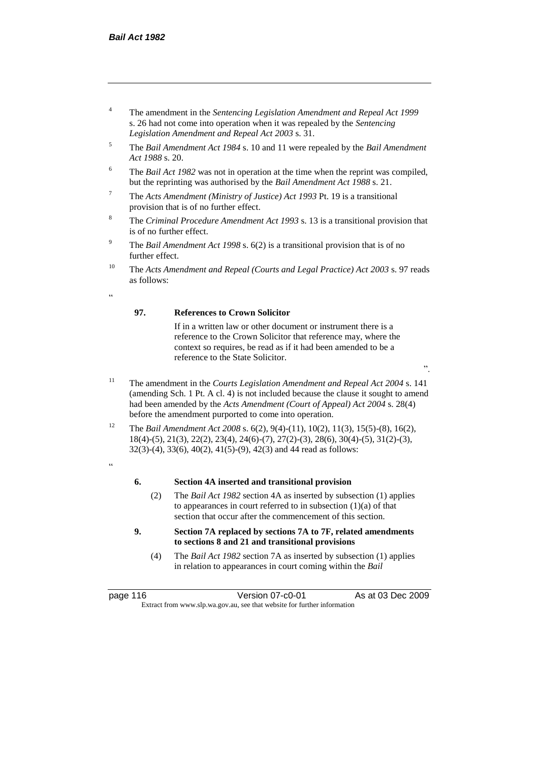- <sup>4</sup> The amendment in the *Sentencing Legislation Amendment and Repeal Act 1999* s. 26 had not come into operation when it was repealed by the *Sentencing Legislation Amendment and Repeal Act 2003* s. 31.
- <sup>5</sup> The *Bail Amendment Act 1984* s. 10 and 11 were repealed by the *Bail Amendment Act 1988* s. 20.
- <sup>6</sup> The *Bail Act 1982* was not in operation at the time when the reprint was compiled, but the reprinting was authorised by the *Bail Amendment Act 1988* s. 21.
- <sup>7</sup> The *Acts Amendment (Ministry of Justice) Act 1993* Pt. 19 is a transitional provision that is of no further effect.
- <sup>8</sup> The *Criminal Procedure Amendment Act 1993* s. 13 is a transitional provision that is of no further effect.
- <sup>9</sup> The *Bail Amendment Act 1998* s. 6(2) is a transitional provision that is of no further effect.
- <sup>10</sup> The *Acts Amendment and Repeal (Courts and Legal Practice) Act 2003* s. 97 reads as follows:

.<br>د د

### **97. References to Crown Solicitor**

If in a written law or other document or instrument there is a reference to the Crown Solicitor that reference may, where the context so requires, be read as if it had been amended to be a reference to the State Solicitor.

".

- <sup>11</sup> The amendment in the *Courts Legislation Amendment and Repeal Act 2004* s. 141 (amending Sch. 1 Pt. A cl. 4) is not included because the clause it sought to amend had been amended by the *Acts Amendment (Court of Appeal) Act 2004* s. 28(4) before the amendment purported to come into operation.
- <sup>12</sup> The *Bail Amendment Act 2008* s. 6(2), 9(4)-(11), 10(2), 11(3), 15(5)-(8), 16(2), 18(4)-(5), 21(3), 22(2), 23(4), 24(6)-(7), 27(2)-(3), 28(6), 30(4)-(5), 31(2)-(3), 32(3)-(4), 33(6), 40(2), 41(5)-(9), 42(3) and 44 read as follows:
- "

#### **6. Section 4A inserted and transitional provision**

- (2) The *Bail Act 1982* section 4A as inserted by subsection (1) applies to appearances in court referred to in subsection  $(1)(a)$  of that section that occur after the commencement of this section.
- **9. Section 7A replaced by sections 7A to 7F, related amendments to sections 8 and 21 and transitional provisions**
	- (4) The *Bail Act 1982* section 7A as inserted by subsection (1) applies in relation to appearances in court coming within the *Bail*

page 116 Version 07-c0-01 As at 03 Dec 2009 Extract from www.slp.wa.gov.au, see that website for further information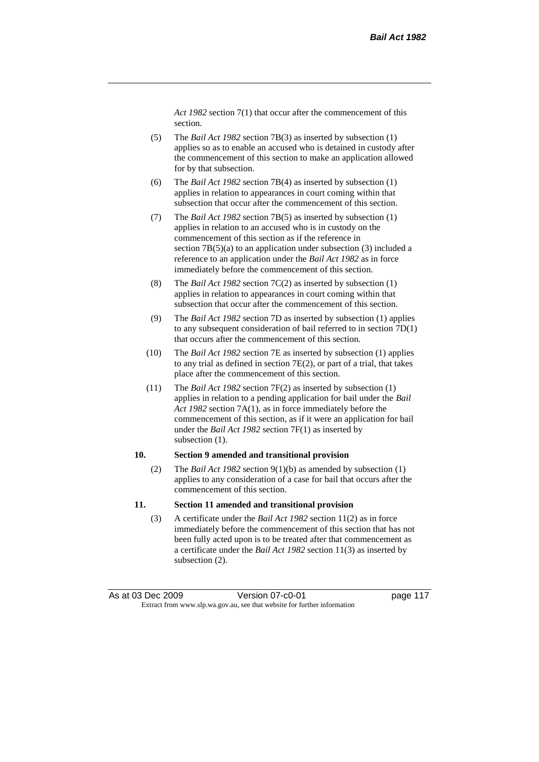*Act 1982* section 7(1) that occur after the commencement of this section.

- (5) The *Bail Act 1982* section 7B(3) as inserted by subsection (1) applies so as to enable an accused who is detained in custody after the commencement of this section to make an application allowed for by that subsection.
- (6) The *Bail Act 1982* section 7B(4) as inserted by subsection (1) applies in relation to appearances in court coming within that subsection that occur after the commencement of this section.
- (7) The *Bail Act 1982* section 7B(5) as inserted by subsection (1) applies in relation to an accused who is in custody on the commencement of this section as if the reference in section  $7B(5)(a)$  to an application under subsection (3) included a reference to an application under the *Bail Act 1982* as in force immediately before the commencement of this section.
- (8) The *Bail Act 1982* section 7C(2) as inserted by subsection (1) applies in relation to appearances in court coming within that subsection that occur after the commencement of this section.
- (9) The *Bail Act 1982* section 7D as inserted by subsection (1) applies to any subsequent consideration of bail referred to in section 7D(1) that occurs after the commencement of this section.
- (10) The *Bail Act 1982* section 7E as inserted by subsection (1) applies to any trial as defined in section 7E(2), or part of a trial, that takes place after the commencement of this section.
- (11) The *Bail Act 1982* section 7F(2) as inserted by subsection (1) applies in relation to a pending application for bail under the *Bail Act 1982* section 7A(1), as in force immediately before the commencement of this section, as if it were an application for bail under the *Bail Act 1982* section 7F(1) as inserted by subsection  $(1)$ .

#### **10. Section 9 amended and transitional provision**

(2) The *Bail Act 1982* section 9(1)(b) as amended by subsection (1) applies to any consideration of a case for bail that occurs after the commencement of this section.

#### **11. Section 11 amended and transitional provision**

(3) A certificate under the *Bail Act 1982* section 11(2) as in force immediately before the commencement of this section that has not been fully acted upon is to be treated after that commencement as a certificate under the *Bail Act 1982* section 11(3) as inserted by subsection (2).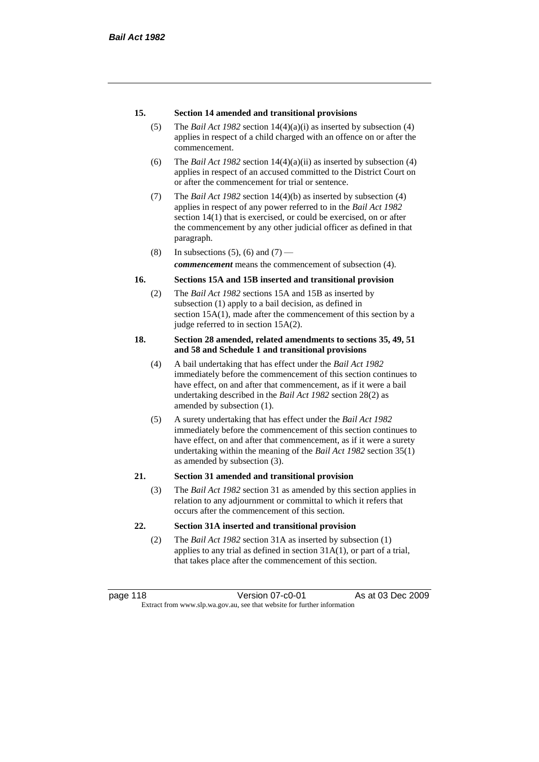### **15. Section 14 amended and transitional provisions**

- (5) The *Bail Act 1982* section 14(4)(a)(i) as inserted by subsection (4) applies in respect of a child charged with an offence on or after the commencement.
- (6) The *Bail Act 1982* section 14(4)(a)(ii) as inserted by subsection (4) applies in respect of an accused committed to the District Court on or after the commencement for trial or sentence.
- (7) The *Bail Act 1982* section 14(4)(b) as inserted by subsection (4) applies in respect of any power referred to in the *Bail Act 1982* section 14(1) that is exercised, or could be exercised, on or after the commencement by any other judicial officer as defined in that paragraph.
- (8) In subsections (5), (6) and (7) —

*commencement* means the commencement of subsection (4).

### **16. Sections 15A and 15B inserted and transitional provision**

(2) The *Bail Act 1982* sections 15A and 15B as inserted by subsection (1) apply to a bail decision, as defined in section 15A(1), made after the commencement of this section by a judge referred to in section 15A(2).

#### **18. Section 28 amended, related amendments to sections 35, 49, 51 and 58 and Schedule 1 and transitional provisions**

- (4) A bail undertaking that has effect under the *Bail Act 1982* immediately before the commencement of this section continues to have effect, on and after that commencement, as if it were a bail undertaking described in the *Bail Act 1982* section 28(2) as amended by subsection (1).
- (5) A surety undertaking that has effect under the *Bail Act 1982* immediately before the commencement of this section continues to have effect, on and after that commencement, as if it were a surety undertaking within the meaning of the *Bail Act 1982* section 35(1) as amended by subsection (3).

### **21. Section 31 amended and transitional provision**

(3) The *Bail Act 1982* section 31 as amended by this section applies in relation to any adjournment or committal to which it refers that occurs after the commencement of this section.

### **22. Section 31A inserted and transitional provision**

(2) The *Bail Act 1982* section 31A as inserted by subsection (1) applies to any trial as defined in section 31A(1), or part of a trial, that takes place after the commencement of this section.

page 118 Version 07-c0-01 As at 03 Dec 2009 Extract from www.slp.wa.gov.au, see that website for further information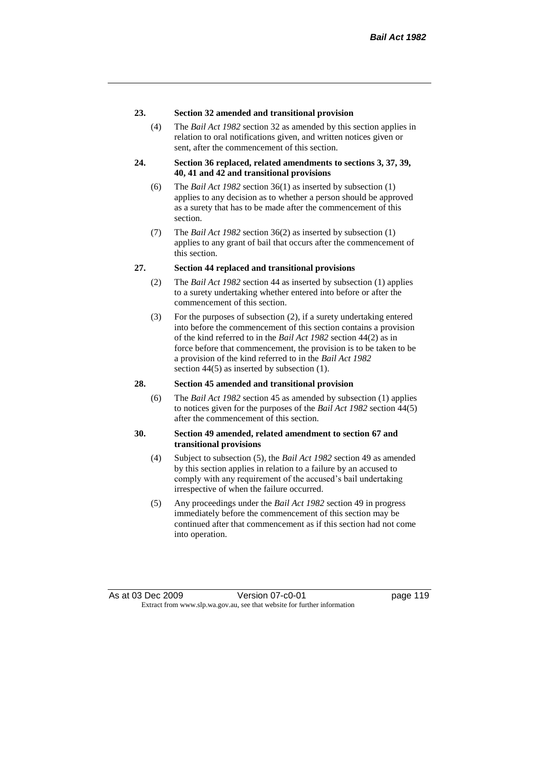#### **23. Section 32 amended and transitional provision**

(4) The *Bail Act 1982* section 32 as amended by this section applies in relation to oral notifications given, and written notices given or sent, after the commencement of this section.

#### **24. Section 36 replaced, related amendments to sections 3, 37, 39, 40, 41 and 42 and transitional provisions**

- (6) The *Bail Act 1982* section 36(1) as inserted by subsection (1) applies to any decision as to whether a person should be approved as a surety that has to be made after the commencement of this section.
- (7) The *Bail Act 1982* section 36(2) as inserted by subsection (1) applies to any grant of bail that occurs after the commencement of this section.

### **27. Section 44 replaced and transitional provisions**

- (2) The *Bail Act 1982* section 44 as inserted by subsection (1) applies to a surety undertaking whether entered into before or after the commencement of this section.
- (3) For the purposes of subsection (2), if a surety undertaking entered into before the commencement of this section contains a provision of the kind referred to in the *Bail Act 1982* section 44(2) as in force before that commencement, the provision is to be taken to be a provision of the kind referred to in the *Bail Act 1982*  section 44(5) as inserted by subsection (1).

#### **28. Section 45 amended and transitional provision**

(6) The *Bail Act 1982* section 45 as amended by subsection (1) applies to notices given for the purposes of the *Bail Act 1982* section 44(5) after the commencement of this section.

#### **30. Section 49 amended, related amendment to section 67 and transitional provisions**

- (4) Subject to subsection (5), the *Bail Act 1982* section 49 as amended by this section applies in relation to a failure by an accused to comply with any requirement of the accused's bail undertaking irrespective of when the failure occurred.
- (5) Any proceedings under the *Bail Act 1982* section 49 in progress immediately before the commencement of this section may be continued after that commencement as if this section had not come into operation.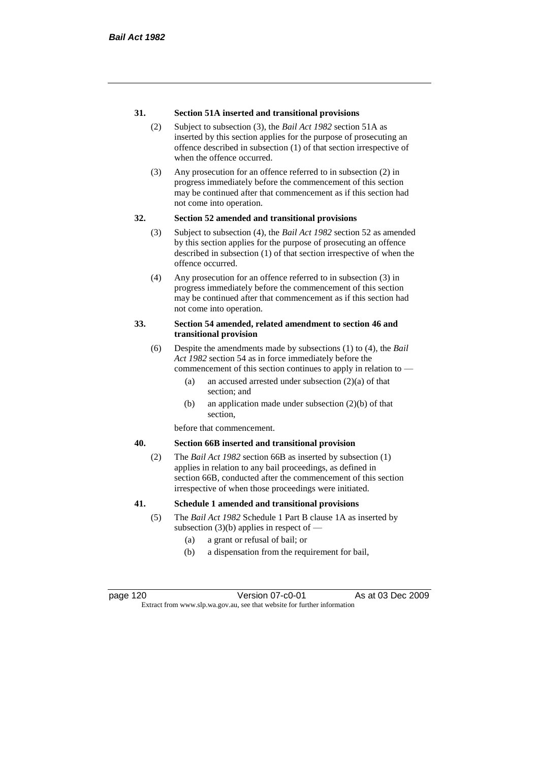### **31. Section 51A inserted and transitional provisions**

- (2) Subject to subsection (3), the *Bail Act 1982* section 51A as inserted by this section applies for the purpose of prosecuting an offence described in subsection (1) of that section irrespective of when the offence occurred.
- (3) Any prosecution for an offence referred to in subsection (2) in progress immediately before the commencement of this section may be continued after that commencement as if this section had not come into operation.

### **32. Section 52 amended and transitional provisions**

- (3) Subject to subsection (4), the *Bail Act 1982* section 52 as amended by this section applies for the purpose of prosecuting an offence described in subsection (1) of that section irrespective of when the offence occurred.
- (4) Any prosecution for an offence referred to in subsection (3) in progress immediately before the commencement of this section may be continued after that commencement as if this section had not come into operation.

#### **33. Section 54 amended, related amendment to section 46 and transitional provision**

- (6) Despite the amendments made by subsections (1) to (4), the *Bail Act 1982* section 54 as in force immediately before the commencement of this section continues to apply in relation to —
	- (a) an accused arrested under subsection (2)(a) of that section; and
	- (b) an application made under subsection (2)(b) of that section,

before that commencement.

### **40. Section 66B inserted and transitional provision**

(2) The *Bail Act 1982* section 66B as inserted by subsection (1) applies in relation to any bail proceedings, as defined in section 66B, conducted after the commencement of this section irrespective of when those proceedings were initiated.

#### **41. Schedule 1 amended and transitional provisions**

- (5) The *Bail Act 1982* Schedule 1 Part B clause 1A as inserted by subsection  $(3)(b)$  applies in respect of  $-$ 
	- (a) a grant or refusal of bail; or
	- (b) a dispensation from the requirement for bail,

page 120 Version 07-c0-01 As at 03 Dec 2009 Extract from www.slp.wa.gov.au, see that website for further information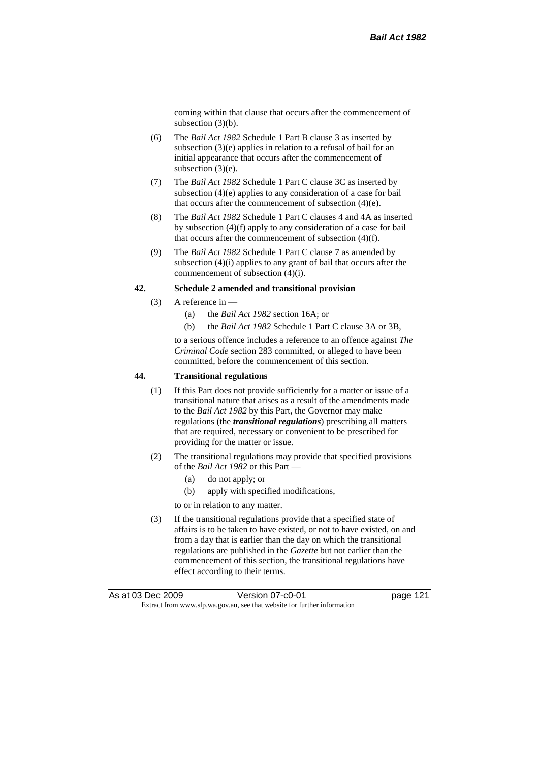coming within that clause that occurs after the commencement of subsection (3)(b).

- (6) The *Bail Act 1982* Schedule 1 Part B clause 3 as inserted by subsection (3)(e) applies in relation to a refusal of bail for an initial appearance that occurs after the commencement of subsection (3)(e).
- (7) The *Bail Act 1982* Schedule 1 Part C clause 3C as inserted by subsection (4)(e) applies to any consideration of a case for bail that occurs after the commencement of subsection (4)(e).
- (8) The *Bail Act 1982* Schedule 1 Part C clauses 4 and 4A as inserted by subsection (4)(f) apply to any consideration of a case for bail that occurs after the commencement of subsection (4)(f).
- (9) The *Bail Act 1982* Schedule 1 Part C clause 7 as amended by subsection (4)(i) applies to any grant of bail that occurs after the commencement of subsection (4)(i).

#### **42. Schedule 2 amended and transitional provision**

- (3) A reference in
	- (a) the *Bail Act 1982* section 16A; or
	- (b) the *Bail Act 1982* Schedule 1 Part C clause 3A or 3B,

to a serious offence includes a reference to an offence against *The Criminal Code* section 283 committed, or alleged to have been committed, before the commencement of this section.

#### **44. Transitional regulations**

- (1) If this Part does not provide sufficiently for a matter or issue of a transitional nature that arises as a result of the amendments made to the *Bail Act 1982* by this Part, the Governor may make regulations (the *transitional regulations*) prescribing all matters that are required, necessary or convenient to be prescribed for providing for the matter or issue.
- (2) The transitional regulations may provide that specified provisions of the *Bail Act 1982* or this Part —
	- (a) do not apply; or
	- (b) apply with specified modifications,
	- to or in relation to any matter.
- (3) If the transitional regulations provide that a specified state of affairs is to be taken to have existed, or not to have existed, on and from a day that is earlier than the day on which the transitional regulations are published in the *Gazette* but not earlier than the commencement of this section, the transitional regulations have effect according to their terms.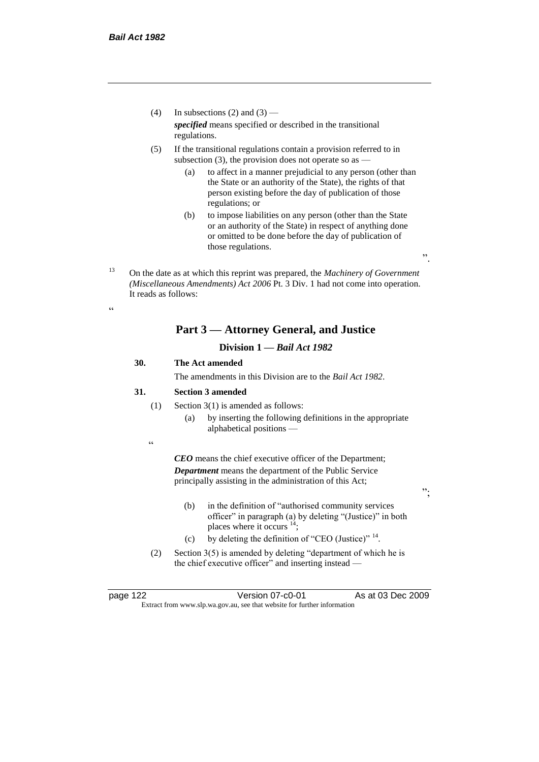- (4) In subsections (2) and (3) *specified* means specified or described in the transitional regulations.
- (5) If the transitional regulations contain a provision referred to in subsection  $(3)$ , the provision does not operate so as  $-$ 
	- (a) to affect in a manner prejudicial to any person (other than the State or an authority of the State), the rights of that person existing before the day of publication of those regulations; or
	- (b) to impose liabilities on any person (other than the State or an authority of the State) in respect of anything done or omitted to be done before the day of publication of those regulations.

".

";

<sup>13</sup> On the date as at which this reprint was prepared, the *Machinery of Government (Miscellaneous Amendments) Act 2006* Pt. 3 Div. 1 had not come into operation. It reads as follows:

## **Part 3 — Attorney General, and Justice**

## **Division 1 —** *Bail Act 1982*

## **30. The Act amended**

The amendments in this Division are to the *Bail Act 1982*.

#### **31. Section 3 amended**

- (1) Section 3(1) is amended as follows:
	- (a) by inserting the following definitions in the appropriate alphabetical positions —

.<br>.

.<br>44

*CEO* means the chief executive officer of the Department; *Department* means the department of the Public Service principally assisting in the administration of this Act;

- (b) in the definition of "authorised community services officer" in paragraph (a) by deleting "(Justice)" in both places where it occurs  $14$ ;
- (c) by deleting the definition of "CEO (Justice)"  $14$ .
- (2) Section 3(5) is amended by deleting "department of which he is the chief executive officer" and inserting instead —

page 122 Version 07-c0-01 As at 03 Dec 2009 Extract from www.slp.wa.gov.au, see that website for further information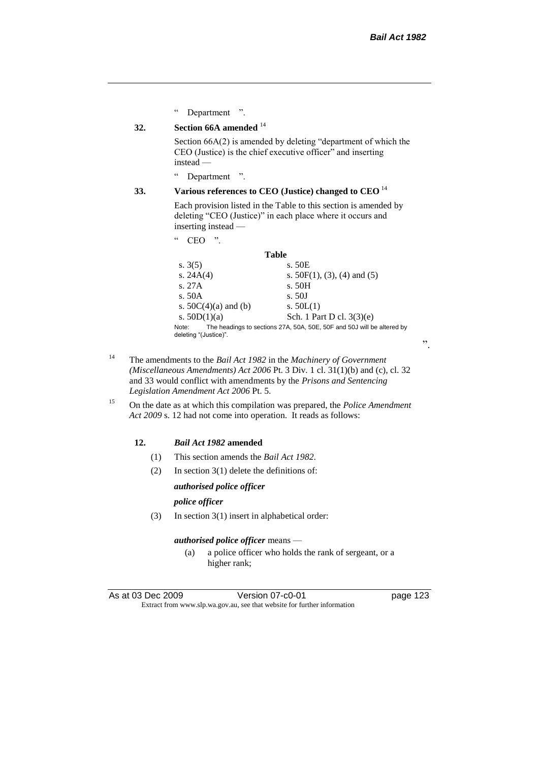" Department ".

## **32. Section 66A amended** <sup>14</sup>

Section 66A(2) is amended by deleting "department of which the CEO (Justice) is the chief executive officer" and inserting instead —

" Department ".

### **33. Various references to CEO (Justice) changed to CEO** <sup>14</sup>

Each provision listed in the Table to this section is amended by deleting "CEO (Justice)" in each place where it occurs and inserting instead —

" CEO ".

#### **Table**

| s. $3(5)$                      | s. 50E                                                                 |
|--------------------------------|------------------------------------------------------------------------|
| s. $24A(4)$                    | s. $50F(1)$ , (3), (4) and (5)                                         |
| S.27A                          | s. 50H                                                                 |
| s. $50A$                       | s. 50J                                                                 |
| s. $50C(4)(a)$ and (b)         | s. $50L(1)$                                                            |
| s. $50D(1)(a)$                 | Sch. 1 Part D cl. 3(3)(e)                                              |
| Note:<br>deleting "(Justice)". | The headings to sections 27A, 50A, 50E, 50F and 50J will be altered by |

- <sup>14</sup> The amendments to the *Bail Act 1982* in the *Machinery of Government (Miscellaneous Amendments) Act 2006* Pt. 3 Div. 1 cl. 31(1)(b) and (c), cl. 32 and 33 would conflict with amendments by the *Prisons and Sentencing Legislation Amendment Act 2006* Pt. 5.
- <sup>15</sup> On the date as at which this compilation was prepared, the *Police Amendment Act 2009* s. 12 had not come into operation. It reads as follows:

### **12.** *Bail Act 1982* **amended**

- (1) This section amends the *Bail Act 1982*.
- (2) In section 3(1) delete the definitions of:

#### *authorised police officer*

*police officer*

(3) In section 3(1) insert in alphabetical order:

#### *authorised police officer* means —

(a) a police officer who holds the rank of sergeant, or a higher rank;

".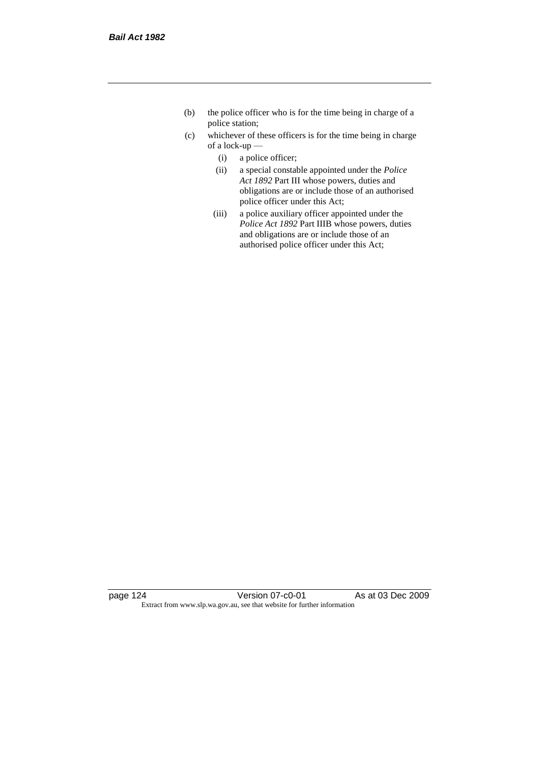- (b) the police officer who is for the time being in charge of a police station;
- (c) whichever of these officers is for the time being in charge of a lock-up —
	- (i) a police officer;
	- (ii) a special constable appointed under the *Police Act 1892* Part III whose powers, duties and obligations are or include those of an authorised police officer under this Act;
	- (iii) a police auxiliary officer appointed under the *Police Act 1892* Part IIIB whose powers, duties and obligations are or include those of an authorised police officer under this Act;

page 124 Version 07-c0-01 As at 03 Dec 2009 Extract from www.slp.wa.gov.au, see that website for further information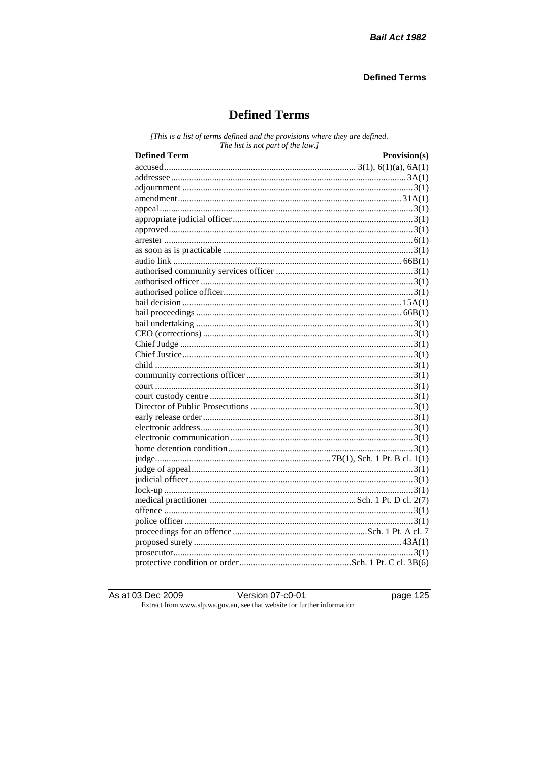# **Defined Terms**

[This is a list of terms defined and the provisions where they are defined. The list is not part of the law.]

| <b>Defined Term</b> | Provision(s) |
|---------------------|--------------|
|                     |              |
|                     |              |
|                     |              |
|                     |              |
|                     |              |
|                     |              |
|                     |              |
|                     |              |
|                     |              |
|                     |              |
|                     |              |
|                     |              |
|                     |              |
|                     |              |
|                     |              |
|                     |              |
|                     |              |
|                     |              |
|                     |              |
|                     |              |
|                     |              |
|                     |              |
|                     |              |
|                     |              |
|                     |              |
|                     |              |
|                     |              |
|                     |              |
|                     |              |
|                     |              |
|                     |              |
|                     |              |
|                     |              |
|                     |              |
|                     |              |
|                     |              |
|                     |              |
|                     |              |
|                     |              |

As at 03 Dec 2009

Version 07-c0-01

page  $125$ 

Extract from www.slp.wa.gov.au, see that website for further information